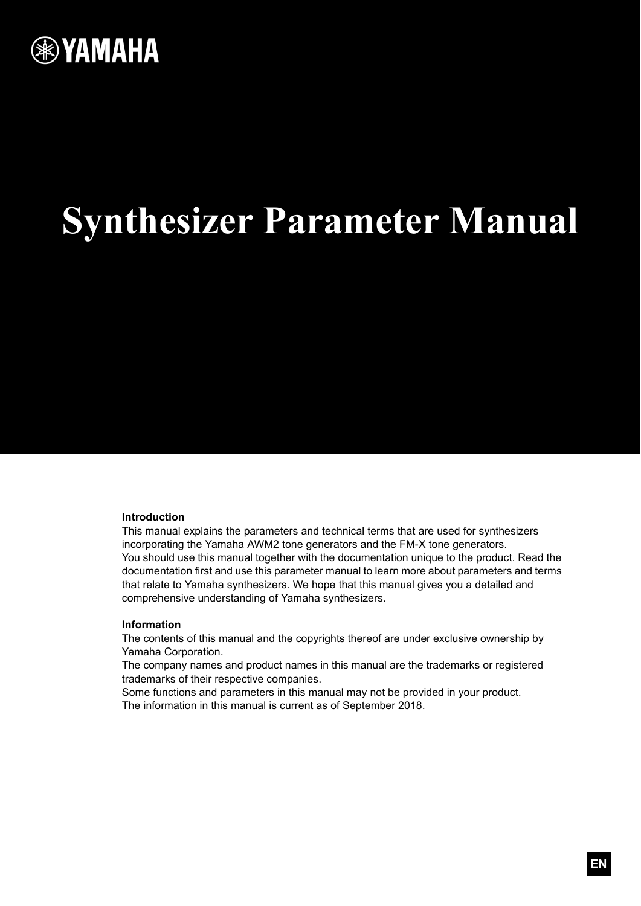

# **Synthesizer Parameter Manual**

#### **Introduction**

This manual explains the parameters and technical terms that are used for synthesizers incorporating the Yamaha AWM2 tone generators and the FM-X tone generators. You should use this manual together with the documentation unique to the product. Read the documentation first and use this parameter manual to learn more about parameters and terms that relate to Yamaha synthesizers. We hope that this manual gives you a detailed and comprehensive understanding of Yamaha synthesizers.

#### **Information**

The contents of this manual and the copyrights thereof are under exclusive ownership by Yamaha Corporation.

The company names and product names in this manual are the trademarks or registered trademarks of their respective companies.

Some functions and parameters in this manual may not be provided in your product. The information in this manual is current as of September 2018.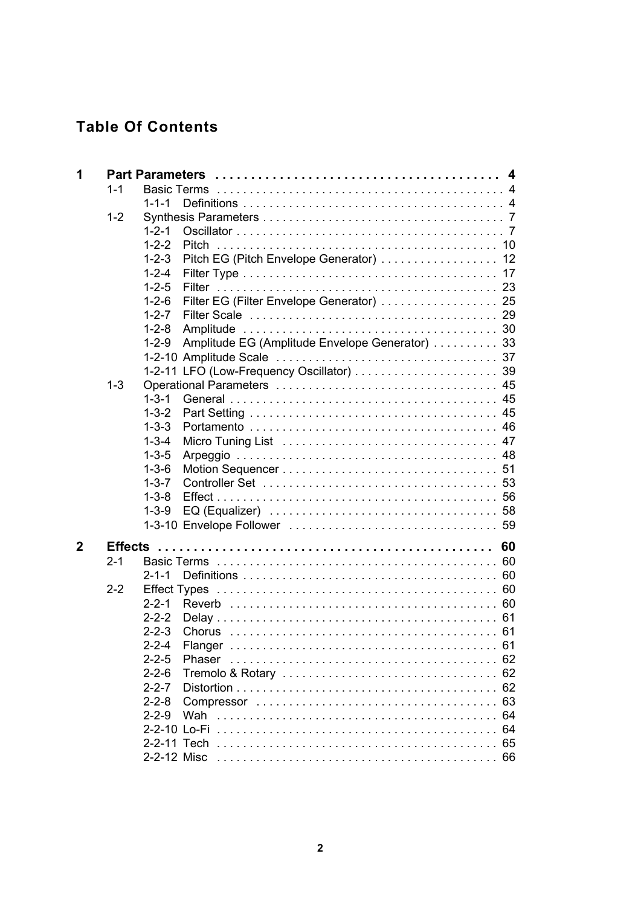# **Table Of Contents**

| 1           |         |                                                                |
|-------------|---------|----------------------------------------------------------------|
|             | $1 - 1$ | <b>Basic Terms</b>                                             |
|             |         | $1 - 1 - 1$                                                    |
|             | $1 - 2$ |                                                                |
|             |         | $1 - 2 - 1$                                                    |
|             |         | $1 - 2 - 2$<br>Pitch                                           |
|             |         | Pitch EG (Pitch Envelope Generator)  12<br>$1 - 2 - 3$         |
|             |         | $1 - 2 - 4$                                                    |
|             |         | $1 - 2 - 5$                                                    |
|             |         | Filter EG (Filter Envelope Generator)  25<br>$1 - 2 - 6$       |
|             |         | $1 - 2 - 7$                                                    |
|             |         | $1 - 2 - 8$                                                    |
|             |         | Amplitude EG (Amplitude Envelope Generator)  33<br>$1 - 2 - 9$ |
|             |         |                                                                |
|             |         |                                                                |
|             | $1 - 3$ |                                                                |
|             |         | $1 - 3 - 1$                                                    |
|             |         | $1 - 3 - 2$                                                    |
|             |         | $1 - 3 - 3$                                                    |
|             |         | $1 - 3 - 4$                                                    |
|             |         | $1 - 3 - 5$                                                    |
|             |         | $1 - 3 - 6$                                                    |
|             |         | $1 - 3 - 7$                                                    |
|             |         | $1 - 3 - 8$                                                    |
|             |         | $1 - 3 - 9$                                                    |
|             |         |                                                                |
|             |         |                                                                |
| $\mathbf 2$ |         |                                                                |
|             | $2 - 1$ |                                                                |
|             |         | $2 - 1 - 1$                                                    |
|             | $2 - 2$ | <b>Effect Types</b>                                            |
|             |         | $2 - 2 - 1$                                                    |
|             |         | $2 - 2 - 2$                                                    |
|             |         | $2 - 2 - 3$<br>61                                              |
|             |         | $2 - 2 - 4$                                                    |
|             |         | $2 - 2 - 5$                                                    |
|             |         | $2 - 2 - 6$                                                    |
|             |         | $2 - 2 - 7$                                                    |
|             |         | $2 - 2 - 8$                                                    |
|             |         | $2 - 2 - 9$                                                    |
|             |         |                                                                |
|             |         |                                                                |
|             |         | 2-2-12 Misc<br>66                                              |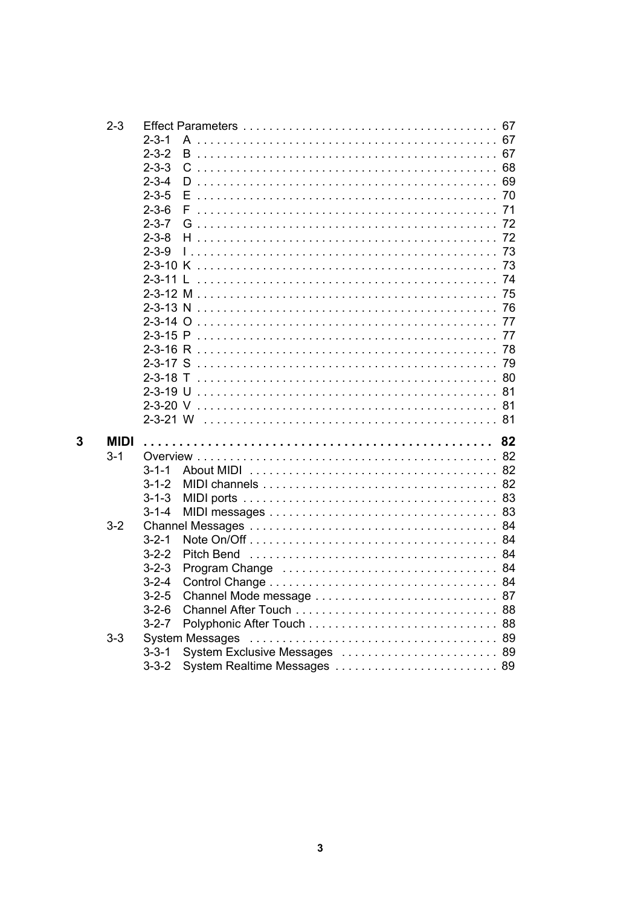|   | $2 - 3$     |                            |                              |    |
|---|-------------|----------------------------|------------------------------|----|
|   |             | 2-3-1                      | A                            | 67 |
|   |             | $2 - 3 - 2$                | B                            | 67 |
|   |             | $2 - 3 - 3$                | C                            | 68 |
|   |             | $2 - 3 - 4$                | D                            | 69 |
|   |             | $2 - 3 - 5$                | E                            | 70 |
|   |             | $2 - 3 - 6$                |                              | 71 |
|   |             | $2 - 3 - 7$                | G                            | 72 |
|   |             | $2 - 3 - 8$                | н                            | 72 |
|   |             | $2 - 3 - 9$                |                              | 73 |
|   |             | 2-3-10 K                   |                              | 73 |
|   |             | 2-3-11                     | L                            | 74 |
|   |             |                            |                              | 75 |
|   |             | $2 - 3 - 13$ N             |                              | 76 |
|   |             | $2 - 3 - 14$ O             |                              | 77 |
|   |             | 2-3-15 P                   |                              | 77 |
|   |             | 2-3-16 R                   |                              | 78 |
|   |             | $2 - 3 - 17$ S             |                              | 79 |
|   |             | 2-3-18 T                   |                              | 80 |
|   |             | 2-3-19 U                   |                              | 81 |
|   |             |                            |                              | 81 |
|   |             | 2-3-21 W                   |                              | 81 |
| 3 |             |                            |                              |    |
|   | <b>MIDI</b> |                            |                              | 82 |
|   | $3 - 1$     |                            |                              | 82 |
|   |             | 3-1-1                      |                              | 82 |
|   |             | $3 - 1 - 2$                |                              | 82 |
|   |             | $3 - 1 - 3$                |                              | 83 |
|   |             | $3 - 1 - 4$                |                              | 83 |
|   | $3 - 2$     |                            |                              | 84 |
|   |             | $3 - 2 - 1$<br>$3 - 2 - 2$ |                              | 84 |
|   |             |                            |                              | 84 |
|   |             | $3 - 2 - 3$<br>$3 - 2 - 4$ | Program Change               | 84 |
|   |             |                            |                              | 84 |
|   |             | $3 - 2 - 5$                | Channel Mode message         | 87 |
|   |             | $3 - 2 - 6$                |                              | 88 |
|   |             | $3 - 2 - 7$                |                              | 88 |
|   | $3-3$       |                            | System Messages              | 89 |
|   |             | $3 - 3 - 1$                | System Exclusive Messages    | 89 |
|   |             | $3 - 3 - 2$                | System Realtime Messages  89 |    |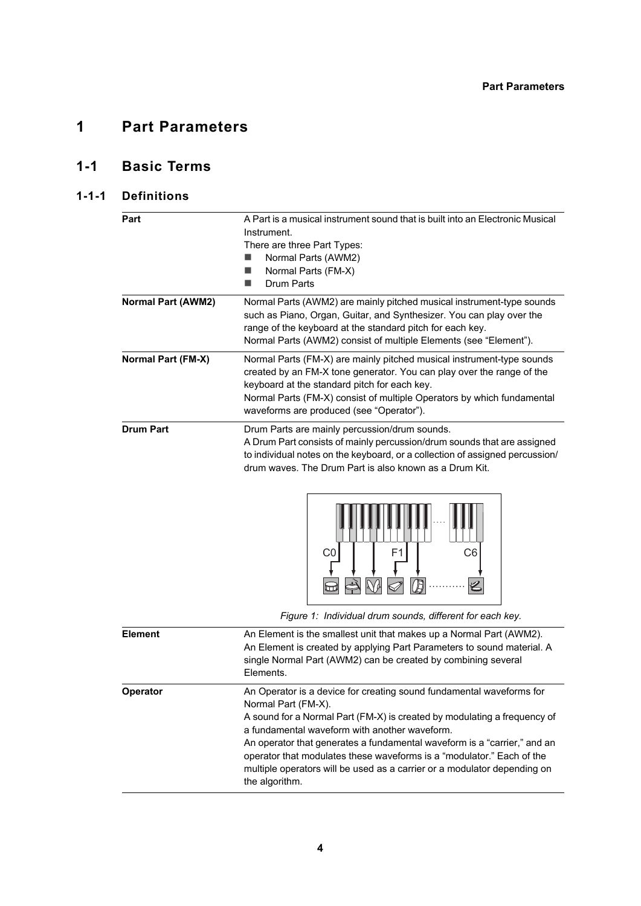# <span id="page-3-1"></span><span id="page-3-0"></span>**1-1 Basic Terms**

# **1-1-1 Definitions**

<span id="page-3-4"></span><span id="page-3-3"></span><span id="page-3-2"></span>

| Part                      | A Part is a musical instrument sound that is built into an Electronic Musical<br>Instrument.<br>There are three Part Types:<br>Normal Parts (AWM2)<br>Normal Parts (FM-X)<br><b>Drum Parts</b>                                                                                                                                                                                                                                                                              |
|---------------------------|-----------------------------------------------------------------------------------------------------------------------------------------------------------------------------------------------------------------------------------------------------------------------------------------------------------------------------------------------------------------------------------------------------------------------------------------------------------------------------|
| <b>Normal Part (AWM2)</b> | Normal Parts (AWM2) are mainly pitched musical instrument-type sounds<br>such as Piano, Organ, Guitar, and Synthesizer. You can play over the<br>range of the keyboard at the standard pitch for each key.<br>Normal Parts (AWM2) consist of multiple Elements (see "Element").                                                                                                                                                                                             |
| Normal Part (FM-X)        | Normal Parts (FM-X) are mainly pitched musical instrument-type sounds<br>created by an FM-X tone generator. You can play over the range of the<br>keyboard at the standard pitch for each key.<br>Normal Parts (FM-X) consist of multiple Operators by which fundamental<br>waveforms are produced (see "Operator").                                                                                                                                                        |
| <b>Drum Part</b>          | Drum Parts are mainly percussion/drum sounds.<br>A Drum Part consists of mainly percussion/drum sounds that are assigned<br>to individual notes on the keyboard, or a collection of assigned percussion/<br>drum waves. The Drum Part is also known as a Drum Kit.<br>F1<br>C6<br>C0<br>Figure 1: Individual drum sounds, different for each key.                                                                                                                           |
| <b>Element</b>            | An Element is the smallest unit that makes up a Normal Part (AWM2).<br>An Element is created by applying Part Parameters to sound material. A<br>single Normal Part (AWM2) can be created by combining several<br>Elements.                                                                                                                                                                                                                                                 |
| <b>Operator</b>           | An Operator is a device for creating sound fundamental waveforms for<br>Normal Part (FM-X).<br>A sound for a Normal Part (FM-X) is created by modulating a frequency of<br>a fundamental waveform with another waveform.<br>An operator that generates a fundamental waveform is a "carrier," and an<br>operator that modulates these waveforms is a "modulator." Each of the<br>multiple operators will be used as a carrier or a modulator depending on<br>the algorithm. |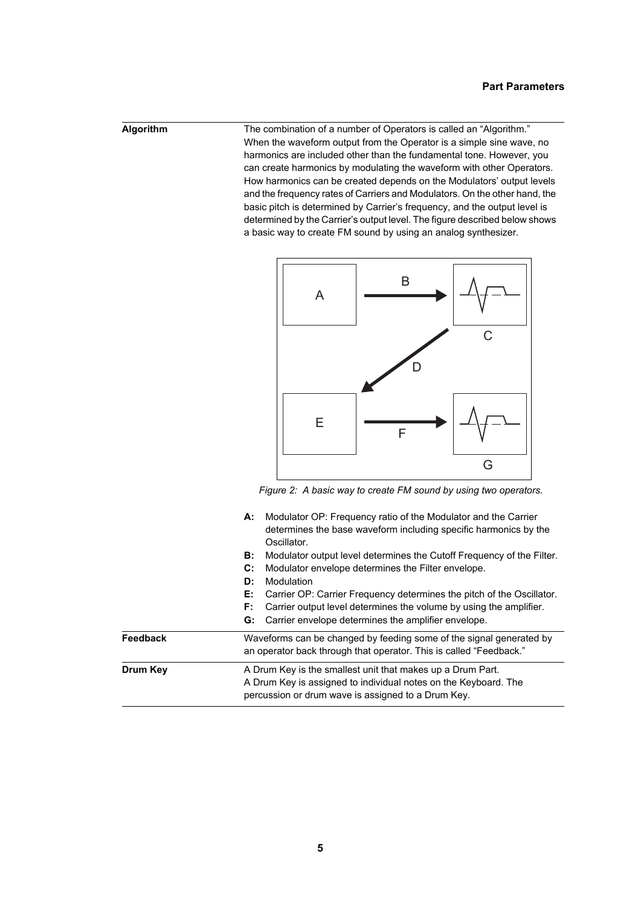**Algorithm** The combination of a number of Operators is called an "Algorithm." When the waveform output from the Operator is a simple sine wave, no harmonics are included other than the fundamental tone. However, you can create harmonics by modulating the waveform with other Operators. How harmonics can be created depends on the Modulators' output levels and the frequency rates of Carriers and Modulators. On the other hand, the basic pitch is determined by Carrier's frequency, and the output level is determined by the Carrier's output level. The figure described below shows a basic way to create FM sound by using an analog synthesizer.



*Figure 2: A basic way to create FM sound by using two operators.*

|          | Modulator OP: Frequency ratio of the Modulator and the Carrier<br>А:<br>determines the base waveform including specific harmonics by the<br>Oscillator. |
|----------|---------------------------------------------------------------------------------------------------------------------------------------------------------|
|          | Modulator output level determines the Cutoff Frequency of the Filter.<br>В:                                                                             |
|          | Modulator envelope determines the Filter envelope.<br>C:                                                                                                |
|          | Modulation<br>D:                                                                                                                                        |
|          | Carrier OP: Carrier Frequency determines the pitch of the Oscillator.<br>Е:                                                                             |
|          | Carrier output level determines the volume by using the amplifier.<br>F:                                                                                |
|          | Carrier envelope determines the amplifier envelope.<br>G:                                                                                               |
| Feedback | Waveforms can be changed by feeding some of the signal generated by<br>an operator back through that operator. This is called "Feedback."               |
| Drum Key | A Drum Key is the smallest unit that makes up a Drum Part.                                                                                              |
|          | A Drum Key is assigned to individual notes on the Keyboard. The                                                                                         |
|          | percussion or drum wave is assigned to a Drum Key.                                                                                                      |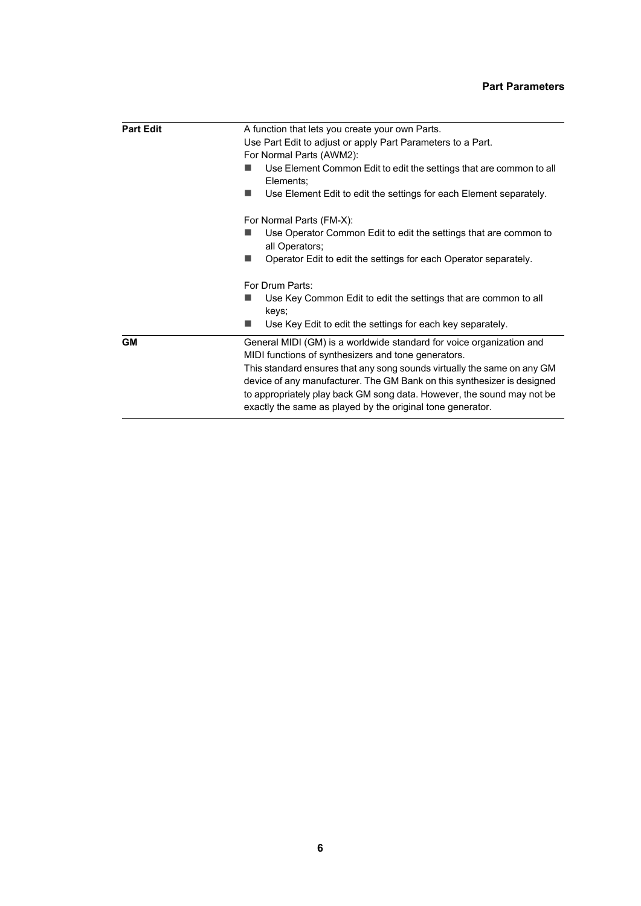| <b>Part Edit</b> | A function that lets you create your own Parts.<br>Use Part Edit to adjust or apply Part Parameters to a Part.<br>For Normal Parts (AWM2):<br>Use Element Common Edit to edit the settings that are common to all<br>Elements;                                                                                                                                                                                            |
|------------------|---------------------------------------------------------------------------------------------------------------------------------------------------------------------------------------------------------------------------------------------------------------------------------------------------------------------------------------------------------------------------------------------------------------------------|
|                  | Use Element Edit to edit the settings for each Element separately.<br>For Normal Parts (FM-X):                                                                                                                                                                                                                                                                                                                            |
|                  | Use Operator Common Edit to edit the settings that are common to<br>all Operators;                                                                                                                                                                                                                                                                                                                                        |
|                  | Operator Edit to edit the settings for each Operator separately.                                                                                                                                                                                                                                                                                                                                                          |
|                  | For Drum Parts:                                                                                                                                                                                                                                                                                                                                                                                                           |
|                  | Use Key Common Edit to edit the settings that are common to all<br>keys;                                                                                                                                                                                                                                                                                                                                                  |
|                  | Use Key Edit to edit the settings for each key separately.                                                                                                                                                                                                                                                                                                                                                                |
| <b>GM</b>        | General MIDI (GM) is a worldwide standard for voice organization and<br>MIDI functions of synthesizers and tone generators.<br>This standard ensures that any song sounds virtually the same on any GM<br>device of any manufacturer. The GM Bank on this synthesizer is designed<br>to appropriately play back GM song data. However, the sound may not be<br>exactly the same as played by the original tone generator. |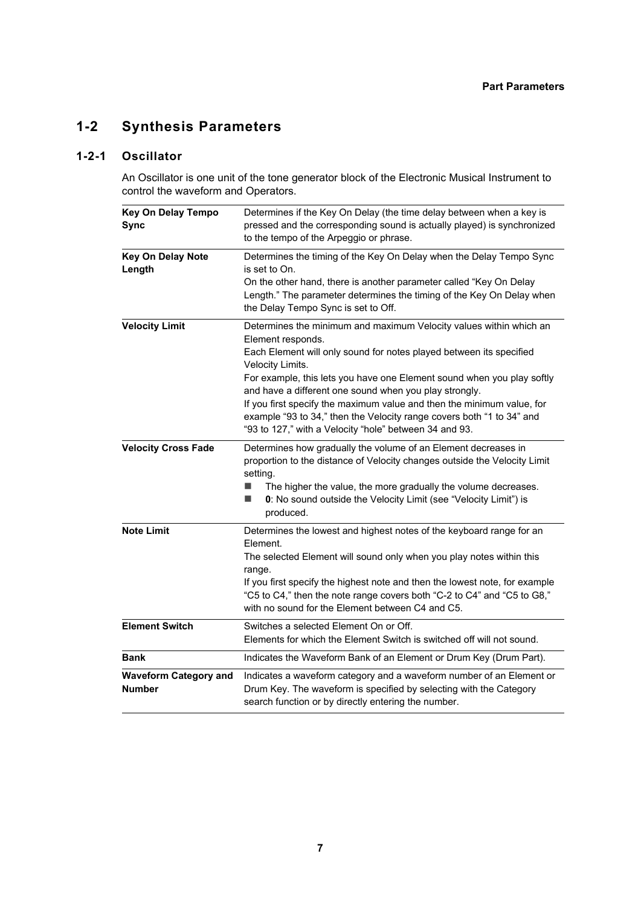# <span id="page-6-0"></span>**1-2 Synthesis Parameters**

# **1-2-1 Oscillator**

<span id="page-6-1"></span>An Oscillator is one unit of the tone generator block of the Electronic Musical Instrument to control the waveform and Operators.

<span id="page-6-2"></span>

| <b>Key On Delay Tempo</b><br><b>Sync</b>      | Determines if the Key On Delay (the time delay between when a key is<br>pressed and the corresponding sound is actually played) is synchronized<br>to the tempo of the Arpeggio or phrase.                                                                                                                                                     |  |  |
|-----------------------------------------------|------------------------------------------------------------------------------------------------------------------------------------------------------------------------------------------------------------------------------------------------------------------------------------------------------------------------------------------------|--|--|
| Key On Delay Note<br>Length                   | Determines the timing of the Key On Delay when the Delay Tempo Sync<br>is set to On.                                                                                                                                                                                                                                                           |  |  |
|                                               | On the other hand, there is another parameter called "Key On Delay<br>Length." The parameter determines the timing of the Key On Delay when<br>the Delay Tempo Sync is set to Off.                                                                                                                                                             |  |  |
| <b>Velocity Limit</b>                         | Determines the minimum and maximum Velocity values within which an<br>Element responds.                                                                                                                                                                                                                                                        |  |  |
|                                               | Each Element will only sound for notes played between its specified<br>Velocity Limits.                                                                                                                                                                                                                                                        |  |  |
|                                               | For example, this lets you have one Element sound when you play softly<br>and have a different one sound when you play strongly.                                                                                                                                                                                                               |  |  |
|                                               | If you first specify the maximum value and then the minimum value, for<br>example "93 to 34," then the Velocity range covers both "1 to 34" and<br>"93 to 127," with a Velocity "hole" between 34 and 93.                                                                                                                                      |  |  |
| <b>Velocity Cross Fade</b>                    | Determines how gradually the volume of an Element decreases in<br>proportion to the distance of Velocity changes outside the Velocity Limit<br>setting.<br>The higher the value, the more gradually the volume decreases.<br>$\blacksquare$<br>0: No sound outside the Velocity Limit (see "Velocity Limit") is<br>$\mathbb{R}^n$<br>produced. |  |  |
| <b>Note Limit</b>                             | Determines the lowest and highest notes of the keyboard range for an<br>Element.                                                                                                                                                                                                                                                               |  |  |
|                                               | The selected Element will sound only when you play notes within this<br>range.                                                                                                                                                                                                                                                                 |  |  |
|                                               | If you first specify the highest note and then the lowest note, for example<br>"C5 to C4," then the note range covers both "C-2 to C4" and "C5 to G8,"<br>with no sound for the Element between C4 and C5.                                                                                                                                     |  |  |
| <b>Element Switch</b>                         | Switches a selected Element On or Off.<br>Elements for which the Element Switch is switched off will not sound.                                                                                                                                                                                                                                |  |  |
| <b>Bank</b>                                   | Indicates the Waveform Bank of an Element or Drum Key (Drum Part).                                                                                                                                                                                                                                                                             |  |  |
| <b>Waveform Category and</b><br><b>Number</b> | Indicates a waveform category and a waveform number of an Element or<br>Drum Key. The waveform is specified by selecting with the Category<br>search function or by directly entering the number.                                                                                                                                              |  |  |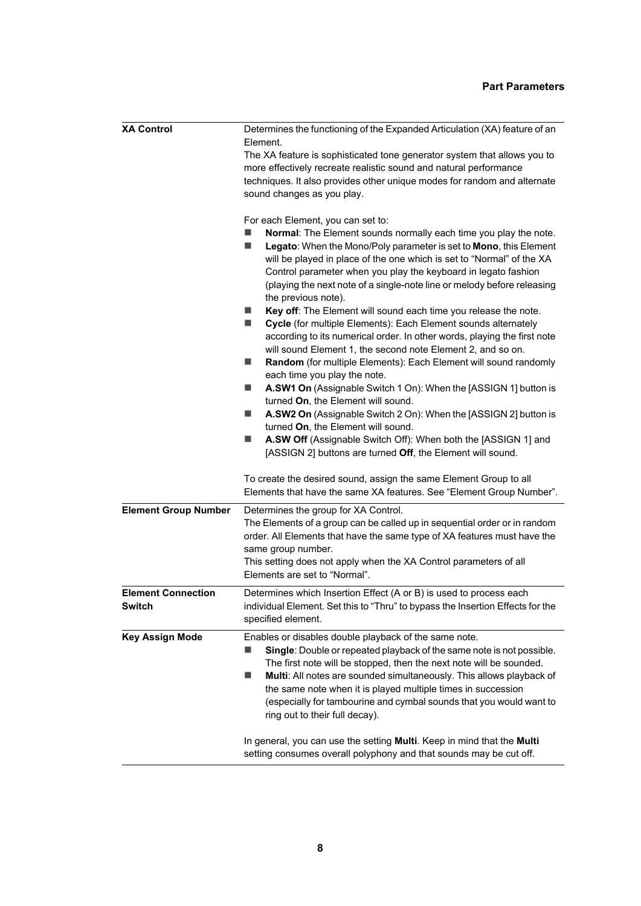<span id="page-7-0"></span>

| <b>XA Control</b>                   | Determines the functioning of the Expanded Articulation (XA) feature of an<br>Element.<br>The XA feature is sophisticated tone generator system that allows you to<br>more effectively recreate realistic sound and natural performance<br>techniques. It also provides other unique modes for random and alternate<br>sound changes as you play.<br>For each Element, you can set to:<br>Normal: The Element sounds normally each time you play the note.<br>Legato: When the Mono/Poly parameter is set to Mono, this Element<br>ш<br>will be played in place of the one which is set to "Normal" of the XA<br>Control parameter when you play the keyboard in legato fashion<br>(playing the next note of a single-note line or melody before releasing<br>the previous note).<br>Key off: The Element will sound each time you release the note.<br>Cycle (for multiple Elements): Each Element sounds alternately<br>$\mathcal{L}_{\mathcal{A}}$<br>according to its numerical order. In other words, playing the first note |
|-------------------------------------|-----------------------------------------------------------------------------------------------------------------------------------------------------------------------------------------------------------------------------------------------------------------------------------------------------------------------------------------------------------------------------------------------------------------------------------------------------------------------------------------------------------------------------------------------------------------------------------------------------------------------------------------------------------------------------------------------------------------------------------------------------------------------------------------------------------------------------------------------------------------------------------------------------------------------------------------------------------------------------------------------------------------------------------|
|                                     | will sound Element 1, the second note Element 2, and so on.<br>Random (for multiple Elements): Each Element will sound randomly<br>each time you play the note.                                                                                                                                                                                                                                                                                                                                                                                                                                                                                                                                                                                                                                                                                                                                                                                                                                                                   |
|                                     | A.SW1 On (Assignable Switch 1 On): When the [ASSIGN 1] button is<br>ш<br>turned On, the Element will sound.<br>A.SW2 On (Assignable Switch 2 On): When the [ASSIGN 2] button is                                                                                                                                                                                                                                                                                                                                                                                                                                                                                                                                                                                                                                                                                                                                                                                                                                                   |
|                                     | turned On, the Element will sound.<br>A.SW Off (Assignable Switch Off): When both the [ASSIGN 1] and<br>[ASSIGN 2] buttons are turned Off, the Element will sound.                                                                                                                                                                                                                                                                                                                                                                                                                                                                                                                                                                                                                                                                                                                                                                                                                                                                |
|                                     | To create the desired sound, assign the same Element Group to all<br>Elements that have the same XA features. See "Element Group Number".                                                                                                                                                                                                                                                                                                                                                                                                                                                                                                                                                                                                                                                                                                                                                                                                                                                                                         |
| <b>Element Group Number</b>         | Determines the group for XA Control.<br>The Elements of a group can be called up in sequential order or in random<br>order. All Elements that have the same type of XA features must have the<br>same group number.<br>This setting does not apply when the XA Control parameters of all<br>Elements are set to "Normal".                                                                                                                                                                                                                                                                                                                                                                                                                                                                                                                                                                                                                                                                                                         |
| <b>Element Connection</b><br>Switch | Determines which Insertion Effect (A or B) is used to process each<br>individual Element. Set this to "Thru" to bypass the Insertion Effects for the<br>specified element.                                                                                                                                                                                                                                                                                                                                                                                                                                                                                                                                                                                                                                                                                                                                                                                                                                                        |
| <b>Key Assign Mode</b>              | Enables or disables double playback of the same note.<br>Single: Double or repeated playback of the same note is not possible.<br>The first note will be stopped, then the next note will be sounded.<br>Multi: All notes are sounded simultaneously. This allows playback of<br>-<br>the same note when it is played multiple times in succession<br>(especially for tambourine and cymbal sounds that you would want to<br>ring out to their full decay).                                                                                                                                                                                                                                                                                                                                                                                                                                                                                                                                                                       |
|                                     | In general, you can use the setting Multi. Keep in mind that the Multi<br>setting consumes overall polyphony and that sounds may be cut off.                                                                                                                                                                                                                                                                                                                                                                                                                                                                                                                                                                                                                                                                                                                                                                                                                                                                                      |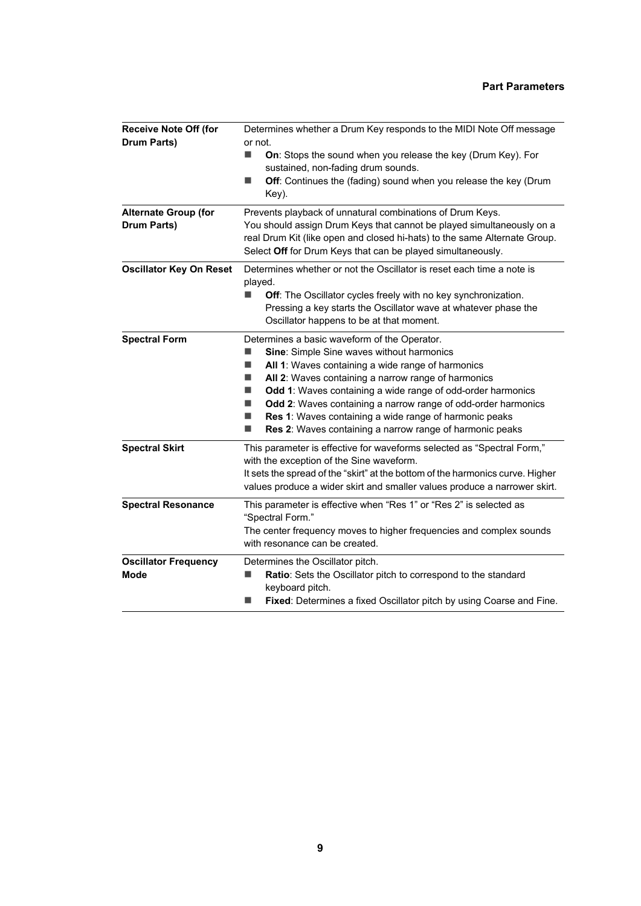| <b>Receive Note Off (for</b><br><b>Drum Parts)</b> | Determines whether a Drum Key responds to the MIDI Note Off message<br>or not. |                                                                                                                                                                                                                                                                                |  |
|----------------------------------------------------|--------------------------------------------------------------------------------|--------------------------------------------------------------------------------------------------------------------------------------------------------------------------------------------------------------------------------------------------------------------------------|--|
|                                                    | ▄                                                                              | On: Stops the sound when you release the key (Drum Key). For<br>sustained, non-fading drum sounds.                                                                                                                                                                             |  |
|                                                    |                                                                                | Off: Continues the (fading) sound when you release the key (Drum<br>Key).                                                                                                                                                                                                      |  |
| <b>Alternate Group (for</b><br><b>Drum Parts)</b>  |                                                                                | Prevents playback of unnatural combinations of Drum Keys.<br>You should assign Drum Keys that cannot be played simultaneously on a<br>real Drum Kit (like open and closed hi-hats) to the same Alternate Group.<br>Select Off for Drum Keys that can be played simultaneously. |  |
| <b>Oscillator Key On Reset</b>                     | played.                                                                        | Determines whether or not the Oscillator is reset each time a note is                                                                                                                                                                                                          |  |
|                                                    | $\blacksquare$                                                                 | Off: The Oscillator cycles freely with no key synchronization.<br>Pressing a key starts the Oscillator wave at whatever phase the<br>Oscillator happens to be at that moment.                                                                                                  |  |
| <b>Spectral Form</b>                               |                                                                                | Determines a basic waveform of the Operator.                                                                                                                                                                                                                                   |  |
|                                                    | ■                                                                              | Sine: Simple Sine waves without harmonics                                                                                                                                                                                                                                      |  |
|                                                    | ■                                                                              | All 1: Waves containing a wide range of harmonics                                                                                                                                                                                                                              |  |
|                                                    | H                                                                              | All 2: Waves containing a narrow range of harmonics                                                                                                                                                                                                                            |  |
|                                                    | H                                                                              | Odd 1: Waves containing a wide range of odd-order harmonics                                                                                                                                                                                                                    |  |
|                                                    | ■                                                                              | Odd 2: Waves containing a narrow range of odd-order harmonics                                                                                                                                                                                                                  |  |
|                                                    | ■                                                                              | Res 1: Waves containing a wide range of harmonic peaks                                                                                                                                                                                                                         |  |
|                                                    | ▄                                                                              | Res 2: Waves containing a narrow range of harmonic peaks                                                                                                                                                                                                                       |  |
| <b>Spectral Skirt</b>                              |                                                                                | This parameter is effective for waveforms selected as "Spectral Form,"<br>with the exception of the Sine waveform.                                                                                                                                                             |  |
|                                                    |                                                                                | It sets the spread of the "skirt" at the bottom of the harmonics curve. Higher                                                                                                                                                                                                 |  |
|                                                    |                                                                                | values produce a wider skirt and smaller values produce a narrower skirt.                                                                                                                                                                                                      |  |
| <b>Spectral Resonance</b>                          |                                                                                | This parameter is effective when "Res 1" or "Res 2" is selected as<br>"Spectral Form."                                                                                                                                                                                         |  |
|                                                    |                                                                                | The center frequency moves to higher frequencies and complex sounds<br>with resonance can be created.                                                                                                                                                                          |  |
| <b>Oscillator Frequency</b>                        |                                                                                | Determines the Oscillator pitch.                                                                                                                                                                                                                                               |  |
| Mode                                               | ■                                                                              | Ratio: Sets the Oscillator pitch to correspond to the standard<br>keyboard pitch.                                                                                                                                                                                              |  |
|                                                    | ■                                                                              | Fixed: Determines a fixed Oscillator pitch by using Coarse and Fine.                                                                                                                                                                                                           |  |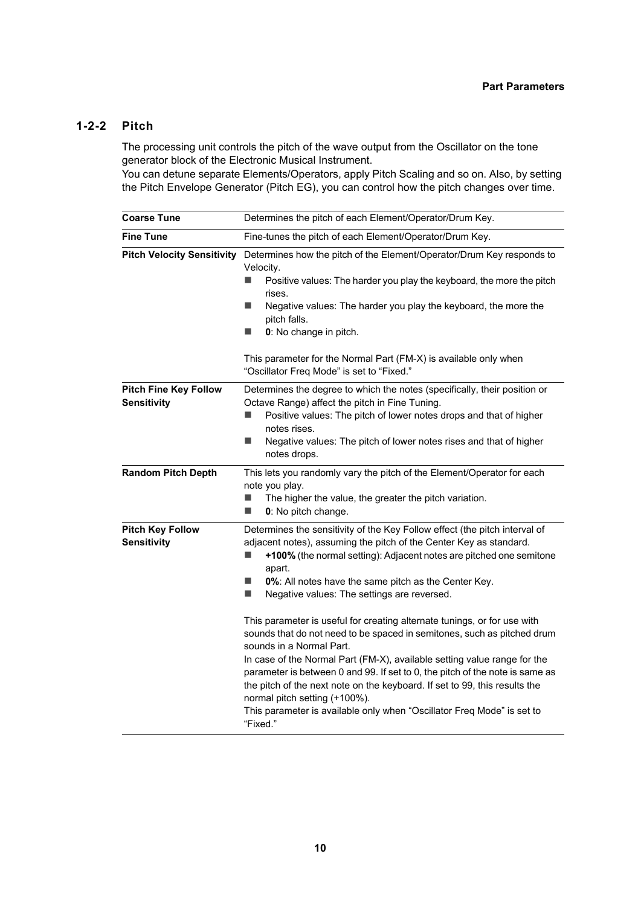# **1-2-2 Pitch**

<span id="page-9-0"></span>The processing unit controls the pitch of the wave output from the Oscillator on the tone generator block of the Electronic Musical Instrument.

You can detune separate Elements/Operators, apply Pitch Scaling and so on. Also, by setting the Pitch Envelope Generator (Pitch EG), you can control how the pitch changes over time.

| <b>Coarse Tune</b>                                 | Determines the pitch of each Element/Operator/Drum Key.                                                                                                                                                                                                                                                                                                                                                                                                                                                                                                                                                                                                                                                                                                                                                                                                                                                     |
|----------------------------------------------------|-------------------------------------------------------------------------------------------------------------------------------------------------------------------------------------------------------------------------------------------------------------------------------------------------------------------------------------------------------------------------------------------------------------------------------------------------------------------------------------------------------------------------------------------------------------------------------------------------------------------------------------------------------------------------------------------------------------------------------------------------------------------------------------------------------------------------------------------------------------------------------------------------------------|
| <b>Fine Tune</b>                                   | Fine-tunes the pitch of each Element/Operator/Drum Key.                                                                                                                                                                                                                                                                                                                                                                                                                                                                                                                                                                                                                                                                                                                                                                                                                                                     |
| <b>Pitch Velocity Sensitivity</b>                  | Determines how the pitch of the Element/Operator/Drum Key responds to<br>Velocity.<br>Positive values: The harder you play the keyboard, the more the pitch<br>$\blacksquare$<br>rises.<br>Negative values: The harder you play the keyboard, the more the<br>$\blacksquare$<br>pitch falls.<br>0: No change in pitch.<br>This parameter for the Normal Part (FM-X) is available only when<br>"Oscillator Freq Mode" is set to "Fixed."                                                                                                                                                                                                                                                                                                                                                                                                                                                                     |
| <b>Pitch Fine Key Follow</b><br><b>Sensitivity</b> | Determines the degree to which the notes (specifically, their position or<br>Octave Range) affect the pitch in Fine Tuning.<br>Positive values: The pitch of lower notes drops and that of higher<br>$\blacksquare$<br>notes rises.<br>Negative values: The pitch of lower notes rises and that of higher<br>$\blacksquare$<br>notes drops.                                                                                                                                                                                                                                                                                                                                                                                                                                                                                                                                                                 |
| <b>Random Pitch Depth</b>                          | This lets you randomly vary the pitch of the Element/Operator for each<br>note you play.<br>$\blacksquare$<br>The higher the value, the greater the pitch variation.<br>0: No pitch change.<br>■                                                                                                                                                                                                                                                                                                                                                                                                                                                                                                                                                                                                                                                                                                            |
| <b>Pitch Key Follow</b><br><b>Sensitivity</b>      | Determines the sensitivity of the Key Follow effect (the pitch interval of<br>adjacent notes), assuming the pitch of the Center Key as standard.<br>+100% (the normal setting): Adjacent notes are pitched one semitone<br>■<br>apart.<br>■<br>0%: All notes have the same pitch as the Center Key.<br>Negative values: The settings are reversed.<br>■<br>This parameter is useful for creating alternate tunings, or for use with<br>sounds that do not need to be spaced in semitones, such as pitched drum<br>sounds in a Normal Part.<br>In case of the Normal Part (FM-X), available setting value range for the<br>parameter is between 0 and 99. If set to 0, the pitch of the note is same as<br>the pitch of the next note on the keyboard. If set to 99, this results the<br>normal pitch setting (+100%).<br>This parameter is available only when "Oscillator Freq Mode" is set to<br>"Fixed." |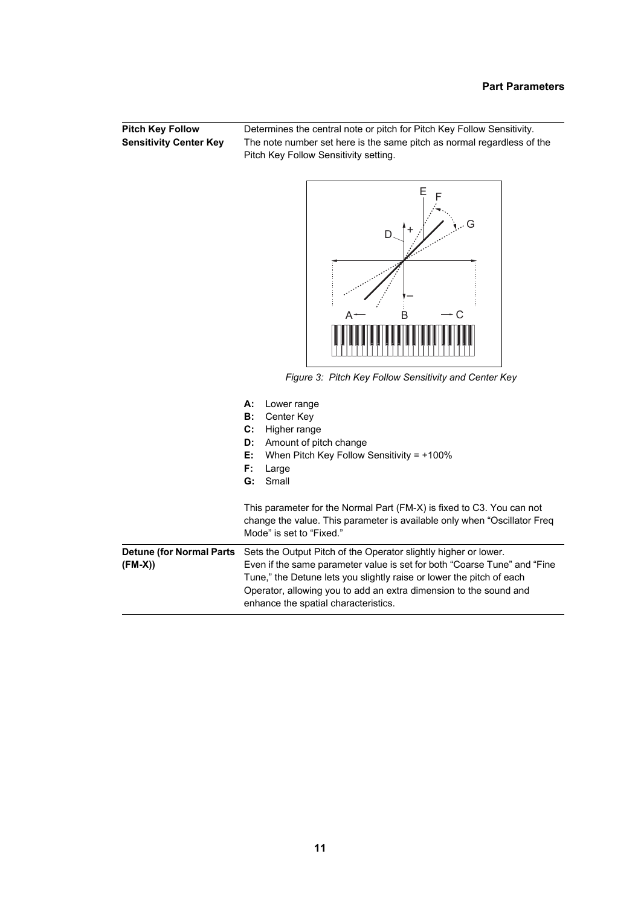**Pitch Key Follow Sensitivity Center Key** Determines the central note or pitch for Pitch Key Follow Sensitivity. The note number set here is the same pitch as normal regardless of the Pitch Key Follow Sensitivity setting.



*Figure 3: Pitch Key Follow Sensitivity and Center Key*

| A: Lower range       |
|----------------------|
| <b>B:</b> Center Key |

- **C:** Higher range
- **D:** Amount of pitch change
- **E:** When Pitch Key Follow Sensitivity = +100%
- **F:** Large
- **G:** Small

This parameter for the Normal Part (FM-X) is fixed to C3. You can not change the value. This parameter is available only when "Oscillator Freq Mode" is set to "Fixed."

|         | <b>Detune (for Normal Parts</b> Sets the Output Pitch of the Operator slightly higher or lower. |
|---------|-------------------------------------------------------------------------------------------------|
| (FM-X)) | Even if the same parameter value is set for both "Coarse Tune" and "Fine"                       |
|         | Tune," the Detune lets you slightly raise or lower the pitch of each                            |
|         | Operator, allowing you to add an extra dimension to the sound and                               |
|         | enhance the spatial characteristics.                                                            |
|         |                                                                                                 |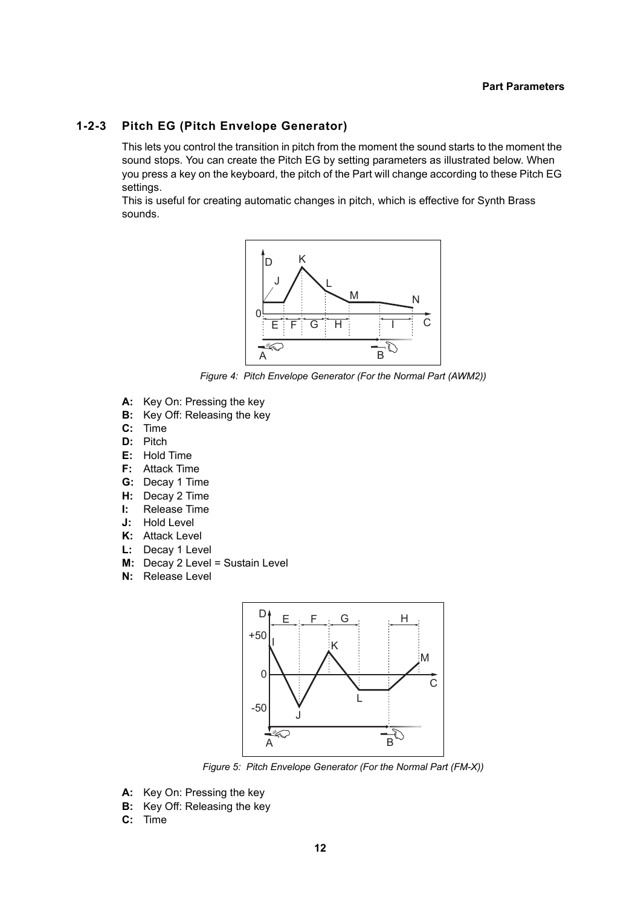## **1-2-3 Pitch EG (Pitch Envelope Generator)**

<span id="page-11-0"></span>This lets you control the transition in pitch from the moment the sound starts to the moment the sound stops. You can create the Pitch EG by setting parameters as illustrated below. When you press a key on the keyboard, the pitch of the Part will change according to these Pitch EG settings.

This is useful for creating automatic changes in pitch, which is effective for Synth Brass sounds.



*Figure 4: Pitch Envelope Generator (For the Normal Part (AWM2))*

- **A:** Key On: Pressing the key
- **B:** Key Off: Releasing the key
- **C:** Time
- **D:** Pitch
- **E:** Hold Time
- **F:** Attack Time
- **G:** Decay 1 Time
- **H:** Decay 2 Time
- **I:** Release Time
- **J:** Hold Level
- **K:** Attack Level
- **L:** Decay 1 Level
- **M:** Decay 2 Level = Sustain Level
- **N:** Release Level



*Figure 5: Pitch Envelope Generator (For the Normal Part (FM-X))*

- **A:** Key On: Pressing the key
- **B:** Key Off: Releasing the key
- **C:** Time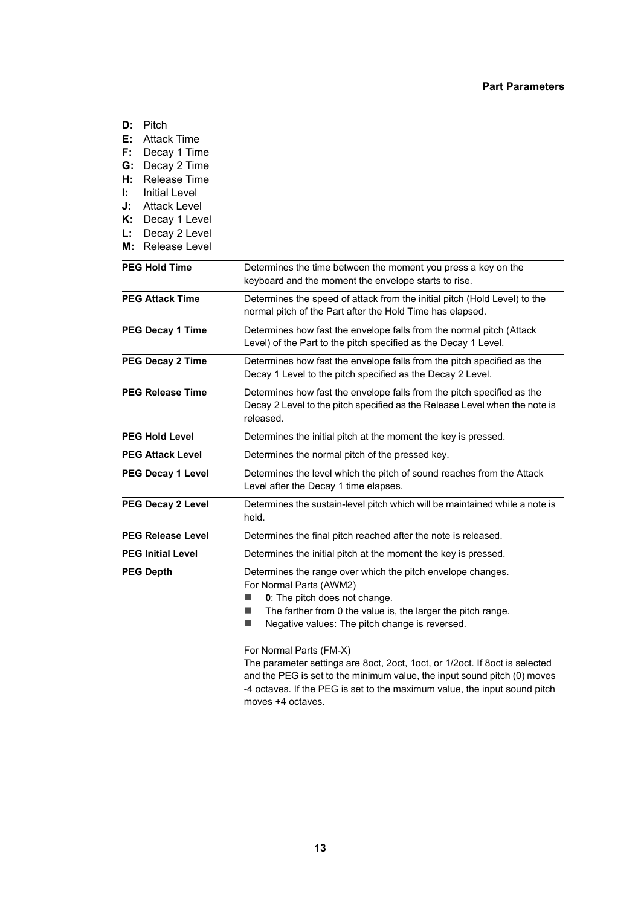| D: | Pitch                    |                                                                                                                                                                   |
|----|--------------------------|-------------------------------------------------------------------------------------------------------------------------------------------------------------------|
| Е. | <b>Attack Time</b>       |                                                                                                                                                                   |
| F: | Decay 1 Time             |                                                                                                                                                                   |
| G: | Decay 2 Time             |                                                                                                                                                                   |
| Н: | Release Time             |                                                                                                                                                                   |
| Ŀ. | <b>Initial Level</b>     |                                                                                                                                                                   |
| J: | <b>Attack Level</b>      |                                                                                                                                                                   |
| K: | Decay 1 Level            |                                                                                                                                                                   |
| Ŀ. | Decay 2 Level            |                                                                                                                                                                   |
| М: | Release Level            |                                                                                                                                                                   |
|    | <b>PEG Hold Time</b>     | Determines the time between the moment you press a key on the<br>keyboard and the moment the envelope starts to rise.                                             |
|    | <b>PEG Attack Time</b>   | Determines the speed of attack from the initial pitch (Hold Level) to the<br>normal pitch of the Part after the Hold Time has elapsed.                            |
|    | <b>PEG Decay 1 Time</b>  | Determines how fast the envelope falls from the normal pitch (Attack<br>Level) of the Part to the pitch specified as the Decay 1 Level.                           |
|    | <b>PEG Decay 2 Time</b>  | Determines how fast the envelope falls from the pitch specified as the<br>Decay 1 Level to the pitch specified as the Decay 2 Level.                              |
|    | <b>PEG Release Time</b>  | Determines how fast the envelope falls from the pitch specified as the<br>Decay 2 Level to the pitch specified as the Release Level when the note is<br>released. |
|    | <b>PEG Hold Level</b>    | Determines the initial pitch at the moment the key is pressed.                                                                                                    |
|    | <b>PEG Attack Level</b>  | Determines the normal pitch of the pressed key.                                                                                                                   |
|    | PEG Decay 1 Level        | Determines the level which the pitch of sound reaches from the Attack<br>Level after the Decay 1 time elapses.                                                    |
|    | PEG Decay 2 Level        | Determines the sustain-level pitch which will be maintained while a note is<br>held.                                                                              |
|    | <b>PEG Release Level</b> | Determines the final pitch reached after the note is released.                                                                                                    |
|    | <b>PEG Initial Level</b> | Determines the initial pitch at the moment the key is pressed.                                                                                                    |
|    | <b>PEG Depth</b>         | Determines the range over which the pitch envelope changes.                                                                                                       |
|    |                          | For Normal Parts (AWM2)                                                                                                                                           |
|    |                          | H<br>0: The pitch does not change.                                                                                                                                |
|    |                          | $\mathbb{R}^n$<br>The farther from 0 the value is, the larger the pitch range.                                                                                    |
|    |                          | Negative values: The pitch change is reversed.<br>п                                                                                                               |
|    |                          | For Normal Parts (FM-X)                                                                                                                                           |
|    |                          | The parameter settings are 8oct, 2oct, 1oct, or 1/2oct. If 8oct is selected                                                                                       |
|    |                          | and the PEG is set to the minimum value, the input sound pitch (0) moves                                                                                          |
|    |                          | -4 octaves. If the PEG is set to the maximum value, the input sound pitch                                                                                         |

moves +4 octaves.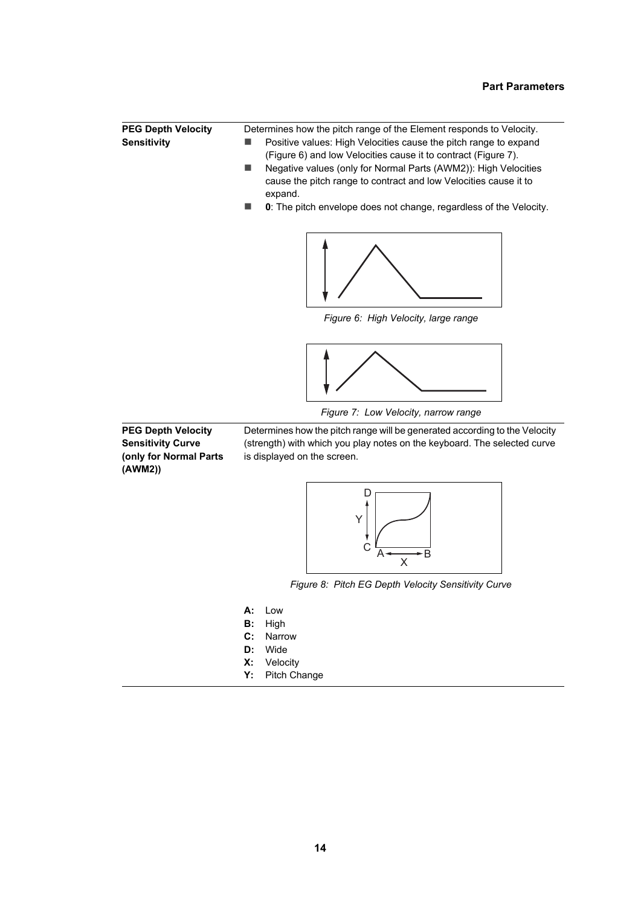<span id="page-13-1"></span>

| <b>PEG Depth Velocity</b><br><b>Sensitivity</b>                                            | Determines how the pitch range of the Element responds to Velocity.<br>Positive values: High Velocities cause the pitch range to expand<br>(Figure 6) and low Velocities cause it to contract (Figure 7).<br>Negative values (only for Normal Parts (AWM2)): High Velocities<br>cause the pitch range to contract and low Velocities cause it to<br>expand.<br>0: The pitch envelope does not change, regardless of the Velocity.<br>■ |
|--------------------------------------------------------------------------------------------|----------------------------------------------------------------------------------------------------------------------------------------------------------------------------------------------------------------------------------------------------------------------------------------------------------------------------------------------------------------------------------------------------------------------------------------|
|                                                                                            | Figure 6: High Velocity, large range                                                                                                                                                                                                                                                                                                                                                                                                   |
|                                                                                            | Figure 7: Low Velocity, narrow range                                                                                                                                                                                                                                                                                                                                                                                                   |
| <b>PEG Depth Velocity</b><br><b>Sensitivity Curve</b><br>(only for Normal Parts<br>(AWM2)) | Determines how the pitch range will be generated according to the Velocity<br>(strength) with which you play notes on the keyboard. The selected curve<br>is displayed on the screen.                                                                                                                                                                                                                                                  |
|                                                                                            | D<br>Y<br>х                                                                                                                                                                                                                                                                                                                                                                                                                            |
|                                                                                            | Figure 8: Pitch EG Depth Velocity Sensitivity Curve                                                                                                                                                                                                                                                                                                                                                                                    |
|                                                                                            | А:<br>Low<br>в:<br>High<br>$N = 1$                                                                                                                                                                                                                                                                                                                                                                                                     |

- <span id="page-13-0"></span>**C:** Narrow
- **D:** Wide
- **X:** Velocity
- **Y:** Pitch Change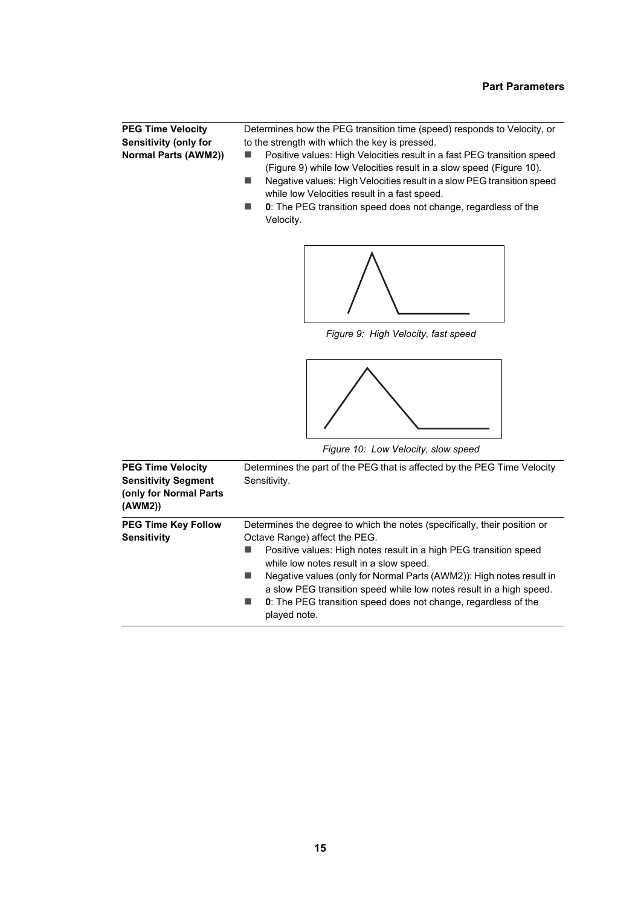**PEG Time Velocity Sensitivity (only for Normal Parts (AWM2))** Determines how the PEG transition time (speed) responds to Velocity, or to the strength with which the key is pressed.

- **Positive values: High Velocities result in a fast PEG transition speed** ([Figure 9\)](#page-14-1) while low Velocities result in a slow speed ([Figure 10\)](#page-14-0).
- Negative values: High Velocities result in a slow PEG transition speed while low Velocities result in a fast speed.
- **0**: The PEG transition speed does not change, regardless of the Velocity.



*Figure 9: High Velocity, fast speed*

<span id="page-14-1"></span>

<span id="page-14-0"></span>*Figure 10: Low Velocity, slow speed*

| <b>PEG Time Velocity</b><br><b>Sensitivity Segment</b><br>(only for Normal Parts)<br>(AWM2)) | Determines the part of the PEG that is affected by the PEG Time Velocity<br>Sensitivity.                                                                                                                                                                                                                                                                                                                                                                            |
|----------------------------------------------------------------------------------------------|---------------------------------------------------------------------------------------------------------------------------------------------------------------------------------------------------------------------------------------------------------------------------------------------------------------------------------------------------------------------------------------------------------------------------------------------------------------------|
| <b>PEG Time Key Follow</b><br><b>Sensitivity</b>                                             | Determines the degree to which the notes (specifically, their position or<br>Octave Range) affect the PEG.<br>Positive values: High notes result in a high PEG transition speed<br>while low notes result in a slow speed.<br>Negative values (only for Normal Parts (AWM2)): High notes result in<br>a slow PEG transition speed while low notes result in a high speed.<br><b>0</b> : The PEG transition speed does not change, regardless of the<br>played note. |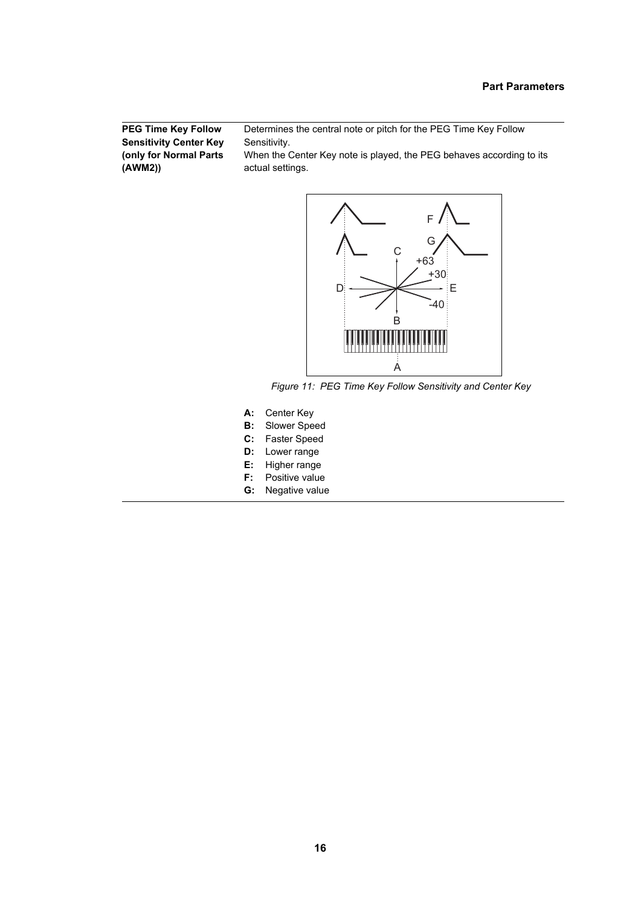**PEG Time Key Follow Sensitivity Center Key (only for Normal Parts (AWM2))**

Determines the central note or pitch for the PEG Time Key Follow Sensitivity. When the Center Key note is played, the PEG behaves according to its



*Figure 11: PEG Time Key Follow Sensitivity and Center Key*

**A:** Center Key

actual settings.

- **B:** Slower Speed
- **C:** Faster Speed
- **D:** Lower range
- **E:** Higher range
- **F:** Positive value
- **G:** Negative value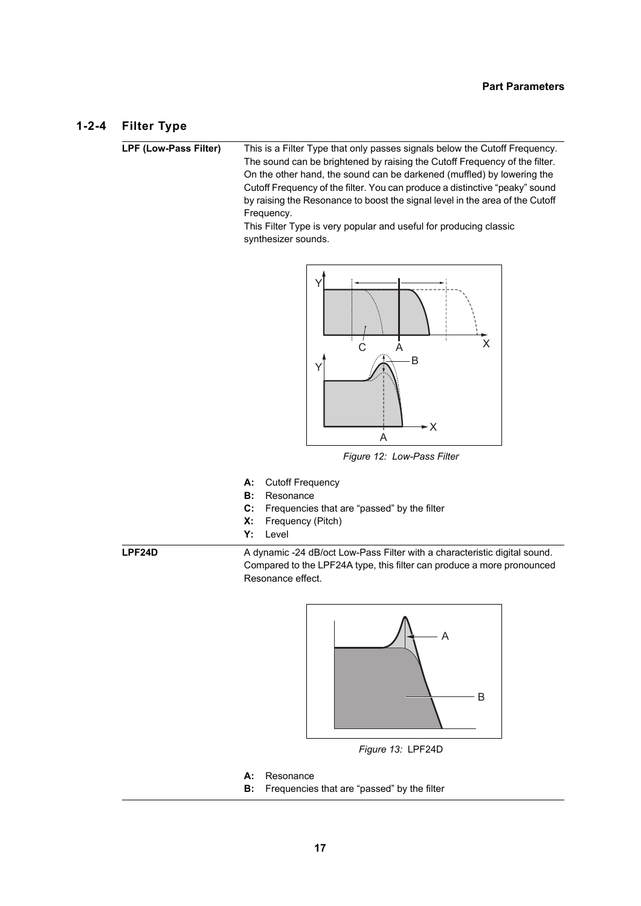# **1-2-4 Filter Type**

<span id="page-16-0"></span>**LPF (Low-Pass Filter)** This is a Filter Type that only passes signals below the Cutoff Frequency. The sound can be brightened by raising the Cutoff Frequency of the filter. On the other hand, the sound can be darkened (muffled) by lowering the Cutoff Frequency of the filter. You can produce a distinctive "peaky" sound by raising the Resonance to boost the signal level in the area of the Cutoff Frequency.

> This Filter Type is very popular and useful for producing classic synthesizer sounds.



*Figure 12: Low-Pass Filter*

- **A:** Cutoff Frequency
- **B:** Resonance
- **C:** Frequencies that are "passed" by the filter
- **X:** Frequency (Pitch)
- **Y:** Level

**LPF24D** A dynamic -24 dB/oct Low-Pass Filter with a characteristic digital sound. Compared to the LPF24A type, this filter can produce a more pronounced Resonance effect.



*Figure 13:* LPF24D

- **A:** Resonance
- **B:** Frequencies that are "passed" by the filter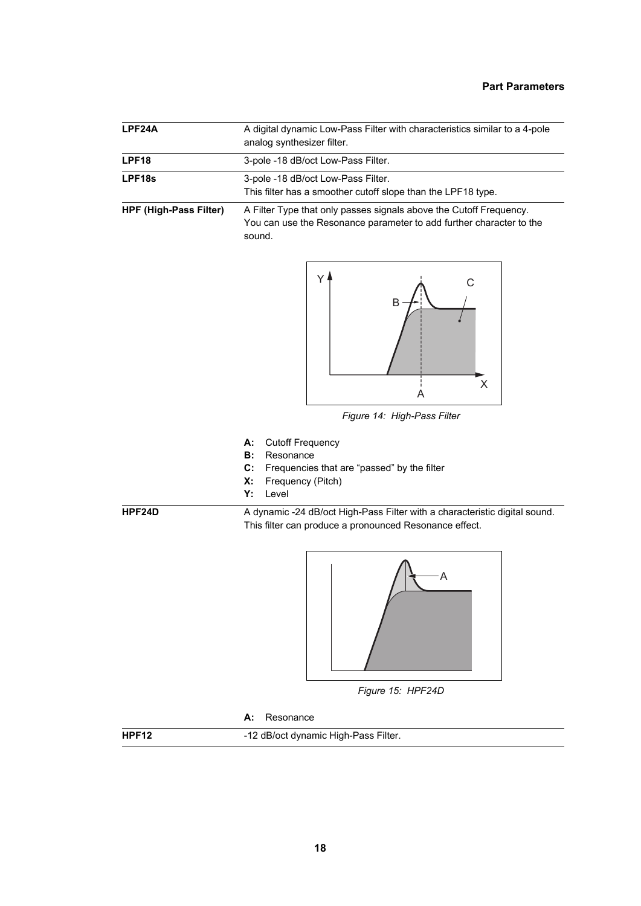| LPF24A                        | A digital dynamic Low-Pass Filter with characteristics similar to a 4-pole<br>analog synthesizer filter. |
|-------------------------------|----------------------------------------------------------------------------------------------------------|
| LPF18                         | 3-pole -18 dB/oct Low-Pass Filter.                                                                       |
| LPF18s                        | 3-pole -18 dB/oct Low-Pass Filter.<br>This filter has a smoother cutoff slope than the LPF18 type.       |
| <b>HPF (High-Pass Filter)</b> | A Filter Type that only passes signals above the Cutoff Frequency.                                       |



You can use the Resonance parameter to add further character to the

*Figure 14: High-Pass Filter*

- **A:** Cutoff Frequency
- **B:** Resonance

sound.

- **C:** Frequencies that are "passed" by the filter
- **X:** Frequency (Pitch)
- **Y:** Level

**HPF24D** A dynamic -24 dB/oct High-Pass Filter with a characteristic digital sound. This filter can produce a pronounced Resonance effect.



*Figure 15: HPF24D*

#### **A:** Resonance

**HPF12** -12 dB/oct dynamic High-Pass Filter.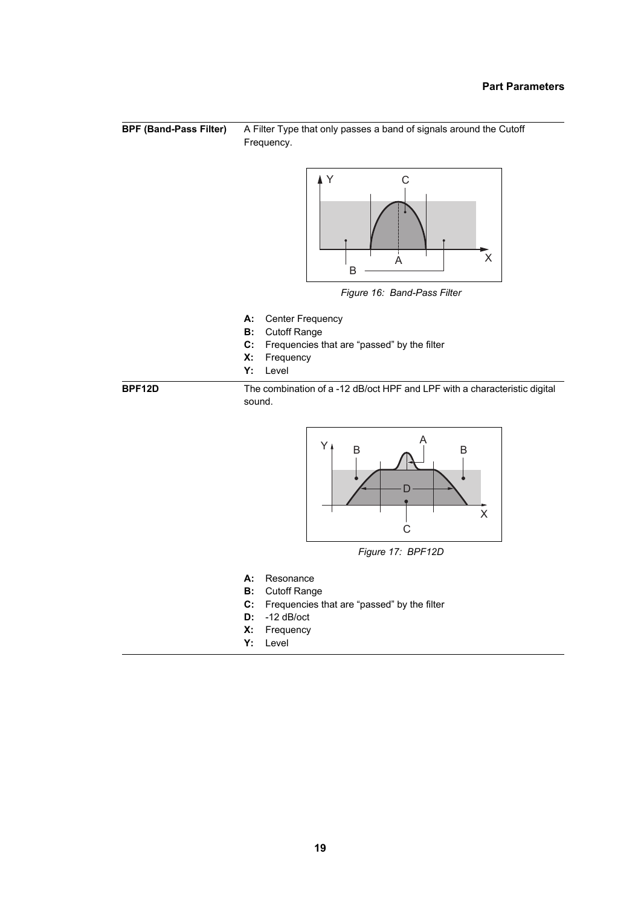



*Figure 16: Band-Pass Filter*

- **A:** Center Frequency
- **B:** Cutoff Range
- **C:** Frequencies that are "passed" by the filter
- **X:** Frequency
- **Y:** Level

**BPF12D** The combination of a -12 dB/oct HPF and LPF with a characteristic digital sound.



*Figure 17: BPF12D*

- **A:** Resonance
- **B:** Cutoff Range
- **C:** Frequencies that are "passed" by the filter
- **D:** -12 dB/oct
- **X:** Frequency
- **Y:** Level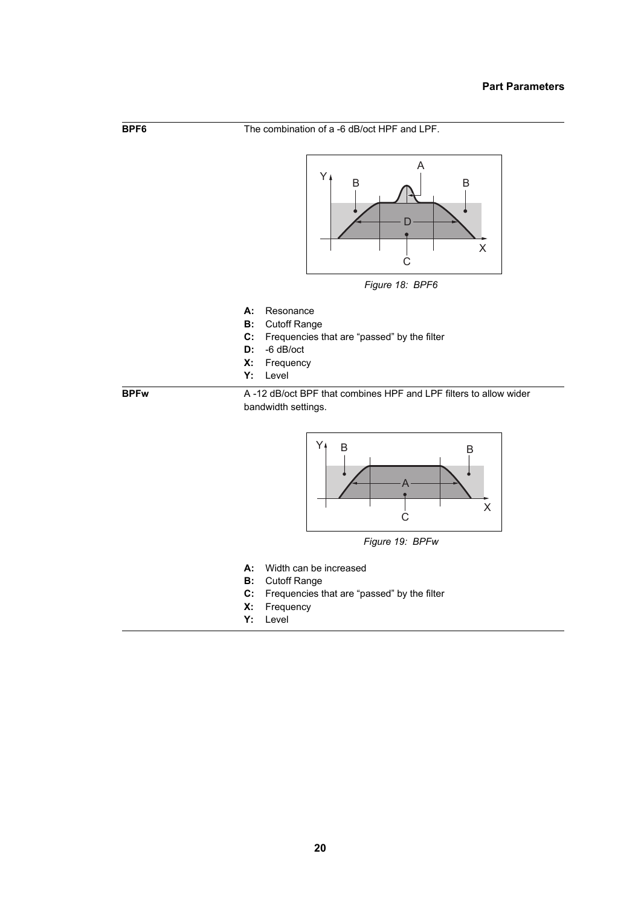



*Figure 18: BPF6*

- **A:** Resonance
- **B:** Cutoff Range
- **C:** Frequencies that are "passed" by the filter
- **D:** -6 dB/oct
- **X:** Frequency
- **Y:** Level

**BPFw** A -12 dB/oct BPF that combines HPF and LPF filters to allow wider bandwidth settings.



*Figure 19: BPFw*

- **A:** Width can be increased
- **B:** Cutoff Range
- **C:** Frequencies that are "passed" by the filter
- **X:** Frequency
- **Y:** Level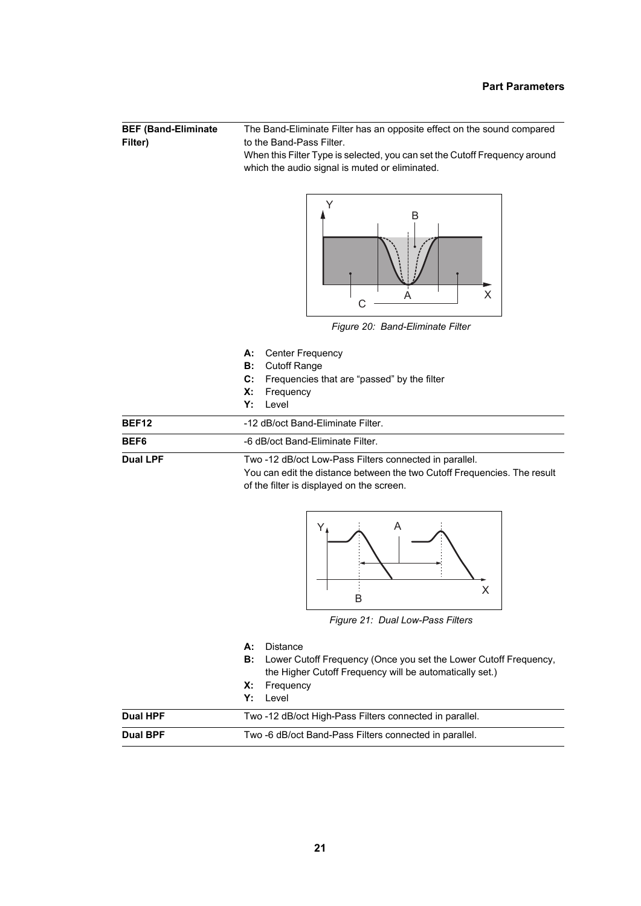**BEF (Band-Eliminate Filter)** The Band-Eliminate Filter has an opposite effect on the sound compared to the Band-Pass Filter.

When this Filter Type is selected, you can set the Cutoff Frequency around which the audio signal is muted or eliminated.



*Figure 20: Band-Eliminate Filter*

- **A:** Center Frequency
- **B:** Cutoff Range
- **C:** Frequencies that are "passed" by the filter
- **X:** Frequency
- **Y:** Level

| BEF12           | -12 dB/oct Band-Eliminate Filter.                                                                                                  |
|-----------------|------------------------------------------------------------------------------------------------------------------------------------|
| BEF6            | -6 dB/oct Band-Eliminate Filter.                                                                                                   |
| <b>Dual LPF</b> | Two -12 dB/oct Low-Pass Filters connected in parallel.<br>You can edit the distance between the two Cutoff Frequencies. The result |
|                 | of the filter is displayed on the screen.                                                                                          |



*Figure 21: Dual Low-Pass Filters*

| <b>A:</b> Distance<br><b>B:</b> Lower Cutoff Frequency (Once you set the Lower Cutoff Frequency,<br>the Higher Cutoff Frequency will be automatically set.) |
|-------------------------------------------------------------------------------------------------------------------------------------------------------------|
| X: Frequency                                                                                                                                                |
| $Y:$ level                                                                                                                                                  |

| <b>Dual HPF</b> | Two -12 dB/oct High-Pass Filters connected in parallel. |
|-----------------|---------------------------------------------------------|
| <b>Dual BPF</b> | Two -6 dB/oct Band-Pass Filters connected in parallel.  |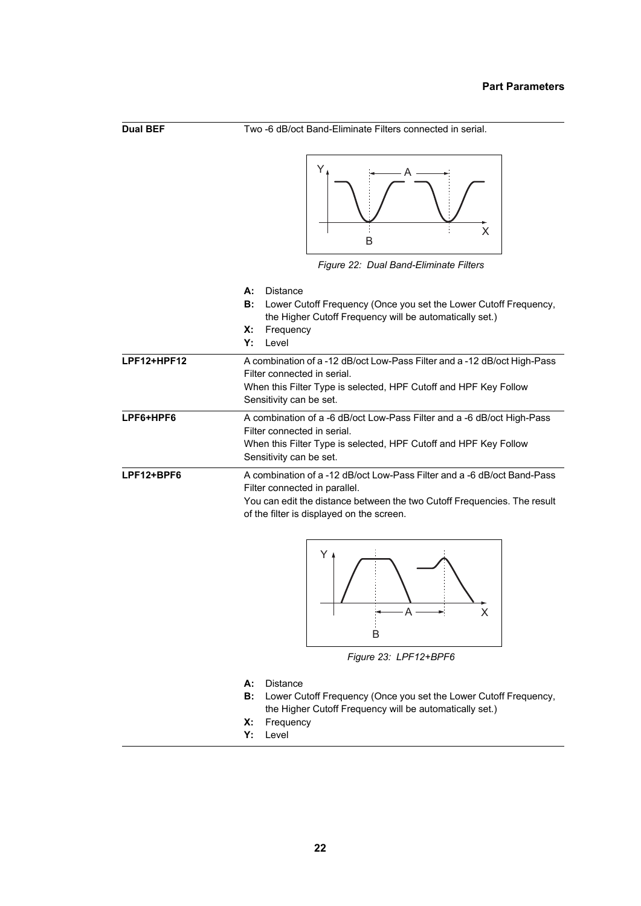| <b>Dual BEF</b> | Two -6 dB/oct Band-Eliminate Filters connected in serial.                                                                                                                                                                                             |
|-----------------|-------------------------------------------------------------------------------------------------------------------------------------------------------------------------------------------------------------------------------------------------------|
|                 | Y<br>X<br>B<br>Figure 22: Dual Band-Eliminate Filters                                                                                                                                                                                                 |
|                 | <b>Distance</b><br>А:<br>Lower Cutoff Frequency (Once you set the Lower Cutoff Frequency,<br>В:<br>the Higher Cutoff Frequency will be automatically set.)<br>Х:<br>Frequency<br>Level<br>Υ:                                                          |
| LPF12+HPF12     | A combination of a -12 dB/oct Low-Pass Filter and a -12 dB/oct High-Pass<br>Filter connected in serial.<br>When this Filter Type is selected, HPF Cutoff and HPF Key Follow<br>Sensitivity can be set.                                                |
| LPF6+HPF6       | A combination of a -6 dB/oct Low-Pass Filter and a -6 dB/oct High-Pass<br>Filter connected in serial.<br>When this Filter Type is selected, HPF Cutoff and HPF Key Follow<br>Sensitivity can be set.                                                  |
| LPF12+BPF6      | A combination of a -12 dB/oct Low-Pass Filter and a -6 dB/oct Band-Pass<br>Filter connected in parallel.<br>You can edit the distance between the two Cutoff Frequencies. The result<br>of the filter is displayed on the screen.<br>Y<br>А<br>X<br>в |

*Figure 23: LPF12+BPF6*

- **A:** Distance
- **B:** Lower Cutoff Frequency (Once you set the Lower Cutoff Frequency, the Higher Cutoff Frequency will be automatically set.)
- **X:** Frequency
- **Y:** Level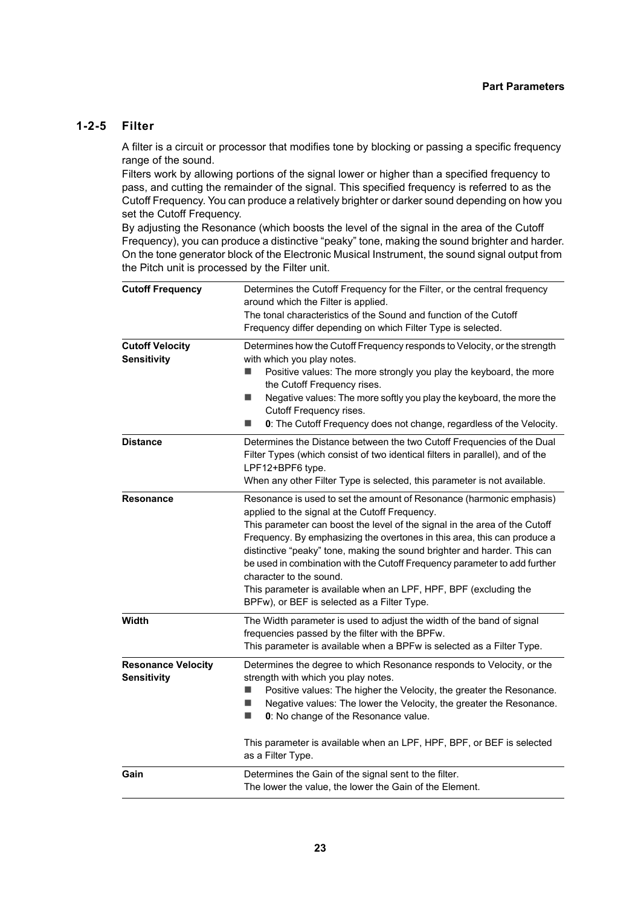# **1-2-5 Filter**

<span id="page-22-0"></span>A filter is a circuit or processor that modifies tone by blocking or passing a specific frequency range of the sound.

Filters work by allowing portions of the signal lower or higher than a specified frequency to pass, and cutting the remainder of the signal. This specified frequency is referred to as the Cutoff Frequency. You can produce a relatively brighter or darker sound depending on how you set the Cutoff Frequency.

By adjusting the Resonance (which boosts the level of the signal in the area of the Cutoff Frequency), you can produce a distinctive "peaky" tone, making the sound brighter and harder. On the tone generator block of the Electronic Musical Instrument, the sound signal output from the Pitch unit is processed by the Filter unit.

| <b>Cutoff Frequency</b>                         | Determines the Cutoff Frequency for the Filter, or the central frequency<br>around which the Filter is applied.<br>The tonal characteristics of the Sound and function of the Cutoff                                                                                                                                                                                                                                                                                                                                                                                                    |
|-------------------------------------------------|-----------------------------------------------------------------------------------------------------------------------------------------------------------------------------------------------------------------------------------------------------------------------------------------------------------------------------------------------------------------------------------------------------------------------------------------------------------------------------------------------------------------------------------------------------------------------------------------|
| <b>Cutoff Velocity</b><br><b>Sensitivity</b>    | Frequency differ depending on which Filter Type is selected.<br>Determines how the Cutoff Frequency responds to Velocity, or the strength<br>with which you play notes.<br>Positive values: The more strongly you play the keyboard, the more<br>$\blacksquare$<br>the Cutoff Frequency rises.<br>Negative values: The more softly you play the keyboard, the more the<br>$\blacksquare$<br>Cutoff Frequency rises.<br>0: The Cutoff Frequency does not change, regardless of the Velocity.<br>m.                                                                                       |
| <b>Distance</b>                                 | Determines the Distance between the two Cutoff Frequencies of the Dual<br>Filter Types (which consist of two identical filters in parallel), and of the<br>LPF12+BPF6 type.<br>When any other Filter Type is selected, this parameter is not available.                                                                                                                                                                                                                                                                                                                                 |
| <b>Resonance</b>                                | Resonance is used to set the amount of Resonance (harmonic emphasis)<br>applied to the signal at the Cutoff Frequency.<br>This parameter can boost the level of the signal in the area of the Cutoff<br>Frequency. By emphasizing the overtones in this area, this can produce a<br>distinctive "peaky" tone, making the sound brighter and harder. This can<br>be used in combination with the Cutoff Frequency parameter to add further<br>character to the sound.<br>This parameter is available when an LPF, HPF, BPF (excluding the<br>BPFw), or BEF is selected as a Filter Type. |
| Width                                           | The Width parameter is used to adjust the width of the band of signal<br>frequencies passed by the filter with the BPFw.<br>This parameter is available when a BPFw is selected as a Filter Type.                                                                                                                                                                                                                                                                                                                                                                                       |
| <b>Resonance Velocity</b><br><b>Sensitivity</b> | Determines the degree to which Resonance responds to Velocity, or the<br>strength with which you play notes.<br>Positive values: The higher the Velocity, the greater the Resonance.<br>$\blacksquare$<br><b>I</b><br>Negative values: The lower the Velocity, the greater the Resonance.<br><b>I</b><br>0: No change of the Resonance value.<br>This parameter is available when an LPF, HPF, BPF, or BEF is selected                                                                                                                                                                  |
| Gain                                            | as a Filter Type.<br>Determines the Gain of the signal sent to the filter.                                                                                                                                                                                                                                                                                                                                                                                                                                                                                                              |
|                                                 | The lower the value, the lower the Gain of the Element.                                                                                                                                                                                                                                                                                                                                                                                                                                                                                                                                 |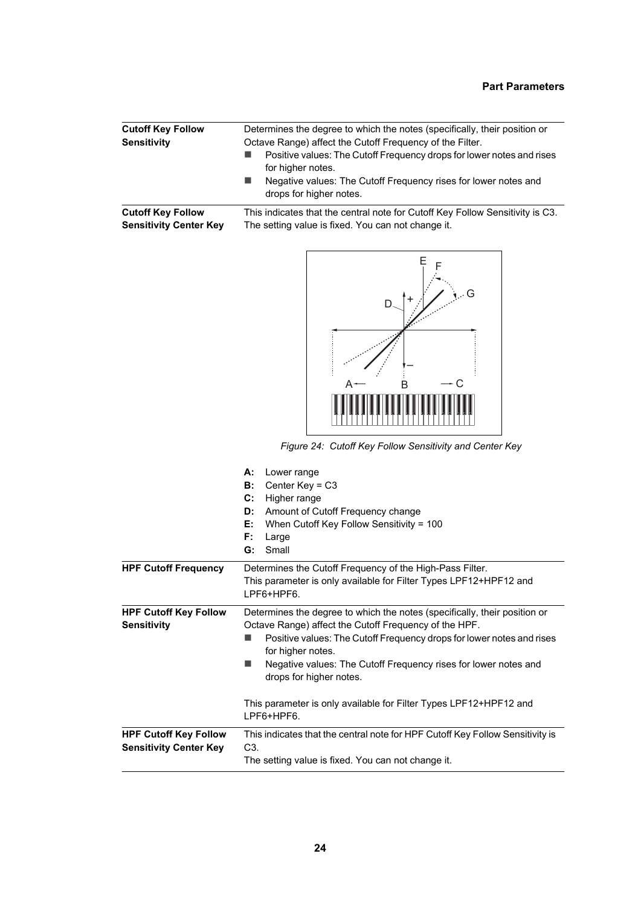| <b>Cutoff Key Follow</b><br><b>Sensitivity</b>            | Determines the degree to which the notes (specifically, their position or<br>Octave Range) affect the Cutoff Frequency of the Filter.<br>Positive values: The Cutoff Frequency drops for lower notes and rises<br>for higher notes. |  |
|-----------------------------------------------------------|-------------------------------------------------------------------------------------------------------------------------------------------------------------------------------------------------------------------------------------|--|
|                                                           | Negative values: The Cutoff Frequency rises for lower notes and<br>drops for higher notes.                                                                                                                                          |  |
| <b>Cutoff Key Follow</b><br><b>Sensitivity Center Key</b> | This indicates that the central note for Cutoff Key Follow Sensitivity is C3.<br>The setting value is fixed. You can not change it.                                                                                                 |  |



*Figure 24: Cutoff Key Follow Sensitivity and Center Key*

|                                                               | Lower range<br>А:<br>Center Key = C3<br>В:<br>$\mathbf{C}$ :<br>Higher range<br>Amount of Cutoff Frequency change<br>D:<br>Е:<br>When Cutoff Key Follow Sensitivity = 100<br>F:<br>Large<br>Small<br>G:                                                                                                                                                                                                           |
|---------------------------------------------------------------|-------------------------------------------------------------------------------------------------------------------------------------------------------------------------------------------------------------------------------------------------------------------------------------------------------------------------------------------------------------------------------------------------------------------|
| <b>HPF Cutoff Frequency</b>                                   | Determines the Cutoff Frequency of the High-Pass Filter.<br>This parameter is only available for Filter Types LPF12+HPF12 and<br>LPF6+HPF6.                                                                                                                                                                                                                                                                       |
| <b>HPF Cutoff Key Follow</b><br><b>Sensitivity</b>            | Determines the degree to which the notes (specifically, their position or<br>Octave Range) affect the Cutoff Frequency of the HPF.<br>Positive values: The Cutoff Frequency drops for lower notes and rises<br>for higher notes.<br>Negative values: The Cutoff Frequency rises for lower notes and<br>drops for higher notes.<br>This parameter is only available for Filter Types LPF12+HPF12 and<br>LPF6+HPF6. |
| <b>HPF Cutoff Key Follow</b><br><b>Sensitivity Center Key</b> | This indicates that the central note for HPF Cutoff Key Follow Sensitivity is<br>C <sub>3</sub><br>The setting value is fixed. You can not change it.                                                                                                                                                                                                                                                             |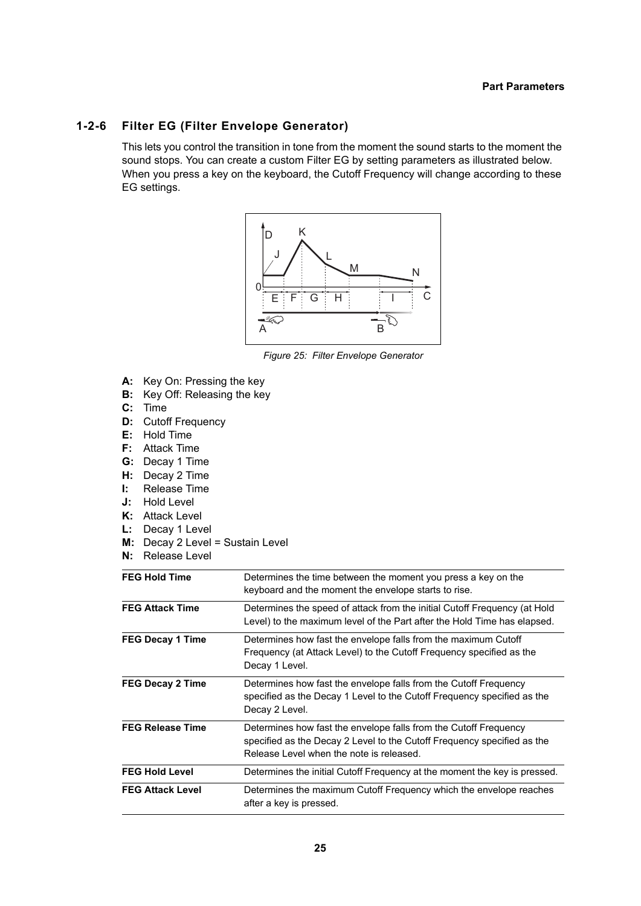# **1-2-6 Filter EG (Filter Envelope Generator)**

<span id="page-24-0"></span>This lets you control the transition in tone from the moment the sound starts to the moment the sound stops. You can create a custom Filter EG by setting parameters as illustrated below. When you press a key on the keyboard, the Cutoff Frequency will change according to these EG settings.



*Figure 25: Filter Envelope Generator*

- **A:** Key On: Pressing the key
- **B:** Key Off: Releasing the key
- **C:** Time
- **D:** Cutoff Frequency
- **E:** Hold Time
- **F:** Attack Time
- **G:** Decay 1 Time
- **H:** Decay 2 Time
- **I:** Release Time
- **J:** Hold Level
- **K:** Attack Level
- **L:** Decay 1 Level
- **M:** Decay 2 Level = Sustain Level
- **N:** Release Level

| <b>FEG Hold Time</b>    | Determines the time between the moment you press a key on the<br>keyboard and the moment the envelope starts to rise.                                                                   |
|-------------------------|-----------------------------------------------------------------------------------------------------------------------------------------------------------------------------------------|
| <b>FEG Attack Time</b>  | Determines the speed of attack from the initial Cutoff Frequency (at Hold<br>Level) to the maximum level of the Part after the Hold Time has elapsed.                                   |
| <b>FEG Decay 1 Time</b> | Determines how fast the envelope falls from the maximum Cutoff<br>Frequency (at Attack Level) to the Cutoff Frequency specified as the<br>Decay 1 Level.                                |
| <b>FEG Decay 2 Time</b> | Determines how fast the envelope falls from the Cutoff Frequency<br>specified as the Decay 1 Level to the Cutoff Frequency specified as the<br>Decay 2 Level.                           |
| <b>FEG Release Time</b> | Determines how fast the envelope falls from the Cutoff Frequency<br>specified as the Decay 2 Level to the Cutoff Frequency specified as the<br>Release Level when the note is released. |
| <b>FEG Hold Level</b>   | Determines the initial Cutoff Frequency at the moment the key is pressed.                                                                                                               |
| <b>FEG Attack Level</b> | Determines the maximum Cutoff Frequency which the envelope reaches<br>after a key is pressed.                                                                                           |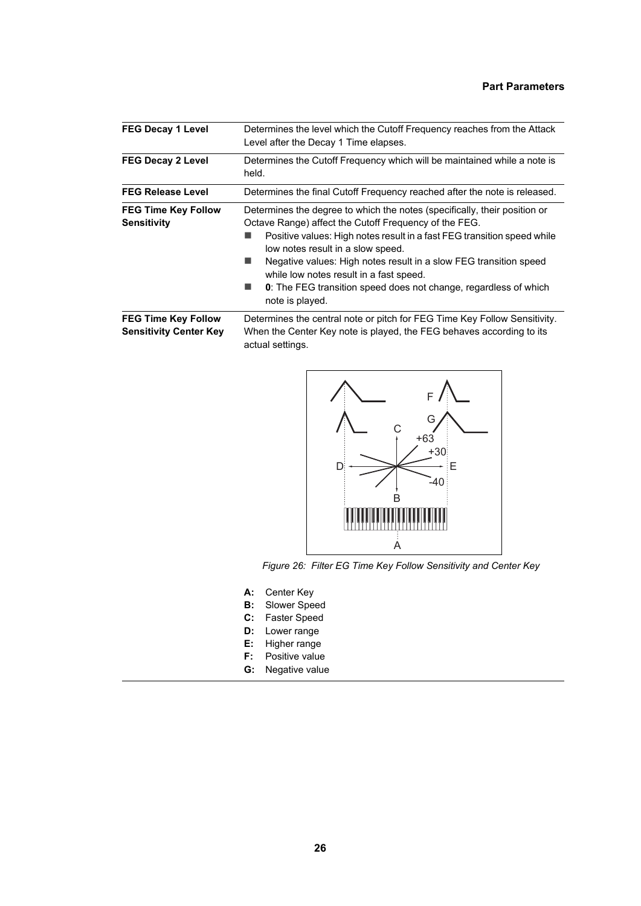| <b>FEG Decay 1 Level</b>                                    | Determines the level which the Cutoff Frequency reaches from the Attack<br>Level after the Decay 1 Time elapses.                                                                                                                                                                                                                                                                                                                                                  |
|-------------------------------------------------------------|-------------------------------------------------------------------------------------------------------------------------------------------------------------------------------------------------------------------------------------------------------------------------------------------------------------------------------------------------------------------------------------------------------------------------------------------------------------------|
| <b>FEG Decay 2 Level</b>                                    | Determines the Cutoff Frequency which will be maintained while a note is<br>held.                                                                                                                                                                                                                                                                                                                                                                                 |
| <b>FEG Release Level</b>                                    | Determines the final Cutoff Frequency reached after the note is released.                                                                                                                                                                                                                                                                                                                                                                                         |
| <b>FEG Time Key Follow</b><br><b>Sensitivity</b>            | Determines the degree to which the notes (specifically, their position or<br>Octave Range) affect the Cutoff Frequency of the FEG.<br>Positive values: High notes result in a fast FEG transition speed while<br>low notes result in a slow speed.<br>Negative values: High notes result in a slow FEG transition speed<br>while low notes result in a fast speed.<br><b>0</b> : The FEG transition speed does not change, regardless of which<br>note is played. |
| <b>FEG Time Key Follow</b><br><b>Sensitivity Center Key</b> | Determines the central note or pitch for FEG Time Key Follow Sensitivity.<br>When the Center Key note is played, the FEG behaves according to its<br>actual settings.                                                                                                                                                                                                                                                                                             |



*Figure 26: Filter EG Time Key Follow Sensitivity and Center Key*

- **A:** Center Key
- **B:** Slower Speed
- **C:** Faster Speed
- **D:** Lower range
- **E:** Higher range
- **F:** Positive value
- **G:** Negative value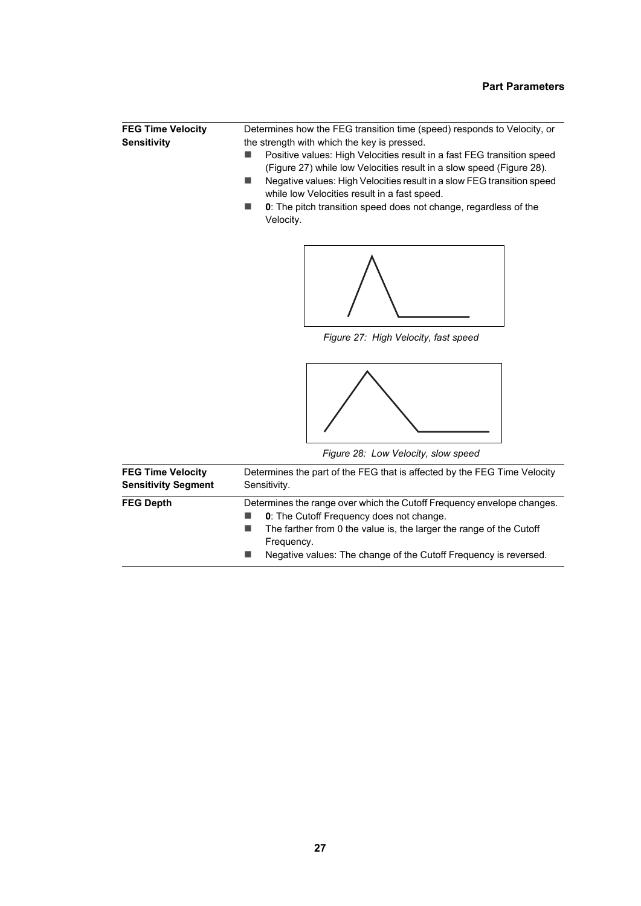<span id="page-26-1"></span><span id="page-26-0"></span>

| <b>FEG Time Velocity</b><br><b>Sensitivity</b>         | Determines how the FEG transition time (speed) responds to Velocity, or<br>the strength with which the key is pressed.<br>Positive values: High Velocities result in a fast FEG transition speed<br>(Figure 27) while low Velocities result in a slow speed (Figure 28).<br>Negative values: High Velocities result in a slow FEG transition speed<br>while low Velocities result in a fast speed.<br>0: The pitch transition speed does not change, regardless of the<br>▄<br>Velocity. |  |  |
|--------------------------------------------------------|------------------------------------------------------------------------------------------------------------------------------------------------------------------------------------------------------------------------------------------------------------------------------------------------------------------------------------------------------------------------------------------------------------------------------------------------------------------------------------------|--|--|
|                                                        | Figure 27: High Velocity, fast speed                                                                                                                                                                                                                                                                                                                                                                                                                                                     |  |  |
|                                                        | Figure 28: Low Velocity, slow speed                                                                                                                                                                                                                                                                                                                                                                                                                                                      |  |  |
| <b>FEG Time Velocity</b><br><b>Sensitivity Segment</b> | Determines the part of the FEG that is affected by the FEG Time Velocity<br>Sensitivity.                                                                                                                                                                                                                                                                                                                                                                                                 |  |  |
| <b>FEG Depth</b>                                       | Determines the range over which the Cutoff Frequency envelope changes.<br>0: The Cutoff Frequency does not change.<br>The farther from 0 the value is, the larger the range of the Cutoff<br>Frequency.<br>Negative values: The change of the Cutoff Frequency is reversed.<br>a a                                                                                                                                                                                                       |  |  |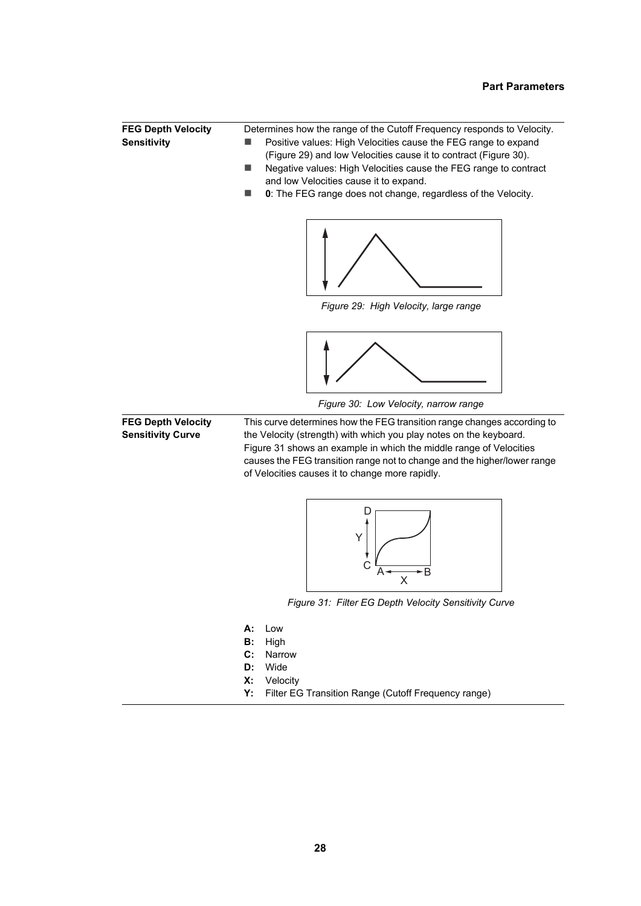<span id="page-27-0"></span>

| <b>FEG Depth Velocity</b><br><b>Sensitivity</b>       | Determines how the range of the Cutoff Frequency responds to Velocity.<br>Positive values: High Velocities cause the FEG range to expand<br>(Figure 29) and low Velocities cause it to contract (Figure 30).<br>Negative values: High Velocities cause the FEG range to contract<br><b>In</b><br>and low Velocities cause it to expand.<br>0: The FEG range does not change, regardless of the Velocity. |
|-------------------------------------------------------|----------------------------------------------------------------------------------------------------------------------------------------------------------------------------------------------------------------------------------------------------------------------------------------------------------------------------------------------------------------------------------------------------------|
|                                                       | Figure 29: High Velocity, large range                                                                                                                                                                                                                                                                                                                                                                    |
|                                                       |                                                                                                                                                                                                                                                                                                                                                                                                          |
|                                                       | Figure 30: Low Velocity, narrow range                                                                                                                                                                                                                                                                                                                                                                    |
| <b>FEG Depth Velocity</b><br><b>Sensitivity Curve</b> | This curve determines how the FEG transition range changes according to<br>the Velocity (strength) with which you play notes on the keyboard.<br>Figure 31 shows an example in which the middle range of Velocities<br>causes the FEG transition range not to change and the higher/lower range<br>of Velocities causes it to change more rapidly.                                                       |
|                                                       | D<br>Y<br>X                                                                                                                                                                                                                                                                                                                                                                                              |
|                                                       | Figure 31: Filter EG Depth Velocity Sensitivity Curve                                                                                                                                                                                                                                                                                                                                                    |
|                                                       | А:<br>Low<br>В:<br>High<br>$\mathbf{C}$ :<br>Narrow<br>Wide<br>D:                                                                                                                                                                                                                                                                                                                                        |

- <span id="page-27-2"></span><span id="page-27-1"></span>**X:** Velocity
- **Y:** Filter EG Transition Range (Cutoff Frequency range)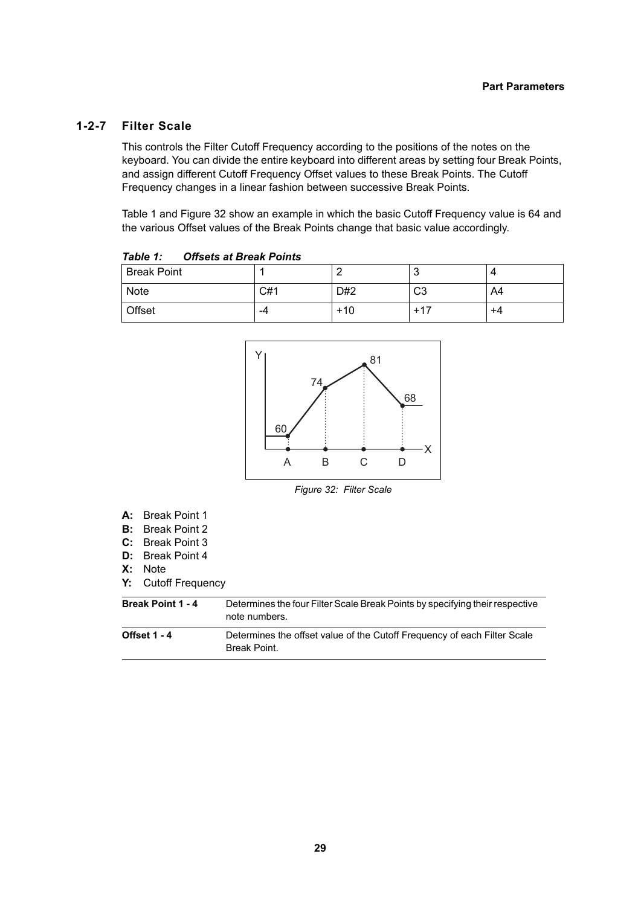#### **1-2-7 Filter Scale**

<span id="page-28-0"></span>This controls the Filter Cutoff Frequency according to the positions of the notes on the keyboard. You can divide the entire keyboard into different areas by setting four Break Points, and assign different Cutoff Frequency Offset values to these Break Points. The Cutoff Frequency changes in a linear fashion between successive Break Points.

[Table 1](#page-28-2) and [Figure 32](#page-28-1) show an example in which the basic Cutoff Frequency value is 64 and the various Offset values of the Break Points change that basic value accordingly.

| IANIT I.<br><u>UNSELS AL DIEAN I UNILS</u> |     |       |                |    |
|--------------------------------------------|-----|-------|----------------|----|
| <b>Break Point</b>                         |     |       |                |    |
| Note                                       | C#1 | D#2   | C <sub>3</sub> | A4 |
| Offset                                     | -4  | $+10$ | $+17$          | +4 |

<span id="page-28-2"></span>*Table 1: Offsets at Break Points*



*Figure 32: Filter Scale*

- <span id="page-28-1"></span>**A:** Break Point 1
- **B:** Break Point 2
- **C:** Break Point 3
- **D:** Break Point 4
- **X:** Note
- **Y:** Cutoff Frequency

| <b>Break Point 1 - 4</b> | Determines the four Filter Scale Break Points by specifying their respective<br>note numbers. |
|--------------------------|-----------------------------------------------------------------------------------------------|
| <b>Offset 1 - 4</b>      | Determines the offset value of the Cutoff Frequency of each Filter Scale<br>Break Point.      |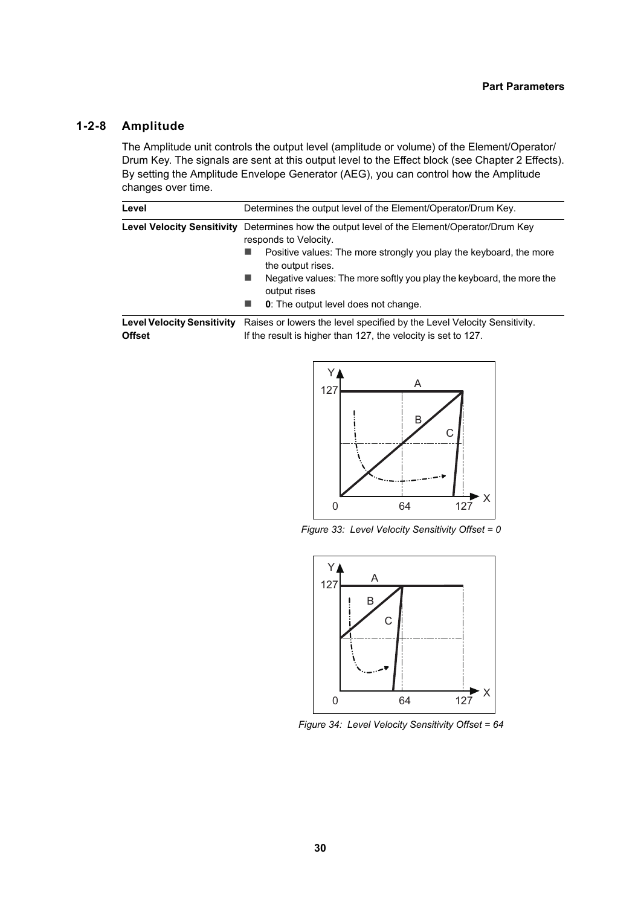# **1-2-8 Amplitude**

<span id="page-29-0"></span>The Amplitude unit controls the output level (amplitude or volume) of the Element/Operator/ Drum Key. The signals are sent at this output level to the Effect block (see Chapter [2 Effects](#page-59-0)). By setting the Amplitude Envelope Generator (AEG), you can control how the Amplitude changes over time.

| Level                             | Determines the output level of the Element/Operator/Drum Key.                                  |                                                                                           |  |
|-----------------------------------|------------------------------------------------------------------------------------------------|-------------------------------------------------------------------------------------------|--|
| <b>Level Velocity Sensitivity</b> |                                                                                                | Determines how the output level of the Element/Operator/Drum Key<br>responds to Velocity. |  |
|                                   |                                                                                                | Positive values: The more strongly you play the keyboard, the more<br>the output rises.   |  |
|                                   |                                                                                                | Negative values: The more softly you play the keyboard, the more the<br>output rises      |  |
|                                   |                                                                                                | <b>0</b> : The output level does not change.                                              |  |
|                                   | Laughlabethy Canaithyity Daisea ar leurare the Jouel anogited by the Laugh Velocity Canaityity |                                                                                           |  |

Level Velocity Sensitivity Raises or lowers the level specified by the Level Velocity Sensitivity. **Offset** If the result is higher than 127, the velocity is set to 127.



*Figure 33: Level Velocity Sensitivity Offset = 0*



*Figure 34: Level Velocity Sensitivity Offset = 64*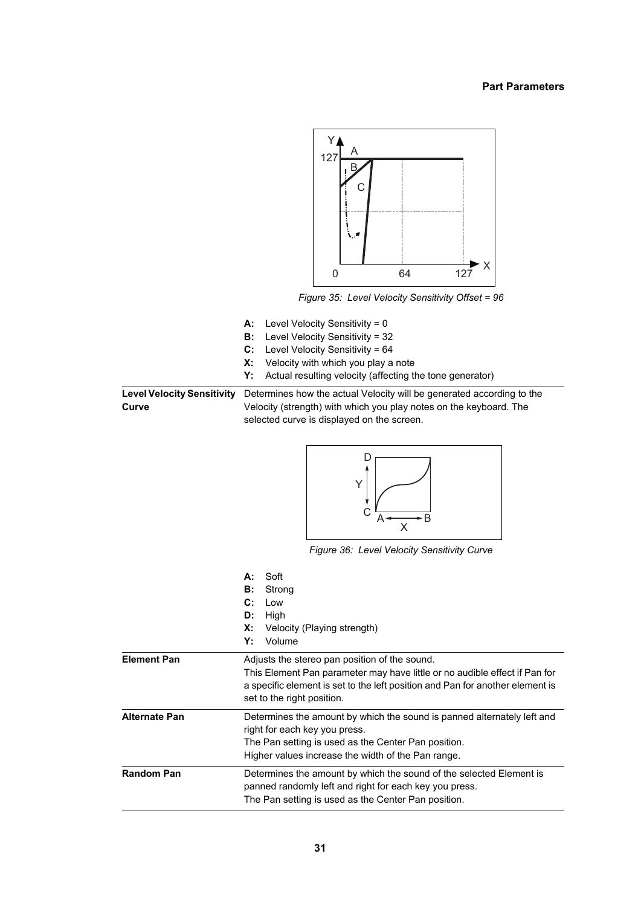

*Figure 35: Level Velocity Sensitivity Offset = 96*

- **A:** Level Velocity Sensitivity = 0
- **B:** Level Velocity Sensitivity = 32
- **C:** Level Velocity Sensitivity = 64
- **X:** Velocity with which you play a note
- **Y:** Actual resulting velocity (affecting the tone generator)

**Level Velocity Sensitivity Curve** Determines how the actual Velocity will be generated according to the Velocity (strength) with which you play notes on the keyboard. The selected curve is displayed on the screen.



*Figure 36: Level Velocity Sensitivity Curve*

|                      | A:<br>Soft<br>в:<br>Strong<br>$\mathbf{C}$ :<br>Low<br>High<br>D:<br>х:<br>Velocity (Playing strength)<br>Y:<br>Volume                                                                                                                     |
|----------------------|--------------------------------------------------------------------------------------------------------------------------------------------------------------------------------------------------------------------------------------------|
| <b>Element Pan</b>   | Adjusts the stereo pan position of the sound.<br>This Element Pan parameter may have little or no audible effect if Pan for<br>a specific element is set to the left position and Pan for another element is<br>set to the right position. |
| <b>Alternate Pan</b> | Determines the amount by which the sound is panned alternately left and<br>right for each key you press.<br>The Pan setting is used as the Center Pan position.<br>Higher values increase the width of the Pan range.                      |
| <b>Random Pan</b>    | Determines the amount by which the sound of the selected Element is<br>panned randomly left and right for each key you press.<br>The Pan setting is used as the Center Pan position.                                                       |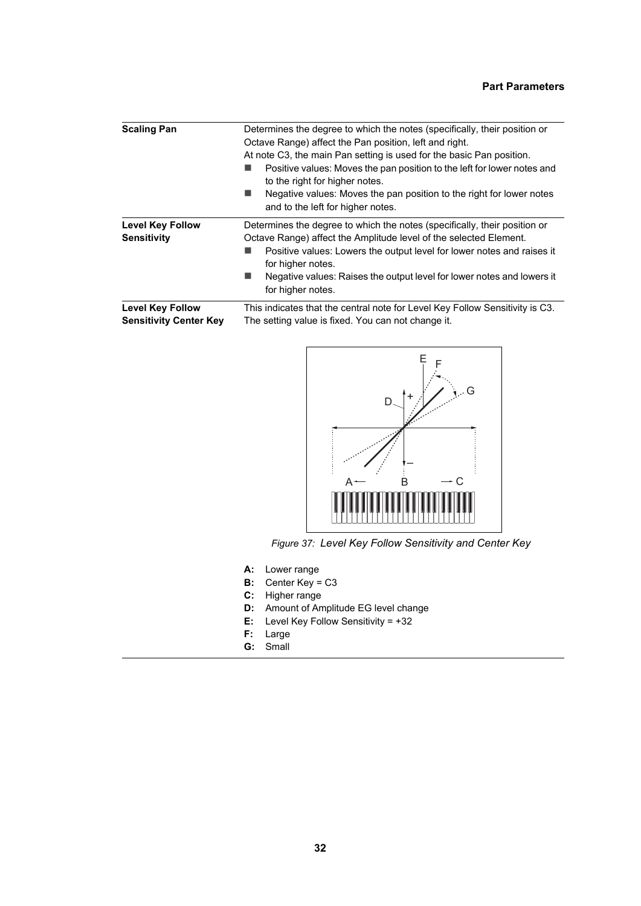| <b>Scaling Pan</b>                                       | Determines the degree to which the notes (specifically, their position or<br>Octave Range) affect the Pan position, left and right.<br>At note C3, the main Pan setting is used for the basic Pan position.<br>Positive values: Moves the pan position to the left for lower notes and<br>to the right for higher notes.<br>Negative values: Moves the pan position to the right for lower notes<br>and to the left for higher notes. |  |
|----------------------------------------------------------|---------------------------------------------------------------------------------------------------------------------------------------------------------------------------------------------------------------------------------------------------------------------------------------------------------------------------------------------------------------------------------------------------------------------------------------|--|
| <b>Level Key Follow</b><br><b>Sensitivity</b>            | Determines the degree to which the notes (specifically, their position or<br>Octave Range) affect the Amplitude level of the selected Element.<br>Positive values: Lowers the output level for lower notes and raises it<br>for higher notes.<br>Negative values: Raises the output level for lower notes and lowers it<br>for higher notes.                                                                                          |  |
| <b>Level Key Follow</b><br><b>Sensitivity Center Key</b> | This indicates that the central note for Level Key Follow Sensitivity is C3.<br>The setting value is fixed. You can not change it.                                                                                                                                                                                                                                                                                                    |  |



*Figure 37: Level Key Follow Sensitivity and Center Key*

- **A:** Lower range
- **B:** Center Key = C3
- **C:** Higher range
- **D:** Amount of Amplitude EG level change
- **E:** Level Key Follow Sensitivity = +32
- **F:** Large
- **G:** Small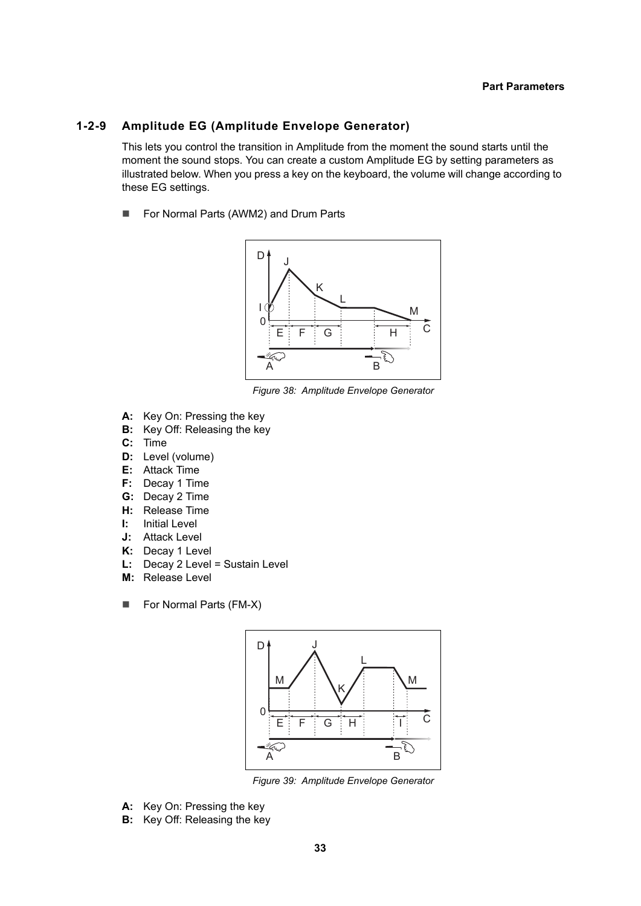# **1-2-9 Amplitude EG (Amplitude Envelope Generator)**

<span id="page-32-0"></span>This lets you control the transition in Amplitude from the moment the sound starts until the moment the sound stops. You can create a custom Amplitude EG by setting parameters as illustrated below. When you press a key on the keyboard, the volume will change according to these EG settings.

■ For Normal Parts (AWM2) and Drum Parts



*Figure 38: Amplitude Envelope Generator*

- **A:** Key On: Pressing the key
- **B:** Key Off: Releasing the key
- **C:** Time
- **D:** Level (volume)
- **E:** Attack Time
- **F:** Decay 1 Time
- **G:** Decay 2 Time
- **H:** Release Time
- **I:** Initial Level
- **J:** Attack Level
- **K:** Decay 1 Level
- **L:** Decay 2 Level = Sustain Level
- **M:** Release Level
- For Normal Parts (FM-X)



*Figure 39: Amplitude Envelope Generator*

- **A:** Key On: Pressing the key
- **B:** Key Off: Releasing the key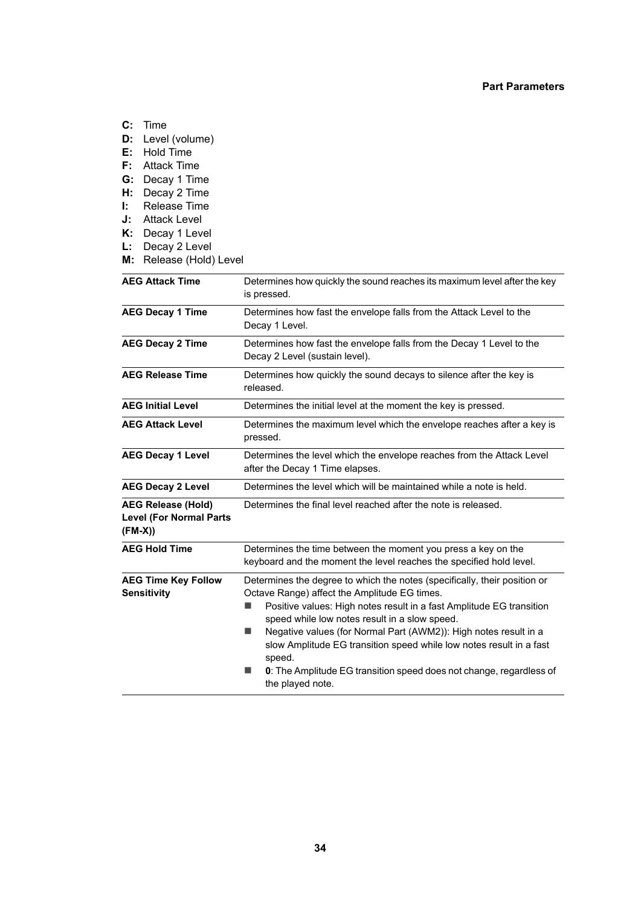- **C:** Time
- **D:** Level (volume)
- **E:** Hold Time
- **F:** Attack Time
- **G:** Decay 1 Time
- **H:** Decay 2 Time
- **I:** Release Time
- **J:** Attack Level
- **K:** Decay 1 Level
- **L:** Decay 2 Level
- **M:** Release (Hold) Level

| <b>AEG Attack Time</b>                                                   | Determines how quickly the sound reaches its maximum level after the key<br>is pressed.                                                                                                                                                                                                                                                                                                                                                                                                                 |  |  |
|--------------------------------------------------------------------------|---------------------------------------------------------------------------------------------------------------------------------------------------------------------------------------------------------------------------------------------------------------------------------------------------------------------------------------------------------------------------------------------------------------------------------------------------------------------------------------------------------|--|--|
| <b>AEG Decay 1 Time</b>                                                  | Determines how fast the envelope falls from the Attack Level to the<br>Decay 1 Level.                                                                                                                                                                                                                                                                                                                                                                                                                   |  |  |
| <b>AEG Decay 2 Time</b>                                                  | Determines how fast the envelope falls from the Decay 1 Level to the<br>Decay 2 Level (sustain level).                                                                                                                                                                                                                                                                                                                                                                                                  |  |  |
| <b>AEG Release Time</b>                                                  | Determines how quickly the sound decays to silence after the key is<br>released.                                                                                                                                                                                                                                                                                                                                                                                                                        |  |  |
| <b>AEG Initial Level</b>                                                 | Determines the initial level at the moment the key is pressed.                                                                                                                                                                                                                                                                                                                                                                                                                                          |  |  |
| <b>AEG Attack Level</b>                                                  | Determines the maximum level which the envelope reaches after a key is<br>pressed.                                                                                                                                                                                                                                                                                                                                                                                                                      |  |  |
| <b>AEG Decay 1 Level</b>                                                 | Determines the level which the envelope reaches from the Attack Level<br>after the Decay 1 Time elapses.                                                                                                                                                                                                                                                                                                                                                                                                |  |  |
| <b>AEG Decay 2 Level</b>                                                 | Determines the level which will be maintained while a note is held.                                                                                                                                                                                                                                                                                                                                                                                                                                     |  |  |
| <b>AEG Release (Hold)</b><br><b>Level (For Normal Parts</b><br>$(FM-X))$ | Determines the final level reached after the note is released.                                                                                                                                                                                                                                                                                                                                                                                                                                          |  |  |
| <b>AEG Hold Time</b>                                                     | Determines the time between the moment you press a key on the<br>keyboard and the moment the level reaches the specified hold level.                                                                                                                                                                                                                                                                                                                                                                    |  |  |
| <b>AEG Time Key Follow</b><br><b>Sensitivity</b>                         | Determines the degree to which the notes (specifically, their position or<br>Octave Range) affect the Amplitude EG times.<br>Positive values: High notes result in a fast Amplitude EG transition<br>speed while low notes result in a slow speed.<br>Negative values (for Normal Part (AWM2)): High notes result in a<br>٠<br>slow Amplitude EG transition speed while low notes result in a fast<br>speed.<br>0: The Amplitude EG transition speed does not change, regardless of<br>the played note. |  |  |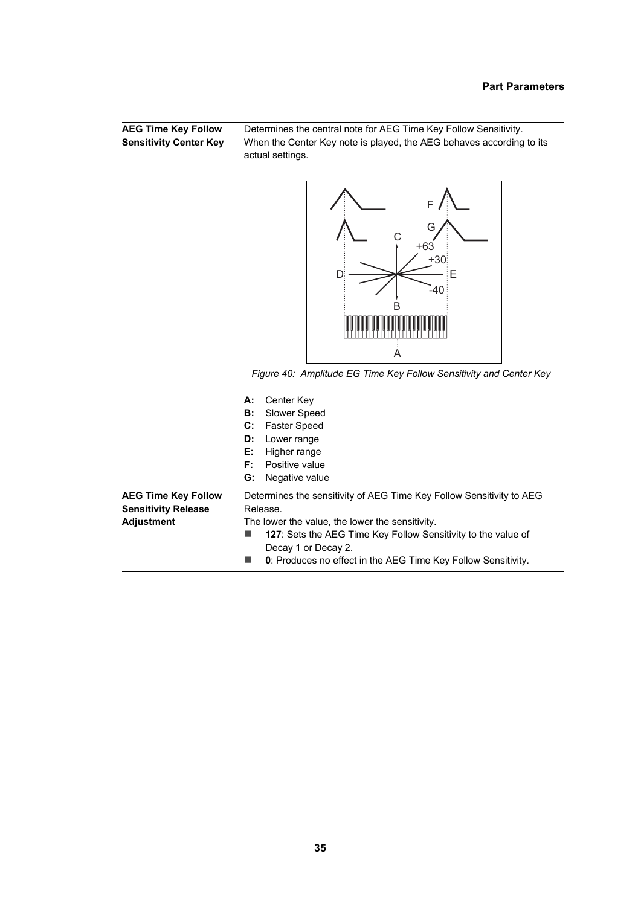**AEG Time Key Follow Sensitivity Center Key**

Determines the central note for AEG Time Key Follow Sensitivity. When the Center Key note is played, the AEG behaves according to its actual settings.



*Figure 40: Amplitude EG Time Key Follow Sensitivity and Center Key*

|                                                                               | Center Key<br>А:<br>Slower Speed<br>в:<br><b>Faster Speed</b><br>C:<br>Lower range<br>D:<br>Е:<br>Higher range<br>Positive value<br>F:<br>Negative value<br>G:                                                                                                                                      |
|-------------------------------------------------------------------------------|-----------------------------------------------------------------------------------------------------------------------------------------------------------------------------------------------------------------------------------------------------------------------------------------------------|
| <b>AEG Time Key Follow</b><br><b>Sensitivity Release</b><br><b>Adjustment</b> | Determines the sensitivity of AEG Time Key Follow Sensitivity to AEG<br>Release.<br>The lower the value, the lower the sensitivity.<br>127: Sets the AEG Time Key Follow Sensitivity to the value of<br>Decay 1 or Decay 2.<br><b>0:</b> Produces no effect in the AEG Time Key Follow Sensitivity. |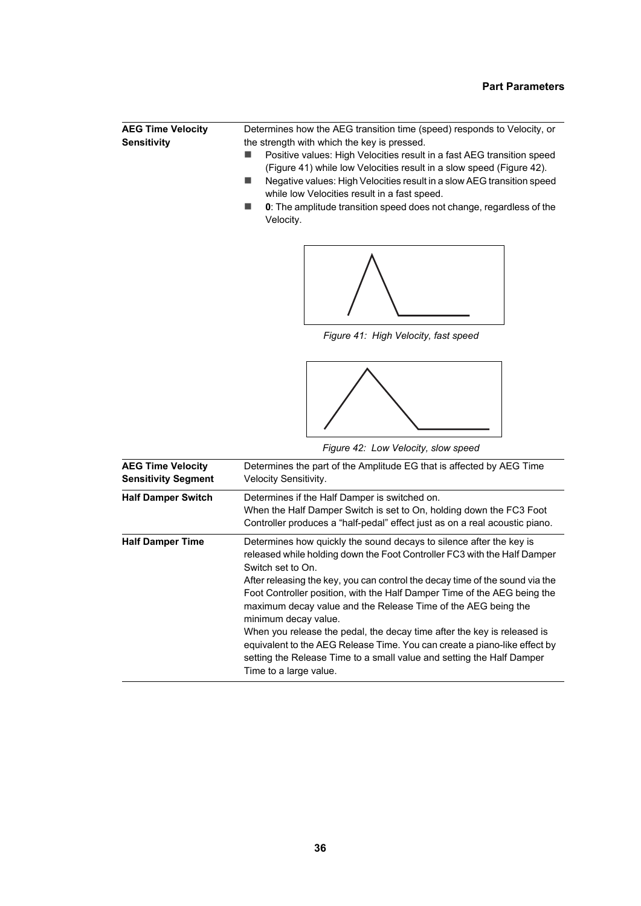| <b>AEG Time Velocity</b> | Determines how the AEG transition time (speed) responds to Velocity, or      |  |  |
|--------------------------|------------------------------------------------------------------------------|--|--|
| <b>Sensitivity</b>       | the strength with which the key is pressed.                                  |  |  |
|                          | Positive values: High Velocities result in a fast AEG transition speed       |  |  |
|                          | (Figure 41) while low Velocities result in a slow speed (Figure 42).         |  |  |
|                          | Negative values: High Velocities result in a slow AEG transition speed       |  |  |
|                          | while low Velocities result in a fast speed.                                 |  |  |
|                          | <b>0</b> : The amplitude transition speed does not change, regardless of the |  |  |
|                          | Velocitv.                                                                    |  |  |
|                          |                                                                              |  |  |



*Figure 41: High Velocity, fast speed*

<span id="page-35-0"></span>

<span id="page-35-1"></span>*Figure 42: Low Velocity, slow speed*

| <b>AEG Time Velocity</b><br><b>Sensitivity Segment</b> | Determines the part of the Amplitude EG that is affected by AEG Time<br><b>Velocity Sensitivity.</b>                                                                                                                                                                                                                                                                                                                                                                                                 |
|--------------------------------------------------------|------------------------------------------------------------------------------------------------------------------------------------------------------------------------------------------------------------------------------------------------------------------------------------------------------------------------------------------------------------------------------------------------------------------------------------------------------------------------------------------------------|
| <b>Half Damper Switch</b>                              | Determines if the Half Damper is switched on.<br>When the Half Damper Switch is set to On, holding down the FC3 Foot<br>Controller produces a "half-pedal" effect just as on a real acoustic piano.                                                                                                                                                                                                                                                                                                  |
| <b>Half Damper Time</b>                                | Determines how quickly the sound decays to silence after the key is<br>released while holding down the Foot Controller FC3 with the Half Damper<br>Switch set to On.<br>After releasing the key, you can control the decay time of the sound via the<br>Foot Controller position, with the Half Damper Time of the AEG being the<br>maximum decay value and the Release Time of the AEG being the<br>minimum decay value.<br>When you release the pedal, the decay time after the key is released is |
|                                                        | equivalent to the AEG Release Time. You can create a piano-like effect by<br>setting the Release Time to a small value and setting the Half Damper<br>Time to a large value.                                                                                                                                                                                                                                                                                                                         |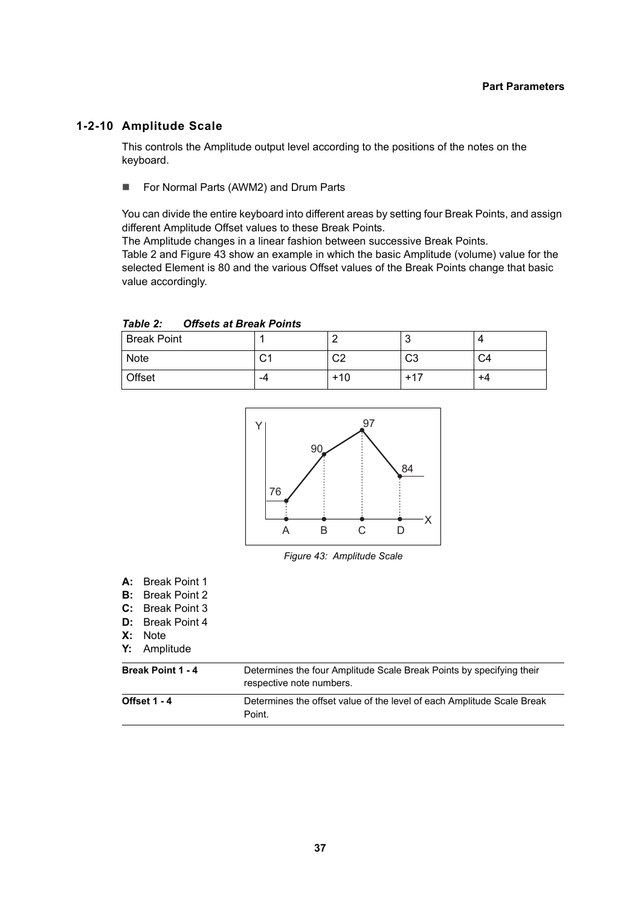#### **1-2-10 Amplitude Scale**

This controls the Amplitude output level according to the positions of the notes on the keyboard.

For Normal Parts (AWM2) and Drum Parts

You can divide the entire keyboard into different areas by setting four Break Points, and assign different Amplitude Offset values to these Break Points.

The Amplitude changes in a linear fashion between successive Break Points.

[Table 2](#page-36-0) and [Figure 43](#page-36-1) show an example in which the basic Amplitude (volume) value for the selected Element is 80 and the various Offset values of the Break Points change that basic value accordingly.

| .<br>$5.10000$ at $5.0000$ |                |         |                |    |
|----------------------------|----------------|---------|----------------|----|
| <b>Break Point</b>         |                |         |                |    |
| <b>Note</b>                | C <sub>1</sub> | റ<br>◡∠ | C <sub>3</sub> | C4 |
| Offset                     | -4             | $+10$   | $+17$          | +4 |



*Figure 43: Amplitude Scale*

- <span id="page-36-1"></span>**A:** Break Point 1
- **B:** Break Point 2
- **C:** Break Point 3
- **D:** Break Point 4
- **X:** Note
- **Y:** Amplitude

| <b>Break Point 1 - 4</b> | Determines the four Amplitude Scale Break Points by specifying their<br>respective note numbers. |
|--------------------------|--------------------------------------------------------------------------------------------------|
| <b>Offset 1 - 4</b>      | Determines the offset value of the level of each Amplitude Scale Break                           |
|                          | Point.                                                                                           |

<span id="page-36-0"></span>*Table 2: Offsets at Break Points*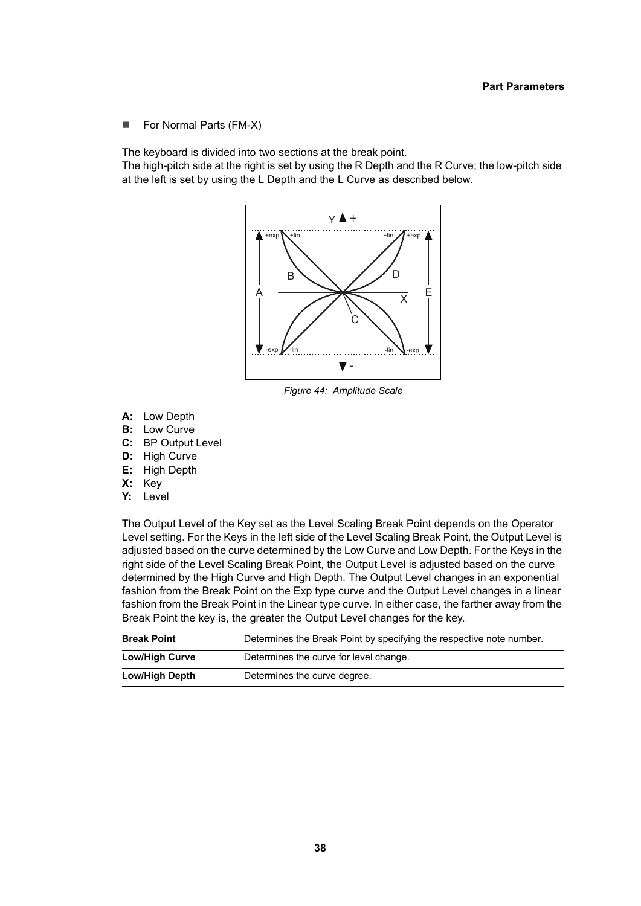For Normal Parts (FM-X)

The keyboard is divided into two sections at the break point.

The high-pitch side at the right is set by using the R Depth and the R Curve; the low-pitch side at the left is set by using the L Depth and the L Curve as described below.



*Figure 44: Amplitude Scale*

- **A:** Low Depth
- **B:** Low Curve
- **C:** BP Output Level
- **D:** High Curve
- **E:** High Depth
- **X:** Key
- **Y:** Level

The Output Level of the Key set as the Level Scaling Break Point depends on the Operator Level setting. For the Keys in the left side of the Level Scaling Break Point, the Output Level is adjusted based on the curve determined by the Low Curve and Low Depth. For the Keys in the right side of the Level Scaling Break Point, the Output Level is adjusted based on the curve determined by the High Curve and High Depth. The Output Level changes in an exponential fashion from the Break Point on the Exp type curve and the Output Level changes in a linear fashion from the Break Point in the Linear type curve. In either case, the farther away from the Break Point the key is, the greater the Output Level changes for the key.

| <b>Break Point</b>    | Determines the Break Point by specifying the respective note number. |
|-----------------------|----------------------------------------------------------------------|
| <b>Low/High Curve</b> | Determines the curve for level change.                               |
| Low/High Depth        | Determines the curve degree.                                         |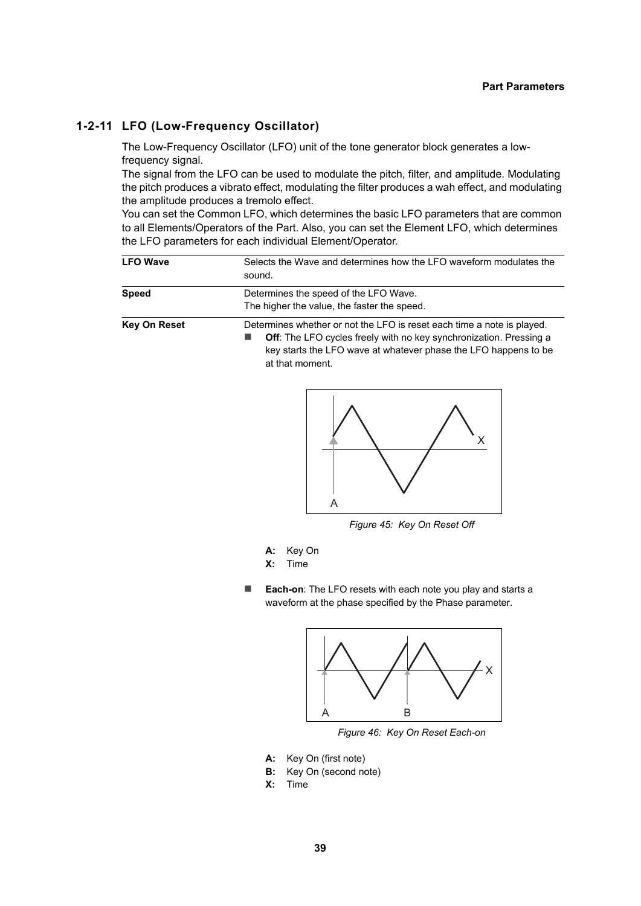#### **1-2-11 LFO (Low-Frequency Oscillator)**

The Low-Frequency Oscillator (LFO) unit of the tone generator block generates a lowfrequency signal.

The signal from the LFO can be used to modulate the pitch, filter, and amplitude. Modulating the pitch produces a vibrato effect, modulating the filter produces a wah effect, and modulating the amplitude produces a tremolo effect.

You can set the Common LFO, which determines the basic LFO parameters that are common to all Elements/Operators of the Part. Also, you can set the Element LFO, which determines the LFO parameters for each individual Element/Operator.

| <b>LFO Wave</b>     | Selects the Wave and determines how the LFO waveform modulates the<br>sound.                                                                                                                                                       |
|---------------------|------------------------------------------------------------------------------------------------------------------------------------------------------------------------------------------------------------------------------------|
| <b>Speed</b>        | Determines the speed of the LFO Wave.<br>The higher the value, the faster the speed.                                                                                                                                               |
| <b>Key On Reset</b> | Determines whether or not the LFO is reset each time a note is played.<br>Off: The LFO cycles freely with no key synchronization. Pressing a<br>key starts the LFO wave at whatever phase the LFO happens to be<br>at that moment. |



*Figure 45: Key On Reset Off*

- **A:** Key On
- **X:** Time
- **Each-on**: The LFO resets with each note you play and starts a waveform at the phase specified by the Phase parameter.



*Figure 46: Key On Reset Each-on*

- **A:** Key On (first note)
- **B:** Key On (second note)
- **X:** Time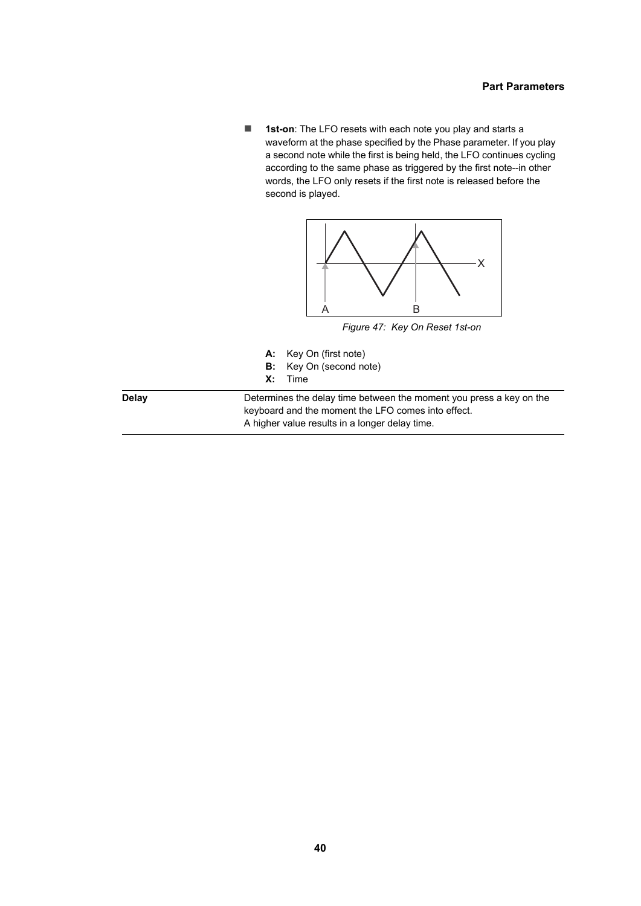#### **Part Parameters**

**1st-on**: The LFO resets with each note you play and starts a waveform at the phase specified by the Phase parameter. If you play a second note while the first is being held, the LFO continues cycling according to the same phase as triggered by the first note--in other words, the LFO only resets if the first note is released before the second is played.



*Figure 47: Key On Reset 1st-on*

- **A:** Key On (first note)
- **B:** Key On (second note)
- **X:** Time

**Delay** Determines the delay time between the moment you press a key on the keyboard and the moment the LFO comes into effect. A higher value results in a longer delay time.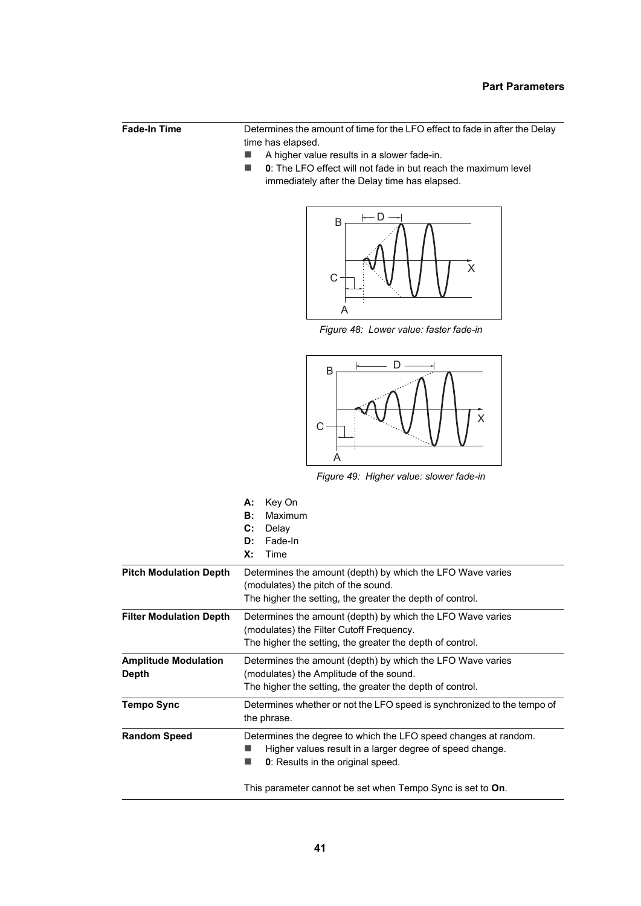**Fade-In Time** Determines the amount of time for the LFO effect to fade in after the Delay time has elapsed.

- A higher value results in a slower fade-in.
- **0**: The LFO effect will not fade in but reach the maximum level immediately after the Delay time has elapsed.



*Figure 48: Lower value: faster fade-in*



*Figure 49: Higher value: slower fade-in* 

|                                | А:<br>Key On                                                                           |
|--------------------------------|----------------------------------------------------------------------------------------|
|                                | Maximum<br>B:                                                                          |
|                                | C:<br>Delay                                                                            |
|                                | Fade-In<br>D:                                                                          |
|                                | $\mathsf{X}$ :<br>Time                                                                 |
| <b>Pitch Modulation Depth</b>  | Determines the amount (depth) by which the LFO Wave varies                             |
|                                | (modulates) the pitch of the sound.                                                    |
|                                | The higher the setting, the greater the depth of control.                              |
| <b>Filter Modulation Depth</b> | Determines the amount (depth) by which the LFO Wave varies                             |
|                                | (modulates) the Filter Cutoff Frequency.                                               |
|                                | The higher the setting, the greater the depth of control.                              |
| <b>Amplitude Modulation</b>    | Determines the amount (depth) by which the LFO Wave varies                             |
| Depth                          | (modulates) the Amplitude of the sound.                                                |
|                                | The higher the setting, the greater the depth of control.                              |
| <b>Tempo Sync</b>              | Determines whether or not the LFO speed is synchronized to the tempo of<br>the phrase. |
| <b>Random Speed</b>            | Determines the degree to which the LFO speed changes at random.                        |
|                                | Higher values result in a larger degree of speed change.                               |
|                                | 0: Results in the original speed.                                                      |
|                                | This parameter cannot be set when Tempo Sync is set to On.                             |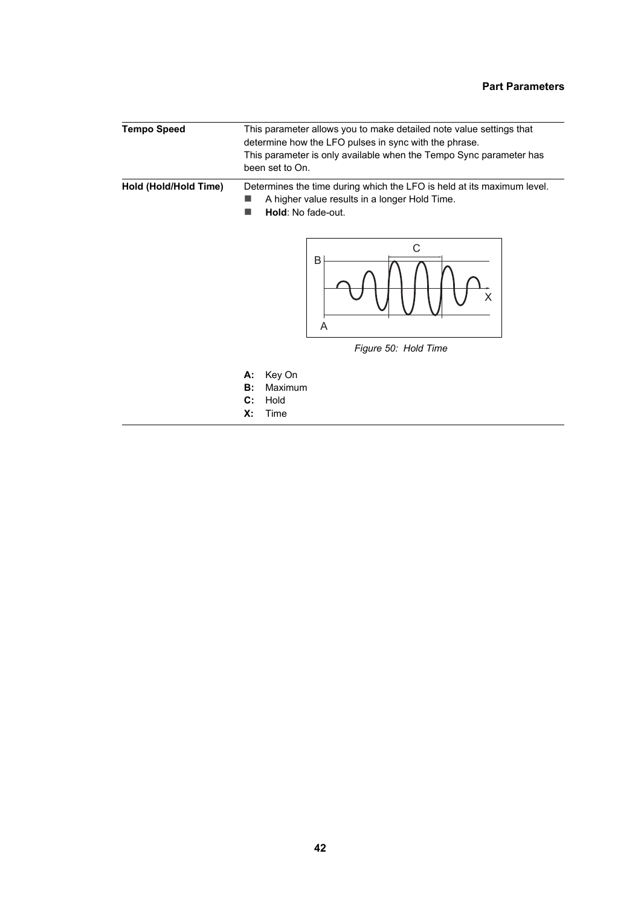#### **Part Parameters**

| <b>Tempo Speed</b>    | This parameter allows you to make detailed note value settings that<br>determine how the LFO pulses in sync with the phrase.<br>This parameter is only available when the Tempo Sync parameter has<br>been set to On. |
|-----------------------|-----------------------------------------------------------------------------------------------------------------------------------------------------------------------------------------------------------------------|
| Hold (Hold/Hold Time) | Determines the time during which the LFO is held at its maximum level.<br>A higher value results in a longer Hold Time.<br>Hold: No fade-out.<br>С<br>B<br>X<br>A<br>Figure 50: Hold Time                             |
|                       | Key On<br>А:<br>Maximum<br><b>B:</b><br>$\mathbf{C}$ :<br>Hold<br>Х:<br>Time                                                                                                                                          |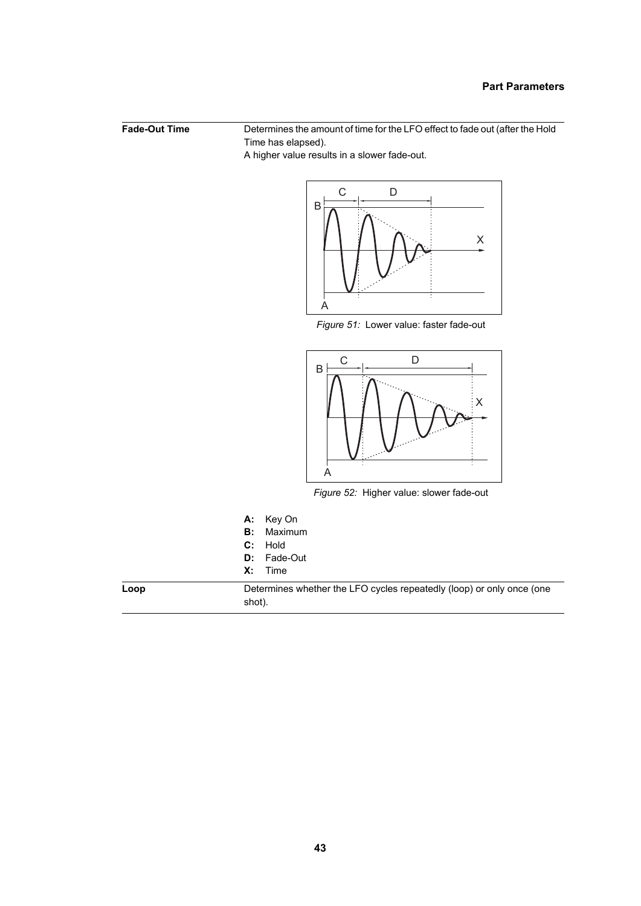**Fade-Out Time** Determines the amount of time for the LFO effect to fade out (after the Hold Time has elapsed).

A higher value results in a slower fade-out.



*Figure 51:* Lower value: faster fade-out



*Figure 52:* Higher value: slower fade-out

- **A:** Key On
- **B:** Maximum
- **C:** Hold
- **D:** Fade-Out
- **X:** Time

**Loop** Determines whether the LFO cycles repeatedly (loop) or only once (one shot).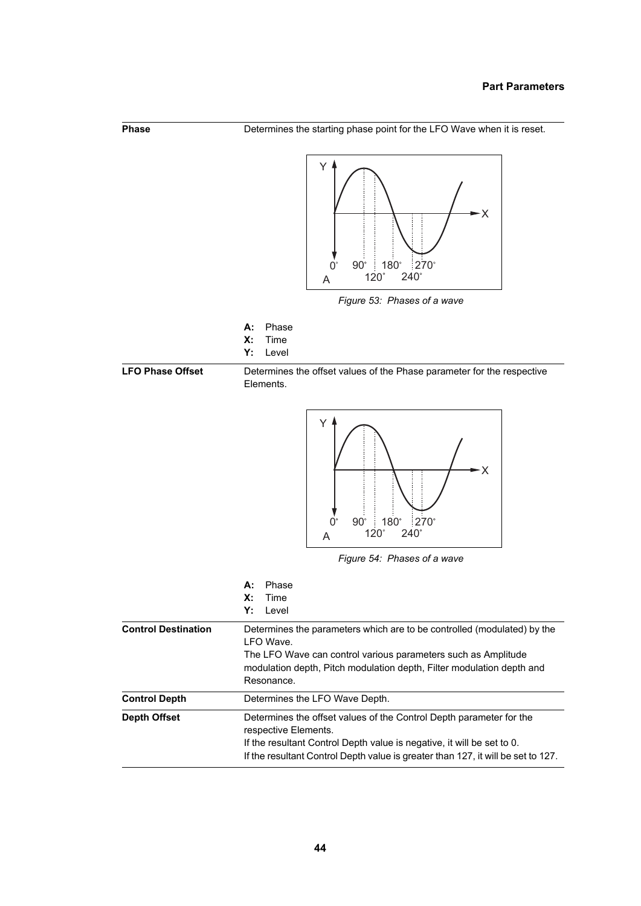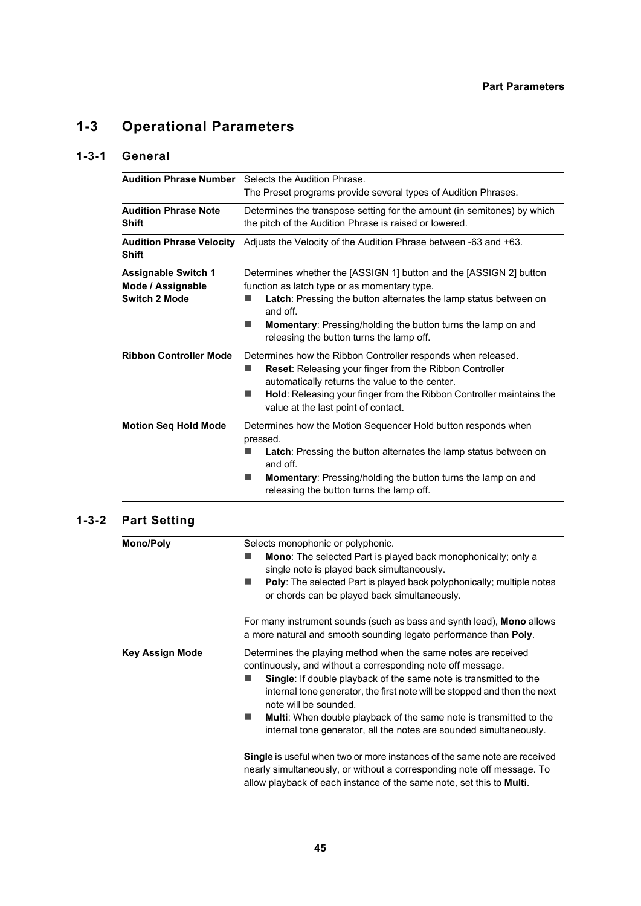# **1-3 Operational Parameters**

# **1-3-1 General**

| <b>Audition Phrase Number</b>                                           | Selects the Audition Phrase.<br>The Preset programs provide several types of Audition Phrases.                                                                                                                                                                                                                       |  |
|-------------------------------------------------------------------------|----------------------------------------------------------------------------------------------------------------------------------------------------------------------------------------------------------------------------------------------------------------------------------------------------------------------|--|
| <b>Audition Phrase Note</b><br><b>Shift</b>                             | Determines the transpose setting for the amount (in semitones) by which<br>the pitch of the Audition Phrase is raised or lowered.                                                                                                                                                                                    |  |
| <b>Audition Phrase Velocity</b><br>Shift                                | Adjusts the Velocity of the Audition Phrase between -63 and +63.                                                                                                                                                                                                                                                     |  |
| <b>Assignable Switch 1</b><br>Mode / Assignable<br><b>Switch 2 Mode</b> | Determines whether the [ASSIGN 1] button and the [ASSIGN 2] button<br>function as latch type or as momentary type.<br><b>Latch:</b> Pressing the button alternates the lamp status between on<br>and off<br>Momentary: Pressing/holding the button turns the lamp on and<br>releasing the button turns the lamp off. |  |
| <b>Ribbon Controller Mode</b>                                           | Determines how the Ribbon Controller responds when released.<br>Reset: Releasing your finger from the Ribbon Controller<br>▄<br>automatically returns the value to the center.<br><b>Hold:</b> Releasing your finger from the Ribbon Controller maintains the<br>value at the last point of contact.                 |  |
| <b>Motion Seq Hold Mode</b>                                             | Determines how the Motion Sequencer Hold button responds when<br>pressed.<br><b>Latch:</b> Pressing the button alternates the lamp status between on<br>and off.<br>Momentary: Pressing/holding the button turns the lamp on and<br>releasing the button turns the lamp off.                                         |  |

# **1-3-2 Part Setting**

| <b>Mono/Poly</b> | Selects monophonic or polyphonic.<br>Mono: The selected Part is played back monophonically; only a<br>single note is played back simultaneously.<br><b>Poly:</b> The selected Part is played back polyphonically; multiple notes<br>or chords can be played back simultaneously.                                                                                                                                                                                   |
|------------------|--------------------------------------------------------------------------------------------------------------------------------------------------------------------------------------------------------------------------------------------------------------------------------------------------------------------------------------------------------------------------------------------------------------------------------------------------------------------|
|                  | For many instrument sounds (such as bass and synth lead), <b>Mono</b> allows<br>a more natural and smooth sounding legato performance than Poly.                                                                                                                                                                                                                                                                                                                   |
| Key Assign Mode  | Determines the playing method when the same notes are received<br>continuously, and without a corresponding note off message.<br><b>Single:</b> If double playback of the same note is transmitted to the<br>internal tone generator, the first note will be stopped and then the next<br>note will be sounded.<br><b>Multi:</b> When double playback of the same note is transmitted to the<br>internal tone generator, all the notes are sounded simultaneously. |
|                  | <b>Single</b> is useful when two or more instances of the same note are received<br>nearly simultaneously, or without a corresponding note off message. To<br>allow playback of each instance of the same note, set this to Multi.                                                                                                                                                                                                                                 |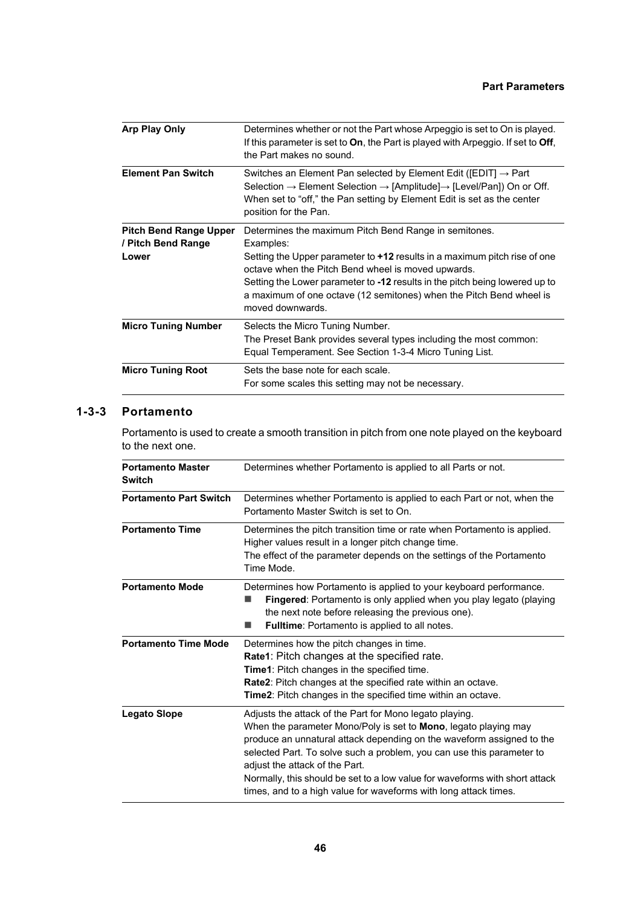| <b>Arp Play Only</b>                                         | Determines whether or not the Part whose Arpeggio is set to On is played.<br>If this parameter is set to On, the Part is played with Arpeggio. If set to Off,                                                                                                                                                                                                                   |
|--------------------------------------------------------------|---------------------------------------------------------------------------------------------------------------------------------------------------------------------------------------------------------------------------------------------------------------------------------------------------------------------------------------------------------------------------------|
|                                                              | the Part makes no sound.                                                                                                                                                                                                                                                                                                                                                        |
| <b>Element Pan Switch</b>                                    | Switches an Element Pan selected by Element Edit ([EDIT] $\rightarrow$ Part<br>Selection → Element Selection → [Amplitude] → [Level/Pan]) On or Off.<br>When set to "off," the Pan setting by Element Edit is set as the center<br>position for the Pan.                                                                                                                        |
| <b>Pitch Bend Range Upper</b><br>/ Pitch Bend Range<br>Lower | Determines the maximum Pitch Bend Range in semitones.<br>Examples:<br>Setting the Upper parameter to +12 results in a maximum pitch rise of one<br>octave when the Pitch Bend wheel is moved upwards.<br>Setting the Lower parameter to -12 results in the pitch being lowered up to<br>a maximum of one octave (12 semitones) when the Pitch Bend wheel is<br>moved downwards. |
| <b>Micro Tuning Number</b>                                   | Selects the Micro Tuning Number.<br>The Preset Bank provides several types including the most common:<br>Equal Temperament. See Section 1-3-4 Micro Tuning List.                                                                                                                                                                                                                |
| <b>Micro Tuning Root</b>                                     | Sets the base note for each scale.<br>For some scales this setting may not be necessary.                                                                                                                                                                                                                                                                                        |

# **1-3-3 Portamento**

Portamento is used to create a smooth transition in pitch from one note played on the keyboard to the next one.

| <b>Portamento Master</b><br><b>Switch</b> | Determines whether Portamento is applied to all Parts or not.                                                                                                                                                                                                                                                                                                                                                                                                     |
|-------------------------------------------|-------------------------------------------------------------------------------------------------------------------------------------------------------------------------------------------------------------------------------------------------------------------------------------------------------------------------------------------------------------------------------------------------------------------------------------------------------------------|
| <b>Portamento Part Switch</b>             | Determines whether Portamento is applied to each Part or not, when the<br>Portamento Master Switch is set to On.                                                                                                                                                                                                                                                                                                                                                  |
| <b>Portamento Time</b>                    | Determines the pitch transition time or rate when Portamento is applied.<br>Higher values result in a longer pitch change time.<br>The effect of the parameter depends on the settings of the Portamento<br>Time Mode                                                                                                                                                                                                                                             |
| <b>Portamento Mode</b>                    | Determines how Portamento is applied to your keyboard performance.<br>Fingered: Portamento is only applied when you play legato (playing<br>the next note before releasing the previous one).<br>Fulltime: Portamento is applied to all notes.                                                                                                                                                                                                                    |
| <b>Portamento Time Mode</b>               | Determines how the pitch changes in time.<br>Rate1: Pitch changes at the specified rate.<br>Time1: Pitch changes in the specified time.<br><b>Rate2:</b> Pitch changes at the specified rate within an octave.<br>Time2: Pitch changes in the specified time within an octave.                                                                                                                                                                                    |
| Legato Slope                              | Adjusts the attack of the Part for Mono legato playing.<br>When the parameter Mono/Poly is set to Mono, legato playing may<br>produce an unnatural attack depending on the waveform assigned to the<br>selected Part. To solve such a problem, you can use this parameter to<br>adjust the attack of the Part.<br>Normally, this should be set to a low value for waveforms with short attack<br>times, and to a high value for waveforms with long attack times. |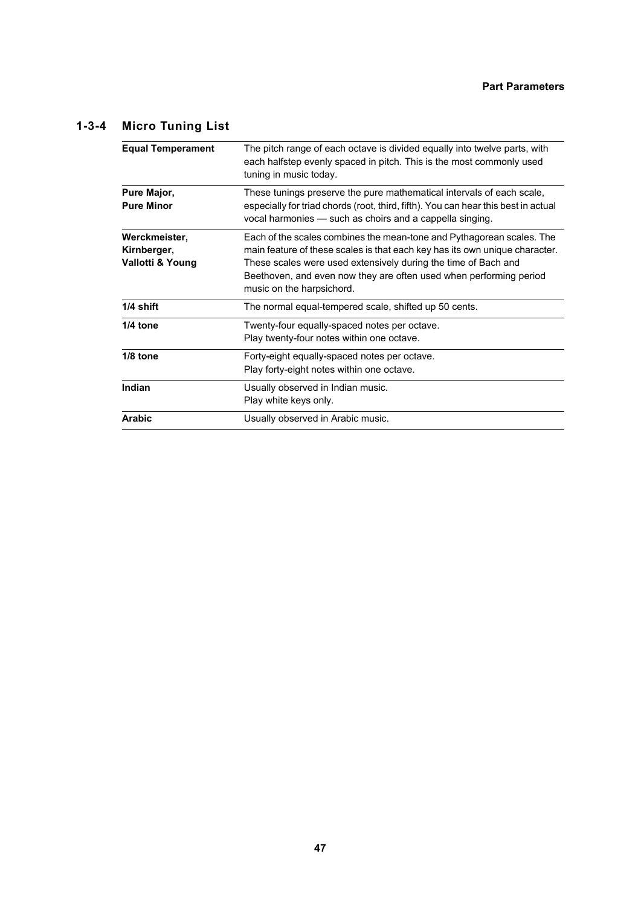# <span id="page-46-0"></span>**1-3-4 Micro Tuning List**

| <b>Equal Temperament</b>                         | The pitch range of each octave is divided equally into twelve parts, with<br>each halfstep evenly spaced in pitch. This is the most commonly used<br>tuning in music today.                                                                                                                                               |
|--------------------------------------------------|---------------------------------------------------------------------------------------------------------------------------------------------------------------------------------------------------------------------------------------------------------------------------------------------------------------------------|
| Pure Major,<br><b>Pure Minor</b>                 | These tunings preserve the pure mathematical intervals of each scale,<br>especially for triad chords (root, third, fifth). You can hear this best in actual<br>vocal harmonies - such as choirs and a cappella singing.                                                                                                   |
| Werckmeister,<br>Kirnberger,<br>Vallotti & Young | Each of the scales combines the mean-tone and Pythagorean scales. The<br>main feature of these scales is that each key has its own unique character.<br>These scales were used extensively during the time of Bach and<br>Beethoven, and even now they are often used when performing period<br>music on the harpsichord. |
| 1/4 shift                                        | The normal equal-tempered scale, shifted up 50 cents.                                                                                                                                                                                                                                                                     |
| $1/4$ tone                                       | Twenty-four equally-spaced notes per octave.<br>Play twenty-four notes within one octave.                                                                                                                                                                                                                                 |
| $1/8$ tone                                       | Forty-eight equally-spaced notes per octave.<br>Play forty-eight notes within one octave.                                                                                                                                                                                                                                 |
| Indian                                           | Usually observed in Indian music.<br>Play white keys only.                                                                                                                                                                                                                                                                |
| <b>Arabic</b>                                    | Usually observed in Arabic music.                                                                                                                                                                                                                                                                                         |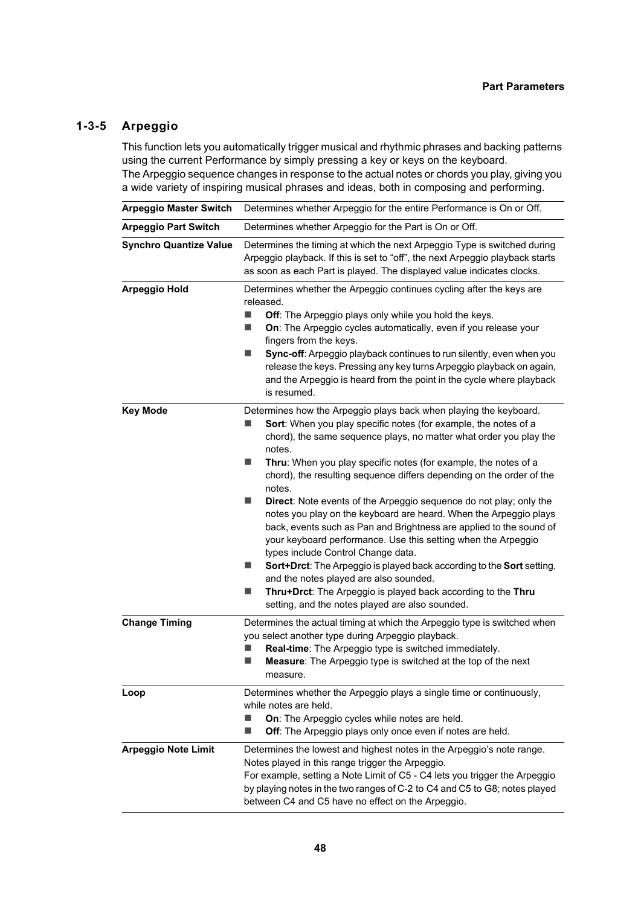# **1-3-5 Arpeggio**

This function lets you automatically trigger musical and rhythmic phrases and backing patterns using the current Performance by simply pressing a key or keys on the keyboard. The Arpeggio sequence changes in response to the actual notes or chords you play, giving you a wide variety of inspiring musical phrases and ideas, both in composing and performing.

| <b>Arpeggio Master Switch</b> | Determines whether Arpeggio for the entire Performance is On or Off.                                                                                                                                                                                                                                                                                                                                                                                                                                                                                                                                                                                                                                                                                                                                                                                                                                                                                                      |  |
|-------------------------------|---------------------------------------------------------------------------------------------------------------------------------------------------------------------------------------------------------------------------------------------------------------------------------------------------------------------------------------------------------------------------------------------------------------------------------------------------------------------------------------------------------------------------------------------------------------------------------------------------------------------------------------------------------------------------------------------------------------------------------------------------------------------------------------------------------------------------------------------------------------------------------------------------------------------------------------------------------------------------|--|
| <b>Arpeggio Part Switch</b>   | Determines whether Arpeggio for the Part is On or Off.                                                                                                                                                                                                                                                                                                                                                                                                                                                                                                                                                                                                                                                                                                                                                                                                                                                                                                                    |  |
| <b>Synchro Quantize Value</b> | Determines the timing at which the next Arpeggio Type is switched during<br>Arpeggio playback. If this is set to "off", the next Arpeggio playback starts<br>as soon as each Part is played. The displayed value indicates clocks.                                                                                                                                                                                                                                                                                                                                                                                                                                                                                                                                                                                                                                                                                                                                        |  |
| <b>Arpeggio Hold</b>          | Determines whether the Arpeggio continues cycling after the keys are<br>released.<br>П<br>Off: The Arpeggio plays only while you hold the keys.<br>On: The Arpeggio cycles automatically, even if you release your<br>■<br>fingers from the keys.<br>Sync-off: Arpeggio playback continues to run silently, even when you<br>■<br>release the keys. Pressing any key turns Arpeggio playback on again,<br>and the Arpeggio is heard from the point in the cycle where playback<br>is resumed.                                                                                                                                                                                                                                                                                                                                                                                                                                                                             |  |
| <b>Key Mode</b>               | Determines how the Arpeggio plays back when playing the keyboard.<br>Sort: When you play specific notes (for example, the notes of a<br>chord), the same sequence plays, no matter what order you play the<br>notes.<br>Thru: When you play specific notes (for example, the notes of a<br>ш<br>chord), the resulting sequence differs depending on the order of the<br>notes.<br>Direct: Note events of the Arpeggio sequence do not play; only the<br>$\blacksquare$<br>notes you play on the keyboard are heard. When the Arpeggio plays<br>back, events such as Pan and Brightness are applied to the sound of<br>your keyboard performance. Use this setting when the Arpeggio<br>types include Control Change data.<br>Sort+Drct: The Arpeggio is played back according to the Sort setting,<br>■<br>and the notes played are also sounded.<br>Thru+Drct: The Arpeggio is played back according to the Thru<br>ш<br>setting, and the notes played are also sounded. |  |
| <b>Change Timing</b>          | Determines the actual timing at which the Arpeggio type is switched when<br>you select another type during Arpeggio playback.<br>Real-time: The Arpeggio type is switched immediately.<br>Measure: The Arpeggio type is switched at the top of the next<br>ш<br>measure.                                                                                                                                                                                                                                                                                                                                                                                                                                                                                                                                                                                                                                                                                                  |  |
| Loop                          | Determines whether the Arpeggio plays a single time or continuously,<br>while notes are held.<br>On: The Arpeggio cycles while notes are held.<br>Off: The Arpeggio plays only once even if notes are held.<br>■                                                                                                                                                                                                                                                                                                                                                                                                                                                                                                                                                                                                                                                                                                                                                          |  |
| <b>Arpeggio Note Limit</b>    | Determines the lowest and highest notes in the Arpeggio's note range.<br>Notes played in this range trigger the Arpeggio.<br>For example, setting a Note Limit of C5 - C4 lets you trigger the Arpeggio<br>by playing notes in the two ranges of C-2 to C4 and C5 to G8; notes played<br>between C4 and C5 have no effect on the Arpeggio.                                                                                                                                                                                                                                                                                                                                                                                                                                                                                                                                                                                                                                |  |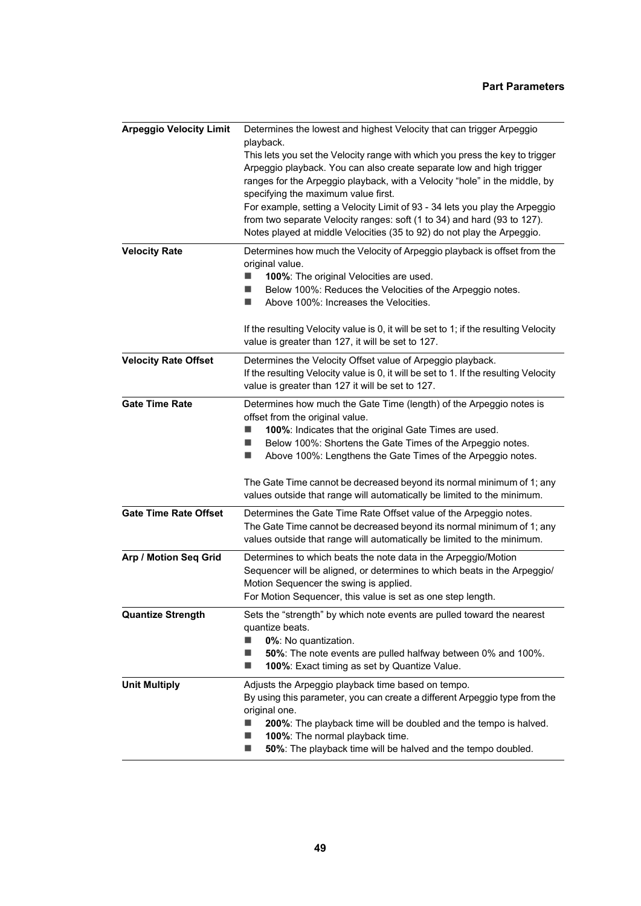| <b>Arpeggio Velocity Limit</b> | Determines the lowest and highest Velocity that can trigger Arpeggio<br>playback.<br>This lets you set the Velocity range with which you press the key to trigger<br>Arpeggio playback. You can also create separate low and high trigger<br>ranges for the Arpeggio playback, with a Velocity "hole" in the middle, by<br>specifying the maximum value first.<br>For example, setting a Velocity Limit of 93 - 34 lets you play the Arpeggio<br>from two separate Velocity ranges: soft (1 to 34) and hard (93 to 127). |
|--------------------------------|--------------------------------------------------------------------------------------------------------------------------------------------------------------------------------------------------------------------------------------------------------------------------------------------------------------------------------------------------------------------------------------------------------------------------------------------------------------------------------------------------------------------------|
| <b>Velocity Rate</b>           | Notes played at middle Velocities (35 to 92) do not play the Arpeggio.<br>Determines how much the Velocity of Arpeggio playback is offset from the<br>original value.<br>$\blacksquare$<br>100%: The original Velocities are used.<br>Below 100%: Reduces the Velocities of the Arpeggio notes.<br>ш<br>Above 100%: Increases the Velocities.<br><b>In</b>                                                                                                                                                               |
|                                | If the resulting Velocity value is 0, it will be set to 1; if the resulting Velocity<br>value is greater than 127, it will be set to 127.                                                                                                                                                                                                                                                                                                                                                                                |
| <b>Velocity Rate Offset</b>    | Determines the Velocity Offset value of Arpeggio playback.<br>If the resulting Velocity value is 0, it will be set to 1. If the resulting Velocity<br>value is greater than 127 it will be set to 127.                                                                                                                                                                                                                                                                                                                   |
| <b>Gate Time Rate</b>          | Determines how much the Gate Time (length) of the Arpeggio notes is<br>offset from the original value.<br>100%: Indicates that the original Gate Times are used.<br>■<br>Below 100%: Shortens the Gate Times of the Arpeggio notes.<br>$\blacksquare$<br>Above 100%: Lengthens the Gate Times of the Arpeggio notes.<br>$\blacksquare$<br>The Gate Time cannot be decreased beyond its normal minimum of 1; any<br>values outside that range will automatically be limited to the minimum.                               |
| <b>Gate Time Rate Offset</b>   | Determines the Gate Time Rate Offset value of the Arpeggio notes.<br>The Gate Time cannot be decreased beyond its normal minimum of 1; any<br>values outside that range will automatically be limited to the minimum.                                                                                                                                                                                                                                                                                                    |
| Arp / Motion Seq Grid          | Determines to which beats the note data in the Arpeggio/Motion<br>Sequencer will be aligned, or determines to which beats in the Arpeggio/<br>Motion Sequencer the swing is applied.<br>For Motion Sequencer, this value is set as one step length.                                                                                                                                                                                                                                                                      |
| <b>Quantize Strength</b>       | Sets the "strength" by which note events are pulled toward the nearest<br>quantize beats.<br>0%: No quantization.<br>■<br>50%: The note events are pulled halfway between 0% and 100%.<br>■<br>100%: Exact timing as set by Quantize Value.<br>■                                                                                                                                                                                                                                                                         |
| <b>Unit Multiply</b>           | Adjusts the Arpeggio playback time based on tempo.<br>By using this parameter, you can create a different Arpeggio type from the<br>original one.<br>200%: The playback time will be doubled and the tempo is halved.<br>100%: The normal playback time.<br>■<br>50%: The playback time will be halved and the tempo doubled.<br>■                                                                                                                                                                                       |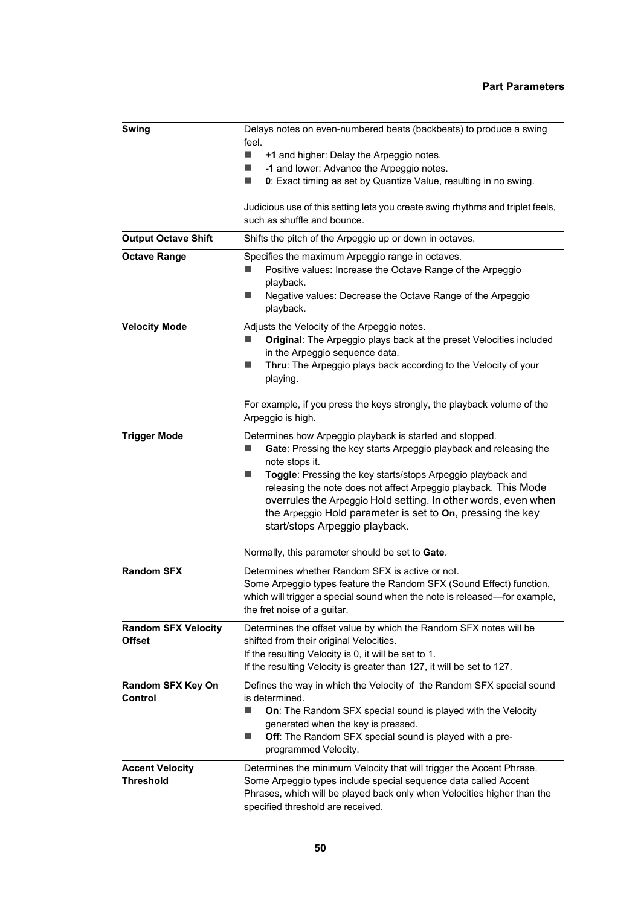| Swing                                       | Delays notes on even-numbered beats (backbeats) to produce a swing<br>feel.                                                                                                                                                                                                                                                                                                                                                                         |
|---------------------------------------------|-----------------------------------------------------------------------------------------------------------------------------------------------------------------------------------------------------------------------------------------------------------------------------------------------------------------------------------------------------------------------------------------------------------------------------------------------------|
|                                             | +1 and higher: Delay the Arpeggio notes.                                                                                                                                                                                                                                                                                                                                                                                                            |
|                                             | -1 and lower: Advance the Arpeggio notes.                                                                                                                                                                                                                                                                                                                                                                                                           |
|                                             | 0: Exact timing as set by Quantize Value, resulting in no swing.<br>▄                                                                                                                                                                                                                                                                                                                                                                               |
|                                             | Judicious use of this setting lets you create swing rhythms and triplet feels,<br>such as shuffle and bounce.                                                                                                                                                                                                                                                                                                                                       |
| <b>Output Octave Shift</b>                  | Shifts the pitch of the Arpeggio up or down in octaves.                                                                                                                                                                                                                                                                                                                                                                                             |
| <b>Octave Range</b>                         | Specifies the maximum Arpeggio range in octaves.<br>Positive values: Increase the Octave Range of the Arpeggio<br>playback.<br>Negative values: Decrease the Octave Range of the Arpeggio<br>playback.                                                                                                                                                                                                                                              |
| <b>Velocity Mode</b>                        | Adjusts the Velocity of the Arpeggio notes.<br>Original: The Arpeggio plays back at the preset Velocities included<br>in the Arpeggio sequence data.<br>Thru: The Arpeggio plays back according to the Velocity of your<br>■<br>playing.                                                                                                                                                                                                            |
|                                             | For example, if you press the keys strongly, the playback volume of the<br>Arpeggio is high.                                                                                                                                                                                                                                                                                                                                                        |
| <b>Trigger Mode</b>                         | Determines how Arpeggio playback is started and stopped.<br>Gate: Pressing the key starts Arpeggio playback and releasing the<br>note stops it.<br>Toggle: Pressing the key starts/stops Arpeggio playback and<br>releasing the note does not affect Arpeggio playback. This Mode<br>overrules the Arpeggio Hold setting. In other words, even when<br>the Arpeggio Hold parameter is set to On, pressing the key<br>start/stops Arpeggio playback. |
|                                             | Normally, this parameter should be set to Gate.                                                                                                                                                                                                                                                                                                                                                                                                     |
| <b>Random SFX</b>                           | Determines whether Random SFX is active or not.<br>Some Arpeggio types feature the Random SFX (Sound Effect) function,<br>which will trigger a special sound when the note is released—for example,<br>the fret noise of a guitar.                                                                                                                                                                                                                  |
| <b>Random SFX Velocity</b><br><b>Offset</b> | Determines the offset value by which the Random SFX notes will be<br>shifted from their original Velocities.<br>If the resulting Velocity is 0, it will be set to 1.<br>If the resulting Velocity is greater than 127, it will be set to 127.                                                                                                                                                                                                       |
| Random SFX Key On<br><b>Control</b>         | Defines the way in which the Velocity of the Random SFX special sound<br>is determined.<br>On: The Random SFX special sound is played with the Velocity<br>generated when the key is pressed.<br>Off: The Random SFX special sound is played with a pre-<br>programmed Velocity.                                                                                                                                                                    |
| <b>Accent Velocity</b><br><b>Threshold</b>  | Determines the minimum Velocity that will trigger the Accent Phrase.<br>Some Arpeggio types include special sequence data called Accent<br>Phrases, which will be played back only when Velocities higher than the<br>specified threshold are received.                                                                                                                                                                                             |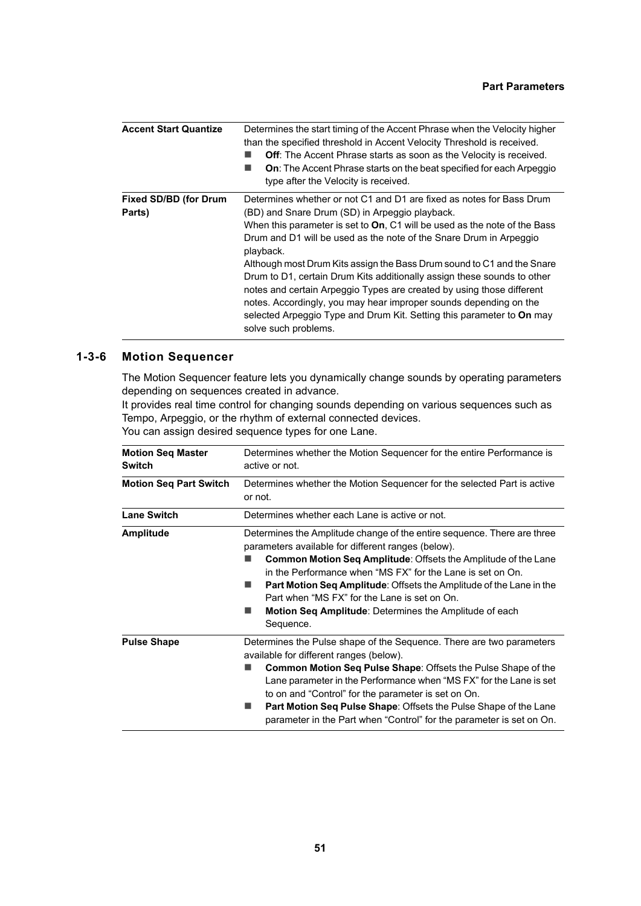| <b>Accent Start Quantize</b>           | Determines the start timing of the Accent Phrase when the Velocity higher<br>than the specified threshold in Accent Velocity Threshold is received.<br><b>Off:</b> The Accent Phrase starts as soon as the Velocity is received.<br>On: The Accent Phrase starts on the beat specified for each Arpeggio<br>type after the Velocity is received.                                                 |
|----------------------------------------|--------------------------------------------------------------------------------------------------------------------------------------------------------------------------------------------------------------------------------------------------------------------------------------------------------------------------------------------------------------------------------------------------|
| <b>Fixed SD/BD (for Drum</b><br>Parts) | Determines whether or not C1 and D1 are fixed as notes for Bass Drum<br>(BD) and Snare Drum (SD) in Arpeggio playback.<br>When this parameter is set to <b>On</b> , C1 will be used as the note of the Bass<br>Drum and D1 will be used as the note of the Snare Drum in Arpeggio<br>playback.                                                                                                   |
|                                        | Although most Drum Kits assign the Bass Drum sound to C1 and the Snare<br>Drum to D1, certain Drum Kits additionally assign these sounds to other<br>notes and certain Arpeggio Types are created by using those different<br>notes. Accordingly, you may hear improper sounds depending on the<br>selected Arpeggio Type and Drum Kit. Setting this parameter to On may<br>solve such problems. |

#### **1-3-6 Motion Sequencer**

The Motion Sequencer feature lets you dynamically change sounds by operating parameters depending on sequences created in advance.

It provides real time control for changing sounds depending on various sequences such as Tempo, Arpeggio, or the rhythm of external connected devices.

You can assign desired sequence types for one Lane.

| <b>Motion Seq Master</b><br><b>Switch</b> | Determines whether the Motion Sequencer for the entire Performance is<br>active or not.                                                                                                                                                                                                                                                                                                                                                                                          |
|-------------------------------------------|----------------------------------------------------------------------------------------------------------------------------------------------------------------------------------------------------------------------------------------------------------------------------------------------------------------------------------------------------------------------------------------------------------------------------------------------------------------------------------|
| <b>Motion Seg Part Switch</b>             | Determines whether the Motion Sequencer for the selected Part is active<br>or not.                                                                                                                                                                                                                                                                                                                                                                                               |
| <b>Lane Switch</b>                        | Determines whether each Lane is active or not.                                                                                                                                                                                                                                                                                                                                                                                                                                   |
| Amplitude                                 | Determines the Amplitude change of the entire sequence. There are three<br>parameters available for different ranges (below).<br><b>Common Motion Seq Amplitude: Offsets the Amplitude of the Lane</b><br>in the Performance when "MS FX" for the Lane is set on On.<br><b>Part Motion Seg Amplitude:</b> Offsets the Amplitude of the Lane in the<br>Part when "MS FX" for the Lane is set on On.<br><b>Motion Seq Amplitude:</b> Determines the Amplitude of each<br>Sequence. |
| <b>Pulse Shape</b>                        | Determines the Pulse shape of the Sequence. There are two parameters<br>available for different ranges (below).<br>Common Motion Seq Pulse Shape: Offsets the Pulse Shape of the<br>Lane parameter in the Performance when "MS FX" for the Lane is set<br>to on and "Control" for the parameter is set on On.<br><b>Part Motion Seq Pulse Shape:</b> Offsets the Pulse Shape of the Lane<br>parameter in the Part when "Control" for the parameter is set on On.                 |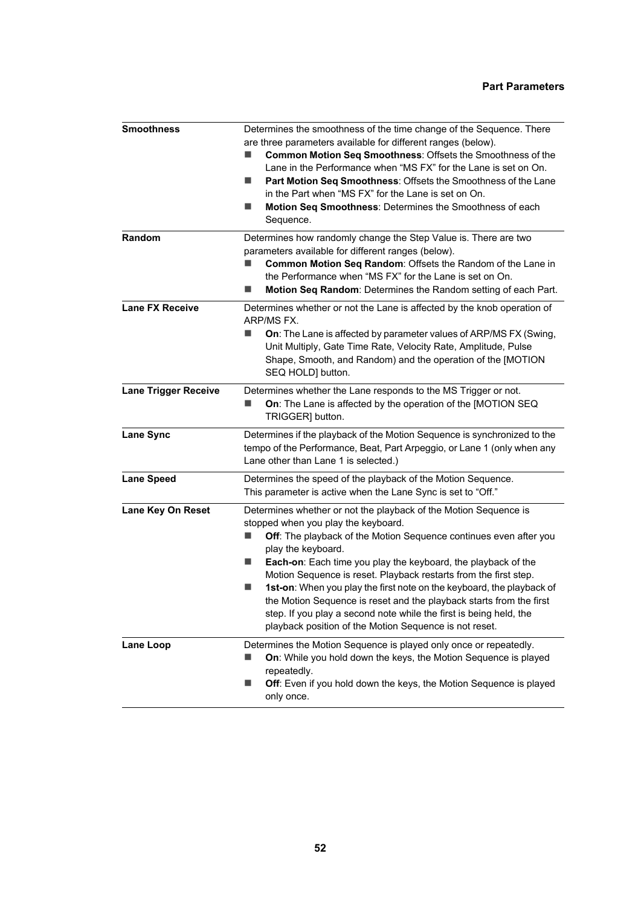| <b>Smoothness</b>           | Determines the smoothness of the time change of the Sequence. There<br>are three parameters available for different ranges (below).<br>Common Motion Seq Smoothness: Offsets the Smoothness of the<br>Lane in the Performance when "MS FX" for the Lane is set on On.<br>Part Motion Seq Smoothness: Offsets the Smoothness of the Lane<br>in the Part when "MS FX" for the Lane is set on On.<br>Motion Seq Smoothness: Determines the Smoothness of each<br>Sequence.                                                                                                                                                      |
|-----------------------------|------------------------------------------------------------------------------------------------------------------------------------------------------------------------------------------------------------------------------------------------------------------------------------------------------------------------------------------------------------------------------------------------------------------------------------------------------------------------------------------------------------------------------------------------------------------------------------------------------------------------------|
| Random                      | Determines how randomly change the Step Value is. There are two<br>parameters available for different ranges (below).<br>Common Motion Seq Random: Offsets the Random of the Lane in<br>the Performance when "MS FX" for the Lane is set on On.<br>Motion Seq Random: Determines the Random setting of each Part.<br>ш                                                                                                                                                                                                                                                                                                       |
| Lane FX Receive             | Determines whether or not the Lane is affected by the knob operation of<br>ARP/MS FX.<br>On: The Lane is affected by parameter values of ARP/MS FX (Swing,<br>ш<br>Unit Multiply, Gate Time Rate, Velocity Rate, Amplitude, Pulse<br>Shape, Smooth, and Random) and the operation of the [MOTION<br>SEQ HOLD] button.                                                                                                                                                                                                                                                                                                        |
| <b>Lane Trigger Receive</b> | Determines whether the Lane responds to the MS Trigger or not.<br>On: The Lane is affected by the operation of the [MOTION SEQ<br>ш<br>TRIGGER] button.                                                                                                                                                                                                                                                                                                                                                                                                                                                                      |
| Lane Sync                   | Determines if the playback of the Motion Sequence is synchronized to the<br>tempo of the Performance, Beat, Part Arpeggio, or Lane 1 (only when any<br>Lane other than Lane 1 is selected.)                                                                                                                                                                                                                                                                                                                                                                                                                                  |
| <b>Lane Speed</b>           | Determines the speed of the playback of the Motion Sequence.<br>This parameter is active when the Lane Sync is set to "Off."                                                                                                                                                                                                                                                                                                                                                                                                                                                                                                 |
| Lane Key On Reset           | Determines whether or not the playback of the Motion Sequence is<br>stopped when you play the keyboard.<br>Off: The playback of the Motion Sequence continues even after you<br>-<br>play the keyboard.<br>Each-on: Each time you play the keyboard, the playback of the<br>Motion Sequence is reset. Playback restarts from the first step.<br>1st-on: When you play the first note on the keyboard, the playback of<br>the Motion Sequence is reset and the playback starts from the first<br>step. If you play a second note while the first is being held, the<br>playback position of the Motion Sequence is not reset. |
| Lane Loop                   | Determines the Motion Sequence is played only once or repeatedly.<br>On: While you hold down the keys, the Motion Sequence is played<br>repeatedly.<br>Off: Even if you hold down the keys, the Motion Sequence is played<br>only once.                                                                                                                                                                                                                                                                                                                                                                                      |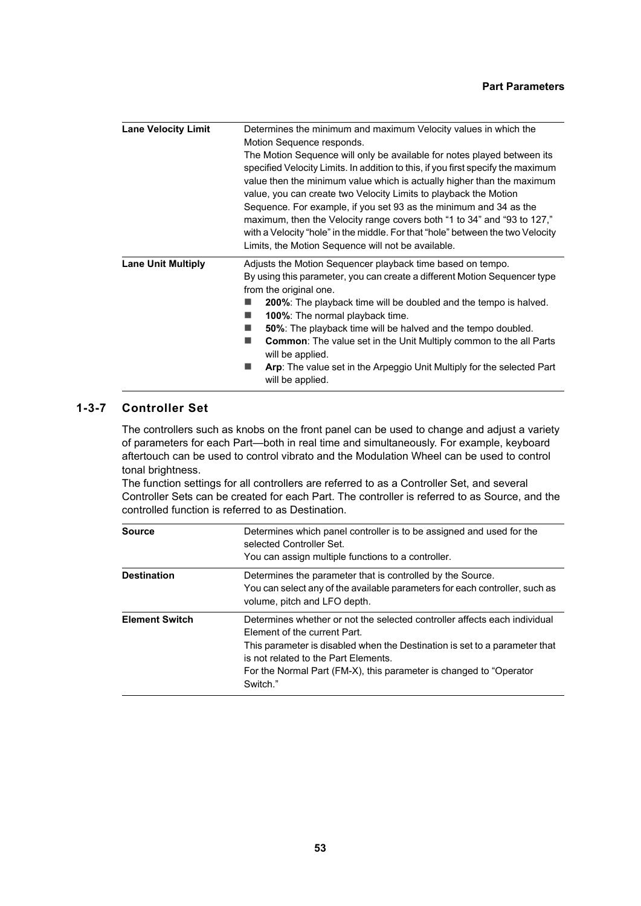| <b>Lane Velocity Limit</b> | Determines the minimum and maximum Velocity values in which the<br>Motion Sequence responds.<br>The Motion Sequence will only be available for notes played between its<br>specified Velocity Limits. In addition to this, if you first specify the maximum<br>value then the minimum value which is actually higher than the maximum<br>value, you can create two Velocity Limits to playback the Motion<br>Sequence. For example, if you set 93 as the minimum and 34 as the<br>maximum, then the Velocity range covers both "1 to 34" and "93 to 127,"<br>with a Velocity "hole" in the middle. For that "hole" between the two Velocity<br>Limits, the Motion Sequence will not be available. |
|----------------------------|---------------------------------------------------------------------------------------------------------------------------------------------------------------------------------------------------------------------------------------------------------------------------------------------------------------------------------------------------------------------------------------------------------------------------------------------------------------------------------------------------------------------------------------------------------------------------------------------------------------------------------------------------------------------------------------------------|
| <b>Lane Unit Multiply</b>  | Adjusts the Motion Sequencer playback time based on tempo.<br>By using this parameter, you can create a different Motion Sequencer type<br>from the original one.<br><b>200%:</b> The playback time will be doubled and the tempo is halved.<br><b>100%:</b> The normal playback time.<br><b>50%:</b> The playback time will be halved and the tempo doubled.<br><b>Common:</b> The value set in the Unit Multiply common to the all Parts<br>will be applied.<br><b>Arp:</b> The value set in the Arpeggio Unit Multiply for the selected Part<br>will be applied.                                                                                                                               |

#### **1-3-7 Controller Set**

The controllers such as knobs on the front panel can be used to change and adjust a variety of parameters for each Part—both in real time and simultaneously. For example, keyboard aftertouch can be used to control vibrato and the Modulation Wheel can be used to control tonal brightness.

The function settings for all controllers are referred to as a Controller Set, and several Controller Sets can be created for each Part. The controller is referred to as Source, and the controlled function is referred to as Destination.

| Source                | Determines which panel controller is to be assigned and used for the<br>selected Controller Set.                                                                                                                                                                                                                   |
|-----------------------|--------------------------------------------------------------------------------------------------------------------------------------------------------------------------------------------------------------------------------------------------------------------------------------------------------------------|
|                       | You can assign multiple functions to a controller.                                                                                                                                                                                                                                                                 |
| <b>Destination</b>    | Determines the parameter that is controlled by the Source.<br>You can select any of the available parameters for each controller, such as<br>volume, pitch and LFO depth.                                                                                                                                          |
| <b>Element Switch</b> | Determines whether or not the selected controller affects each individual<br>Flement of the current Part.<br>This parameter is disabled when the Destination is set to a parameter that<br>is not related to the Part Flements.<br>For the Normal Part (FM-X), this parameter is changed to "Operator"<br>Switch." |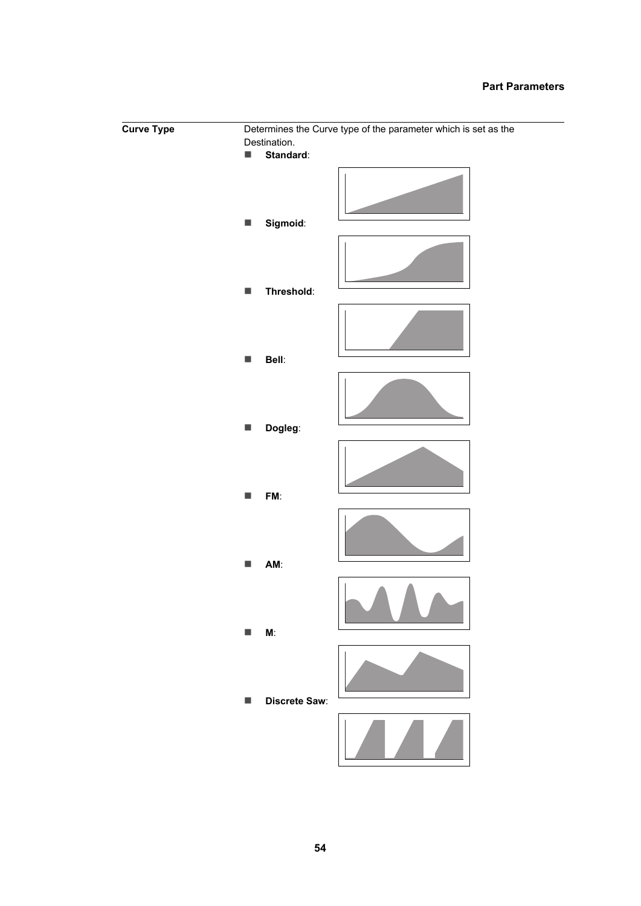#### **Part Parameters**

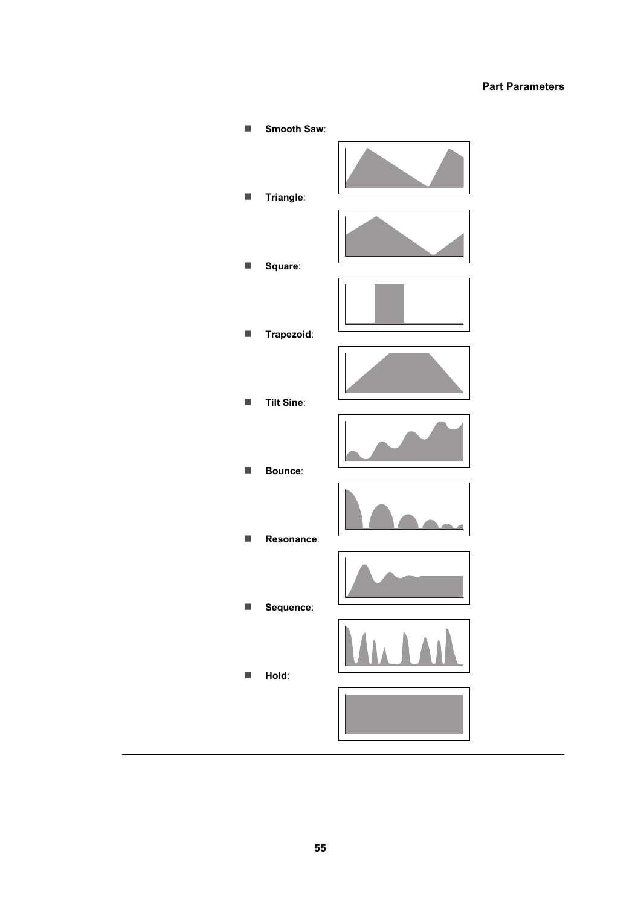#### **Part Parameters**

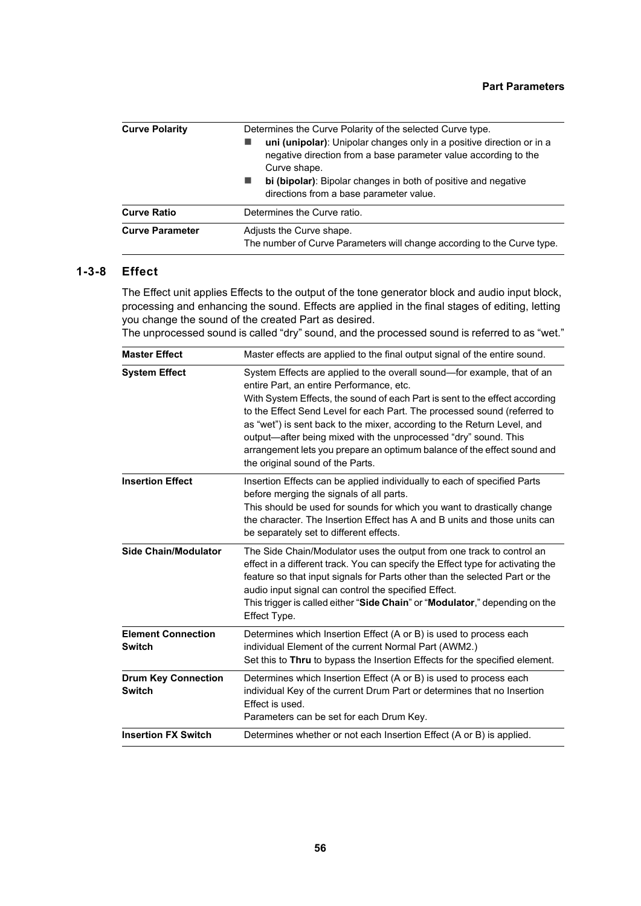| <b>Curve Polarity</b><br><b>Curve Ratio</b> | Determines the Curve Polarity of the selected Curve type.<br>uni (unipolar): Unipolar changes only in a positive direction or in a<br>negative direction from a base parameter value according to the<br>Curve shape.<br>bi (bipolar): Bipolar changes in both of positive and negative |
|---------------------------------------------|-----------------------------------------------------------------------------------------------------------------------------------------------------------------------------------------------------------------------------------------------------------------------------------------|
|                                             | directions from a base parameter value.<br>Determines the Curve ratio.                                                                                                                                                                                                                  |
|                                             |                                                                                                                                                                                                                                                                                         |
| <b>Curve Parameter</b>                      | Adjusts the Curve shape.<br>The number of Curve Parameters will change according to the Curve type.                                                                                                                                                                                     |

#### **1-3-8 Effect**

The Effect unit applies Effects to the output of the tone generator block and audio input block, processing and enhancing the sound. Effects are applied in the final stages of editing, letting you change the sound of the created Part as desired.

| <b>Master Effect</b>                        | Master effects are applied to the final output signal of the entire sound.                                                                                                                                                                                                                                                                                                                                                                                                                                                                  |
|---------------------------------------------|---------------------------------------------------------------------------------------------------------------------------------------------------------------------------------------------------------------------------------------------------------------------------------------------------------------------------------------------------------------------------------------------------------------------------------------------------------------------------------------------------------------------------------------------|
| <b>System Effect</b>                        | System Effects are applied to the overall sound—for example, that of an<br>entire Part, an entire Performance, etc.<br>With System Effects, the sound of each Part is sent to the effect according<br>to the Effect Send Level for each Part. The processed sound (referred to<br>as "wet") is sent back to the mixer, according to the Return Level, and<br>output-after being mixed with the unprocessed "dry" sound. This<br>arrangement lets you prepare an optimum balance of the effect sound and<br>the original sound of the Parts. |
| <b>Insertion Effect</b>                     | Insertion Effects can be applied individually to each of specified Parts<br>before merging the signals of all parts.<br>This should be used for sounds for which you want to drastically change<br>the character. The Insertion Effect has A and B units and those units can<br>be separately set to different effects.                                                                                                                                                                                                                     |
| <b>Side Chain/Modulator</b>                 | The Side Chain/Modulator uses the output from one track to control an<br>effect in a different track. You can specify the Effect type for activating the<br>feature so that input signals for Parts other than the selected Part or the<br>audio input signal can control the specified Effect.<br>This trigger is called either "Side Chain" or "Modulator," depending on the<br>Effect Type.                                                                                                                                              |
| <b>Element Connection</b>                   |                                                                                                                                                                                                                                                                                                                                                                                                                                                                                                                                             |
| <b>Switch</b>                               | Determines which Insertion Effect (A or B) is used to process each<br>individual Element of the current Normal Part (AWM2.)<br>Set this to Thru to bypass the Insertion Effects for the specified element.                                                                                                                                                                                                                                                                                                                                  |
| <b>Drum Key Connection</b><br><b>Switch</b> | Determines which Insertion Effect (A or B) is used to process each<br>individual Key of the current Drum Part or determines that no Insertion<br>Fffect is used.<br>Parameters can be set for each Drum Key.                                                                                                                                                                                                                                                                                                                                |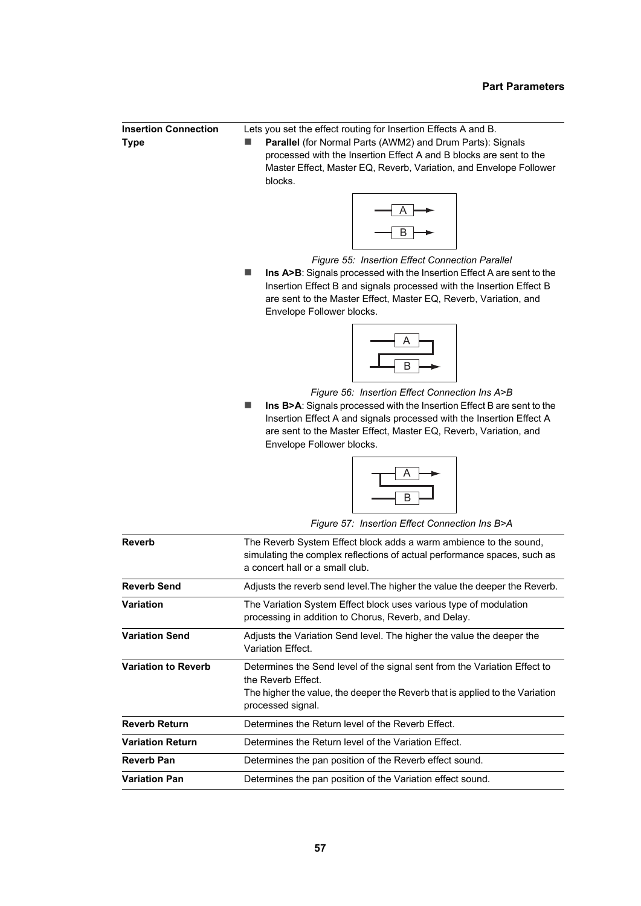**Insertion Connection Type** Lets you set the effect routing for Insertion Effects A and B. **Parallel** (for Normal Parts (AWM2) and Drum Parts): Signals processed with the Insertion Effect A and B blocks are sent to the Master Effect, Master EQ, Reverb, Variation, and Envelope Follower blocks.



- *Figure 55: Insertion Effect Connection Parallel*
- **Ins A>B**: Signals processed with the Insertion Effect A are sent to the Insertion Effect B and signals processed with the Insertion Effect B are sent to the Master Effect, Master EQ, Reverb, Variation, and Envelope Follower blocks.



- *Figure 56: Insertion Effect Connection Ins A>B*
- **Ins B>A**: Signals processed with the Insertion Effect B are sent to the Insertion Effect A and signals processed with the Insertion Effect A are sent to the Master Effect, Master EQ, Reverb, Variation, and Envelope Follower blocks.

| P |
|---|

*Figure 57: Insertion Effect Connection Ins B>A*

**Reverb** The Reverb System Effect block adds a warm ambience to the sound, simulating the complex reflections of actual performance spaces, such as a concert hall or a small club. **Reverb Send** Adjusts the reverb send level. The higher the value the deeper the Reverb. **Variation** The Variation System Effect block uses various type of modulation processing in addition to Chorus, Reverb, and Delay. **Variation Send** Adjusts the Variation Send level. The higher the value the deeper the Variation Effect. **Variation to Reverb** Determines the Send level of the signal sent from the Variation Effect to the Reverb Effect. The higher the value, the deeper the Reverb that is applied to the Variation processed signal. **Reverb Return** Determines the Return level of the Reverb Effect. **Variation Return** Determines the Return level of the Variation Effect. **Reverb Pan** Determines the pan position of the Reverb effect sound. **Variation Pan** Determines the pan position of the Variation effect sound.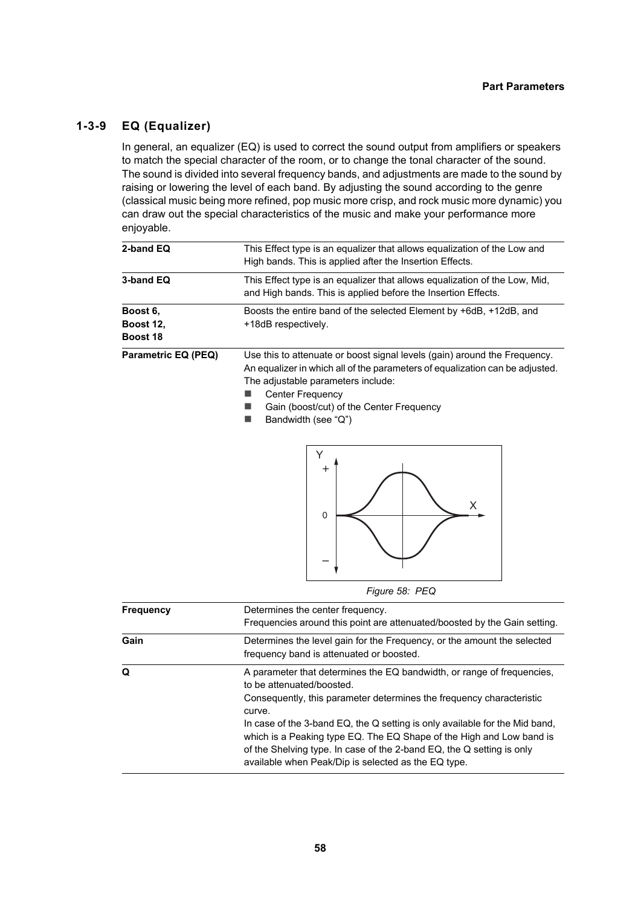#### **1-3-9 EQ (Equalizer)**

In general, an equalizer (EQ) is used to correct the sound output from amplifiers or speakers to match the special character of the room, or to change the tonal character of the sound. The sound is divided into several frequency bands, and adjustments are made to the sound by raising or lowering the level of each band. By adjusting the sound according to the genre (classical music being more refined, pop music more crisp, and rock music more dynamic) you can draw out the special characteristics of the music and make your performance more enjoyable.

| 2-band EQ                                | This Effect type is an equalizer that allows equalization of the Low and<br>High bands. This is applied after the Insertion Effects.                                                                                                                                                                                     |
|------------------------------------------|--------------------------------------------------------------------------------------------------------------------------------------------------------------------------------------------------------------------------------------------------------------------------------------------------------------------------|
| 3-band EQ                                | This Effect type is an equalizer that allows equalization of the Low, Mid,<br>and High bands. This is applied before the Insertion Effects.                                                                                                                                                                              |
| Boost 6,<br><b>Boost 12,</b><br>Boost 18 | Boosts the entire band of the selected Element by +6dB, +12dB, and<br>+18dB respectively.                                                                                                                                                                                                                                |
| Parametric EQ (PEQ)                      | Use this to attenuate or boost signal levels (gain) around the Frequency.<br>An equalizer in which all of the parameters of equalization can be adjusted.<br>The adjustable parameters include:<br><b>Center Frequency</b><br>Gain (boost/cut) of the Center Frequency<br>Bandwidth (see "Q")<br>Y<br>$\,{}^+$<br>X<br>0 |
| <b>Frequency</b>                         | Figure 58: PEQ<br>Determines the center frequency.<br>Frequencies around this point are attenuated/boosted by the Gain setting.                                                                                                                                                                                          |
| Gain                                     | Determines the level gain for the Frequency, or the amount the selected<br>frequency band is attenuated or boosted.                                                                                                                                                                                                      |
| Q                                        | A parameter that determines the EQ bandwidth, or range of frequencies,<br>to be attenuated/boosted.                                                                                                                                                                                                                      |

<span id="page-57-0"></span>Consequently, this parameter determines the frequency characteristic curve.

In case of the 3-band EQ, the Q setting is only available for the Mid band, which is a Peaking type EQ. The EQ Shape of the High and Low band is of the Shelving type. In case of the 2-band EQ, the Q setting is only available when Peak/Dip is selected as the EQ type.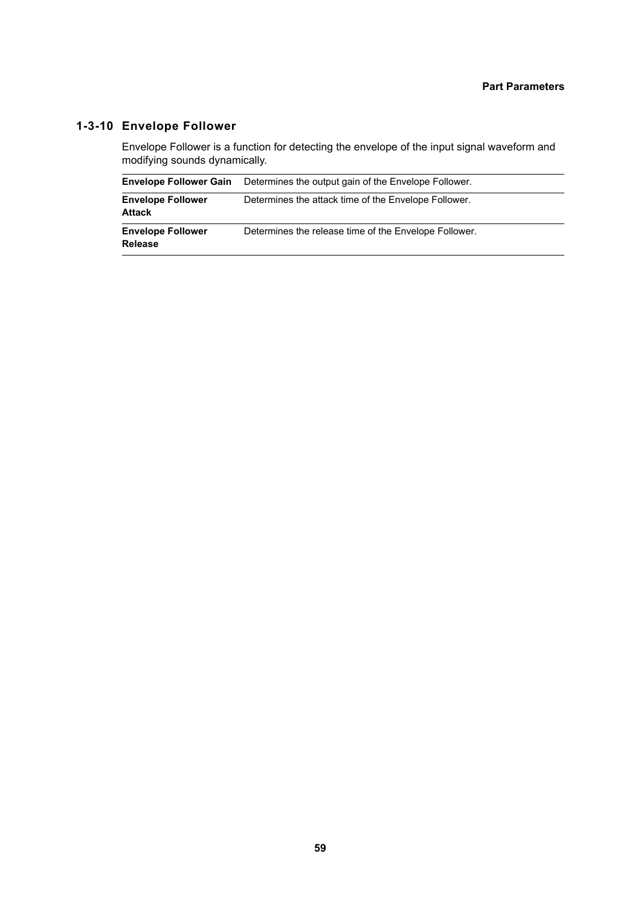# **1-3-10 Envelope Follower**

Envelope Follower is a function for detecting the envelope of the input signal waveform and modifying sounds dynamically.

|                                            | <b>Envelope Follower Gain</b> Determines the output gain of the Envelope Follower. |
|--------------------------------------------|------------------------------------------------------------------------------------|
| <b>Envelope Follower</b><br>Attack         | Determines the attack time of the Envelope Follower.                               |
| <b>Envelope Follower</b><br><b>Release</b> | Determines the release time of the Envelope Follower.                              |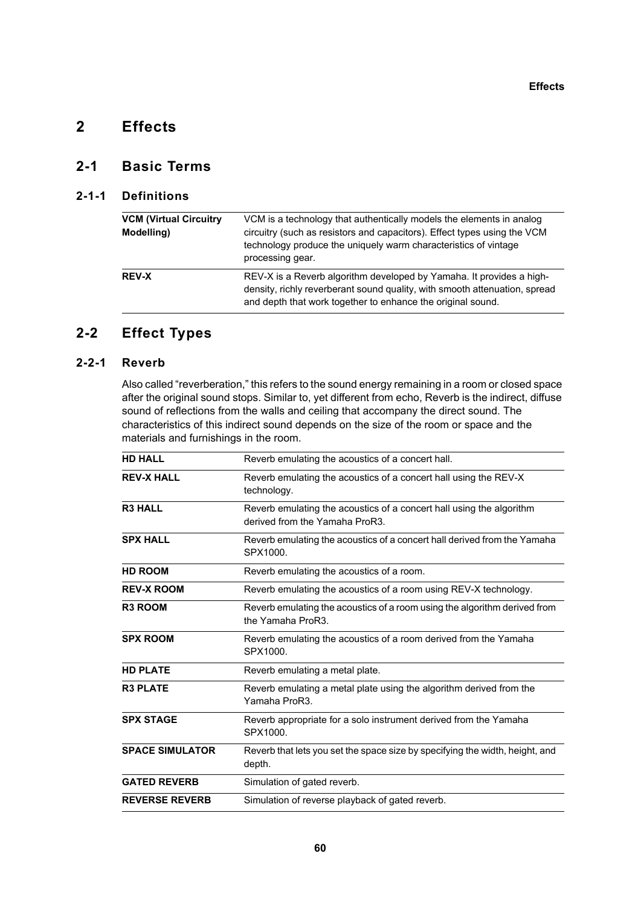## **2-1 Basic Terms**

## **2-1-1 Definitions**

| <b>VCM (Virtual Circuitry</b><br>Modelling) | VCM is a technology that authentically models the elements in analog<br>circuitry (such as resistors and capacitors). Effect types using the VCM<br>technology produce the uniquely warm characteristics of vintage<br>processing gear. |
|---------------------------------------------|-----------------------------------------------------------------------------------------------------------------------------------------------------------------------------------------------------------------------------------------|
| <b>REV-X</b>                                | REV-X is a Reverb algorithm developed by Yamaha. It provides a high-<br>density, richly reverberant sound quality, with smooth attenuation, spread<br>and depth that work together to enhance the original sound.                       |

# **2-2 Effect Types**

## **2-2-1 Reverb**

Also called "reverberation," this refers to the sound energy remaining in a room or closed space after the original sound stops. Similar to, yet different from echo, Reverb is the indirect, diffuse sound of reflections from the walls and ceiling that accompany the direct sound. The characteristics of this indirect sound depends on the size of the room or space and the materials and furnishings in the room.

| <b>HD HALL</b>         | Reverb emulating the acoustics of a concert hall.                                                      |  |
|------------------------|--------------------------------------------------------------------------------------------------------|--|
| <b>REV-X HALL</b>      | Reverb emulating the acoustics of a concert hall using the REV-X<br>technology.                        |  |
| <b>R3 HALL</b>         | Reverb emulating the acoustics of a concert hall using the algorithm<br>derived from the Yamaha ProR3. |  |
| <b>SPX HALL</b>        | Reverb emulating the acoustics of a concert hall derived from the Yamaha<br>SPX1000.                   |  |
| <b>HD ROOM</b>         | Reverb emulating the acoustics of a room.                                                              |  |
| <b>REV-X ROOM</b>      | Reverb emulating the acoustics of a room using REV-X technology.                                       |  |
| <b>R3 ROOM</b>         | Reverb emulating the acoustics of a room using the algorithm derived from<br>the Yamaha ProR3.         |  |
| <b>SPX ROOM</b>        | Reverb emulating the acoustics of a room derived from the Yamaha<br>SPX1000.                           |  |
| <b>HD PLATE</b>        | Reverb emulating a metal plate.                                                                        |  |
| <b>R3 PLATE</b>        | Reverb emulating a metal plate using the algorithm derived from the<br>Yamaha ProR3.                   |  |
| <b>SPX STAGE</b>       | Reverb appropriate for a solo instrument derived from the Yamaha<br>SPX1000.                           |  |
| <b>SPACE SIMULATOR</b> | Reverb that lets you set the space size by specifying the width, height, and<br>depth.                 |  |
| <b>GATED REVERB</b>    | Simulation of gated reverb.                                                                            |  |
| <b>REVERSE REVERB</b>  | Simulation of reverse playback of gated reverb.                                                        |  |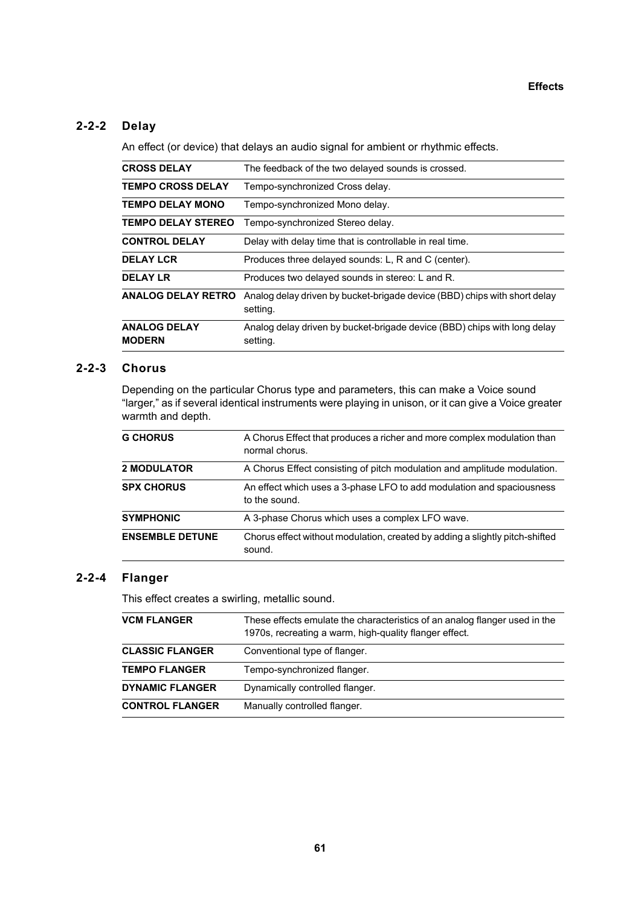# **2-2-2 Delay**

An effect (or device) that delays an audio signal for ambient or rhythmic effects.

| <b>CROSS DELAY</b>                   | The feedback of the two delayed sounds is crossed.                                    |  |
|--------------------------------------|---------------------------------------------------------------------------------------|--|
| <b>TEMPO CROSS DELAY</b>             | Tempo-synchronized Cross delay.                                                       |  |
| <b>TEMPO DELAY MONO</b>              | Tempo-synchronized Mono delay.                                                        |  |
| <b>TEMPO DELAY STEREO</b>            | Tempo-synchronized Stereo delay.                                                      |  |
| <b>CONTROL DELAY</b>                 | Delay with delay time that is controllable in real time.                              |  |
| <b>DELAY LCR</b>                     | Produces three delayed sounds: L, R and C (center).                                   |  |
| <b>DELAY LR</b>                      | Produces two delayed sounds in stereo: L and R.                                       |  |
| <b>ANALOG DELAY RETRO</b>            | Analog delay driven by bucket-brigade device (BBD) chips with short delay<br>setting. |  |
| <b>ANALOG DELAY</b><br><b>MODERN</b> | Analog delay driven by bucket-brigade device (BBD) chips with long delay<br>setting.  |  |

#### **2-2-3 Chorus**

Depending on the particular Chorus type and parameters, this can make a Voice sound "larger," as if several identical instruments were playing in unison, or it can give a Voice greater warmth and depth.

| <b>G CHORUS</b>        | A Chorus Effect that produces a richer and more complex modulation than<br>normal chorus. |
|------------------------|-------------------------------------------------------------------------------------------|
| <b>2 MODULATOR</b>     | A Chorus Effect consisting of pitch modulation and amplitude modulation.                  |
| <b>SPX CHORUS</b>      | An effect which uses a 3-phase LFO to add modulation and spaciousness<br>to the sound.    |
| <b>SYMPHONIC</b>       | A 3-phase Chorus which uses a complex LFO wave.                                           |
| <b>ENSEMBLE DETUNE</b> | Chorus effect without modulation, created by adding a slightly pitch-shifted<br>sound.    |

## **2-2-4 Flanger**

This effect creates a swirling, metallic sound.

| <b>VCM FLANGER</b>     | These effects emulate the characteristics of an analog flanger used in the<br>1970s, recreating a warm, high-quality flanger effect. |
|------------------------|--------------------------------------------------------------------------------------------------------------------------------------|
| <b>CLASSIC FLANGER</b> | Conventional type of flanger.                                                                                                        |
| <b>TEMPO FLANGER</b>   | Tempo-synchronized flanger.                                                                                                          |
| <b>DYNAMIC FLANGER</b> | Dynamically controlled flanger.                                                                                                      |
| <b>CONTROL FLANGER</b> | Manually controlled flanger.                                                                                                         |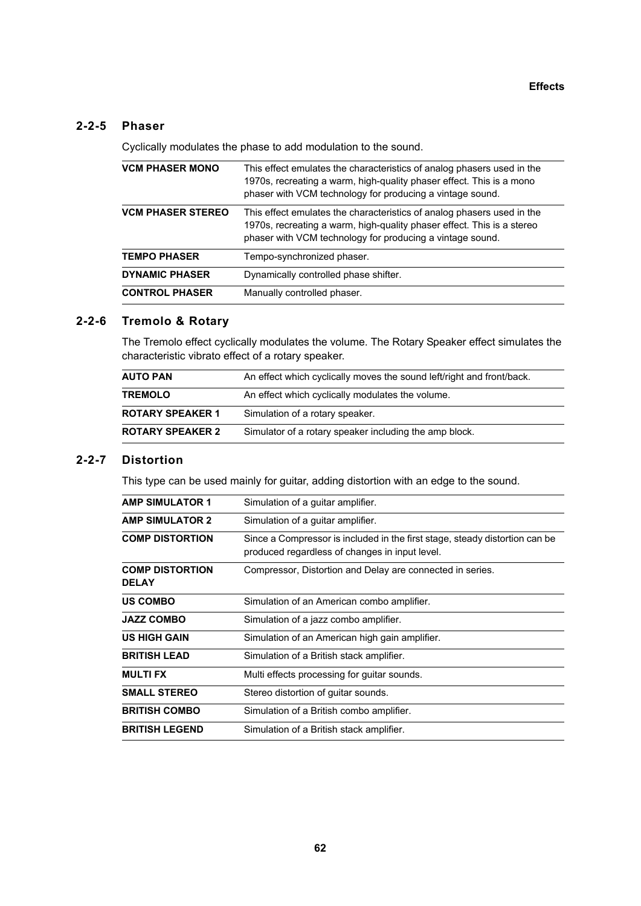#### **2-2-5 Phaser**

Cyclically modulates the phase to add modulation to the sound.

| <b>VCM PHASER MONO</b>   | This effect emulates the characteristics of analog phasers used in the<br>1970s, recreating a warm, high-quality phaser effect. This is a mono<br>phaser with VCM technology for producing a vintage sound.   |
|--------------------------|---------------------------------------------------------------------------------------------------------------------------------------------------------------------------------------------------------------|
| <b>VCM PHASER STEREO</b> | This effect emulates the characteristics of analog phasers used in the<br>1970s, recreating a warm, high-quality phaser effect. This is a stereo<br>phaser with VCM technology for producing a vintage sound. |
| <b>TEMPO PHASER</b>      | Tempo-synchronized phaser.                                                                                                                                                                                    |
| <b>DYNAMIC PHASER</b>    | Dynamically controlled phase shifter.                                                                                                                                                                         |
| <b>CONTROL PHASER</b>    | Manually controlled phaser.                                                                                                                                                                                   |

#### **2-2-6 Tremolo & Rotary**

The Tremolo effect cyclically modulates the volume. The Rotary Speaker effect simulates the characteristic vibrato effect of a rotary speaker.

| <b>AUTO PAN</b>         | An effect which cyclically moves the sound left/right and front/back. |
|-------------------------|-----------------------------------------------------------------------|
| <b>TREMOLO</b>          | An effect which cyclically modulates the volume.                      |
| <b>ROTARY SPEAKER 1</b> | Simulation of a rotary speaker.                                       |
| <b>ROTARY SPEAKER 2</b> | Simulator of a rotary speaker including the amp block.                |

#### **2-2-7 Distortion**

This type can be used mainly for guitar, adding distortion with an edge to the sound.

| <b>AMP SIMULATOR 1</b>                 | Simulation of a guitar amplifier.                                                                                             |
|----------------------------------------|-------------------------------------------------------------------------------------------------------------------------------|
| <b>AMP SIMULATOR 2</b>                 | Simulation of a guitar amplifier.                                                                                             |
| <b>COMP DISTORTION</b>                 | Since a Compressor is included in the first stage, steady distortion can be<br>produced regardless of changes in input level. |
| <b>COMP DISTORTION</b><br><b>DELAY</b> | Compressor, Distortion and Delay are connected in series.                                                                     |
| <b>US COMBO</b>                        | Simulation of an American combo amplifier.                                                                                    |
| <b>JAZZ COMBO</b>                      | Simulation of a jazz combo amplifier.                                                                                         |
| <b>US HIGH GAIN</b>                    | Simulation of an American high gain amplifier.                                                                                |
| <b>BRITISH LEAD</b>                    | Simulation of a British stack amplifier.                                                                                      |
| <b>MULTIFX</b>                         | Multi effects processing for guitar sounds.                                                                                   |
| <b>SMALL STEREO</b>                    | Stereo distortion of guitar sounds.                                                                                           |
| <b>BRITISH COMBO</b>                   | Simulation of a British combo amplifier.                                                                                      |
| <b>BRITISH LEGEND</b>                  | Simulation of a British stack amplifier.                                                                                      |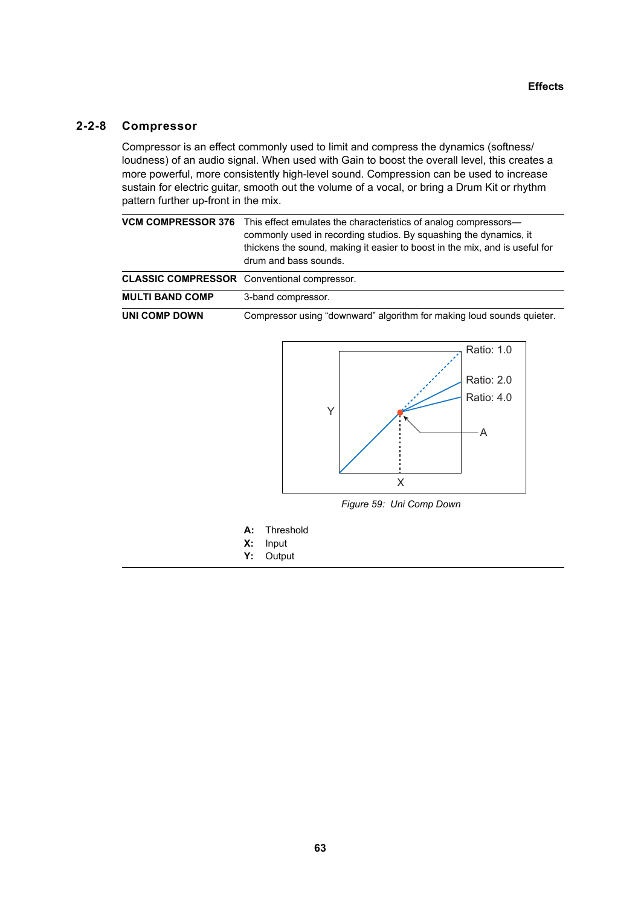#### **2-2-8 Compressor**

Compressor is an effect commonly used to limit and compress the dynamics (softness/ loudness) of an audio signal. When used with Gain to boost the overall level, this creates a more powerful, more consistently high-level sound. Compression can be used to increase sustain for electric guitar, smooth out the volume of a vocal, or bring a Drum Kit or rhythm pattern further up-front in the mix.

|                                                    | VCM COMPRESSOR 376 This effect emulates the characteristics of analog compressors—<br>commonly used in recording studios. By squashing the dynamics, it<br>thickens the sound, making it easier to boost in the mix, and is useful for<br>drum and bass sounds. |
|----------------------------------------------------|-----------------------------------------------------------------------------------------------------------------------------------------------------------------------------------------------------------------------------------------------------------------|
| <b>CLASSIC COMPRESSOR</b> Conventional compressor. |                                                                                                                                                                                                                                                                 |
| <b>MULTI BAND COMP</b>                             | 3-band compressor.                                                                                                                                                                                                                                              |
| UNI COMP DOWN                                      | Compressor using "downward" algorithm for making loud sounds quieter.                                                                                                                                                                                           |



*Figure 59: Uni Comp Down*

- **A:** Threshold
- **X:** Input
- **Y:** Output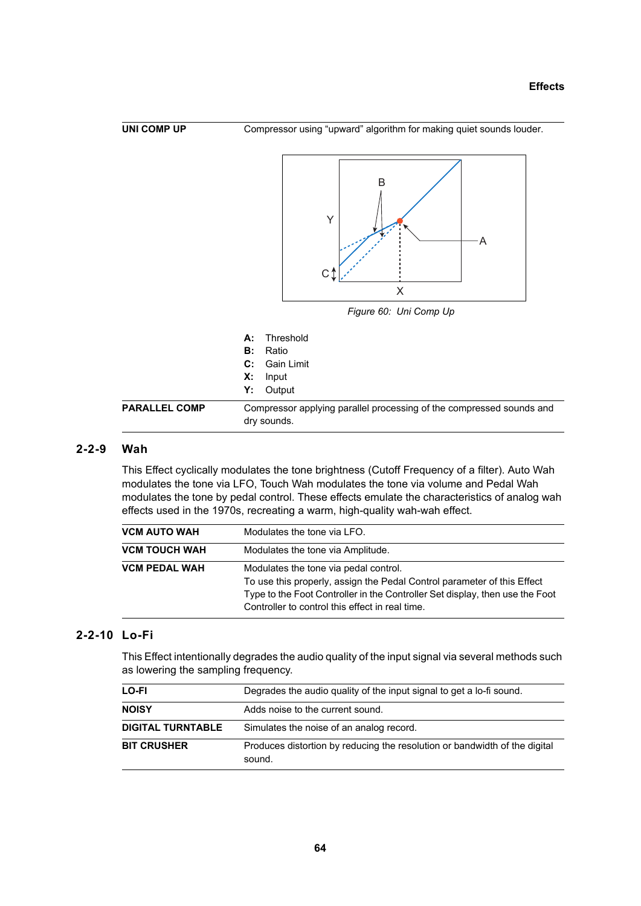



A

| Figure 60: Uni Comp Up |  |
|------------------------|--|

Y

|                      | <b>A:</b> Threshold                                                                 |
|----------------------|-------------------------------------------------------------------------------------|
|                      | <b>B</b> : Ratio                                                                    |
|                      | C: Gain Limit                                                                       |
|                      | Х:<br>Input                                                                         |
|                      | Y:<br>Output                                                                        |
| <b>PARALLEL COMP</b> | Compressor applying parallel processing of the compressed sounds and<br>dry sounds. |
|                      |                                                                                     |

#### **2-2-9 Wah**

This Effect cyclically modulates the tone brightness (Cutoff Frequency of a filter). Auto Wah modulates the tone via LFO, Touch Wah modulates the tone via volume and Pedal Wah modulates the tone by pedal control. These effects emulate the characteristics of analog wah effects used in the 1970s, recreating a warm, high-quality wah-wah effect.

| <b>VCM AUTO WAH</b>  | Modulates the tone via LFO.                                                                                                                                                                                                                         |
|----------------------|-----------------------------------------------------------------------------------------------------------------------------------------------------------------------------------------------------------------------------------------------------|
| <b>VCM TOUCH WAH</b> | Modulates the tone via Amplitude.                                                                                                                                                                                                                   |
| <b>VCM PEDAL WAH</b> | Modulates the tone via pedal control.<br>To use this properly, assign the Pedal Control parameter of this Effect<br>Type to the Foot Controller in the Controller Set display, then use the Foot<br>Controller to control this effect in real time. |

#### **2-2-10 Lo-Fi**

This Effect intentionally degrades the audio quality of the input signal via several methods such as lowering the sampling frequency.

| <b>LO-FI</b>             | Degrades the audio quality of the input signal to get a lo-fi sound.                 |
|--------------------------|--------------------------------------------------------------------------------------|
| <b>NOISY</b>             | Adds noise to the current sound.                                                     |
| <b>DIGITAL TURNTABLE</b> | Simulates the noise of an analog record.                                             |
| <b>BIT CRUSHER</b>       | Produces distortion by reducing the resolution or bandwidth of the digital<br>sound. |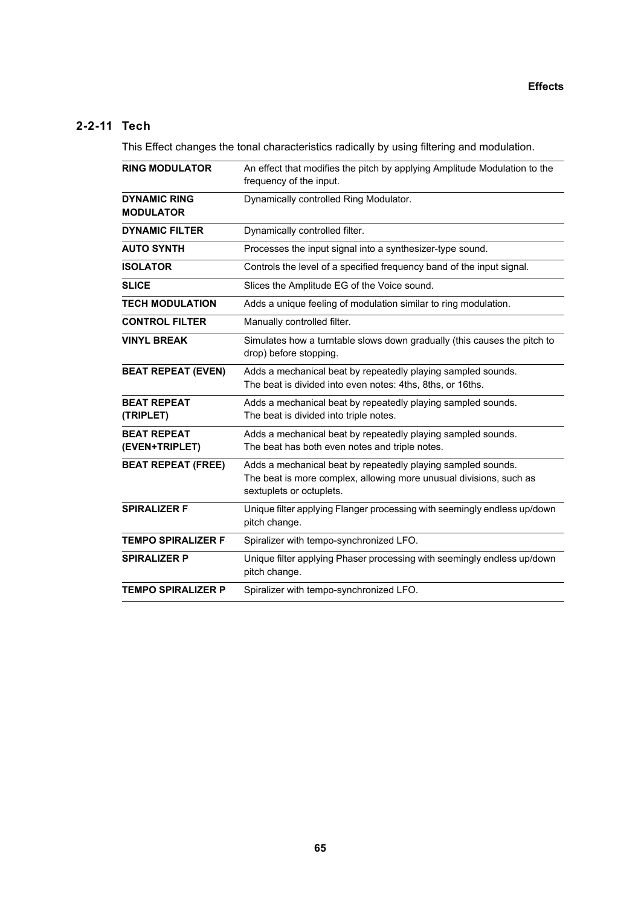# **2-2-11 Tech**

This Effect changes the tonal characteristics radically by using filtering and modulation.

| <b>RING MODULATOR</b>                   | An effect that modifies the pitch by applying Amplitude Modulation to the<br>frequency of the input.                                                           |
|-----------------------------------------|----------------------------------------------------------------------------------------------------------------------------------------------------------------|
| <b>DYNAMIC RING</b><br><b>MODULATOR</b> | Dynamically controlled Ring Modulator.                                                                                                                         |
| <b>DYNAMIC FILTER</b>                   | Dynamically controlled filter.                                                                                                                                 |
| <b>AUTO SYNTH</b>                       | Processes the input signal into a synthesizer-type sound.                                                                                                      |
| <b>ISOLATOR</b>                         | Controls the level of a specified frequency band of the input signal.                                                                                          |
| <b>SLICE</b>                            | Slices the Amplitude EG of the Voice sound.                                                                                                                    |
| <b>TECH MODULATION</b>                  | Adds a unique feeling of modulation similar to ring modulation.                                                                                                |
| <b>CONTROL FILTER</b>                   | Manually controlled filter.                                                                                                                                    |
| <b>VINYL BREAK</b>                      | Simulates how a turntable slows down gradually (this causes the pitch to<br>drop) before stopping.                                                             |
| <b>BEAT REPEAT (EVEN)</b>               | Adds a mechanical beat by repeatedly playing sampled sounds.<br>The beat is divided into even notes: 4ths, 8ths, or 16ths.                                     |
| <b>BEAT REPEAT</b><br>(TRIPLET)         | Adds a mechanical beat by repeatedly playing sampled sounds.<br>The beat is divided into triple notes.                                                         |
| <b>BEAT REPEAT</b><br>(EVEN+TRIPLET)    | Adds a mechanical beat by repeatedly playing sampled sounds.<br>The beat has both even notes and triple notes.                                                 |
| <b>BEAT REPEAT (FREE)</b>               | Adds a mechanical beat by repeatedly playing sampled sounds.<br>The beat is more complex, allowing more unusual divisions, such as<br>sextuplets or octuplets. |
| <b>SPIRALIZER F</b>                     | Unique filter applying Flanger processing with seemingly endless up/down<br>pitch change.                                                                      |
| <b>TEMPO SPIRALIZER F</b>               | Spiralizer with tempo-synchronized LFO.                                                                                                                        |
| <b>SPIRALIZER P</b>                     | Unique filter applying Phaser processing with seemingly endless up/down<br>pitch change.                                                                       |
| <b>TEMPO SPIRALIZER P</b>               | Spiralizer with tempo-synchronized LFO.                                                                                                                        |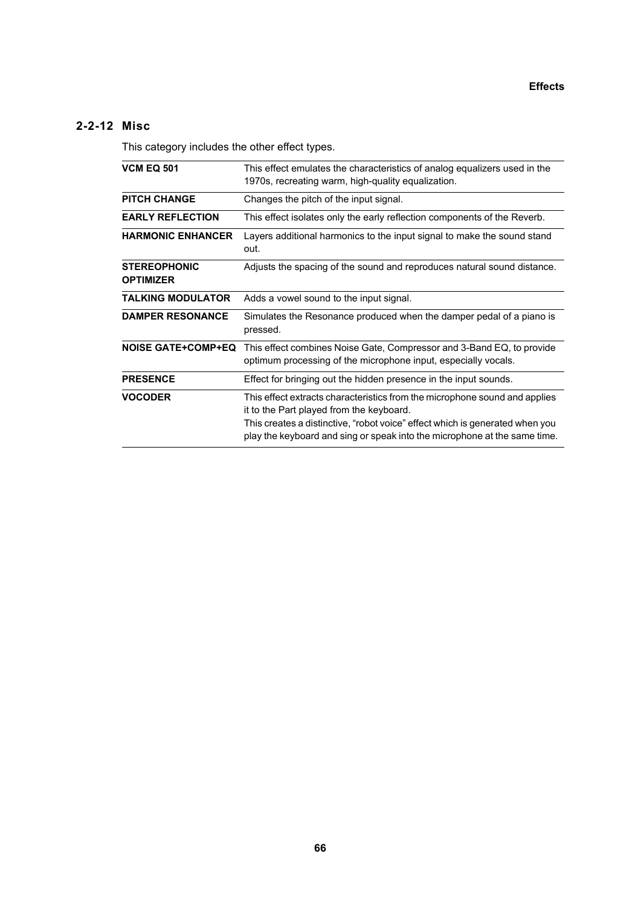# **2-2-12 Misc**

This category includes the other effect types.

| <b>VCM EQ 501</b>                       | This effect emulates the characteristics of analog equalizers used in the<br>1970s, recreating warm, high-quality equalization.                                                                                                                                                     |
|-----------------------------------------|-------------------------------------------------------------------------------------------------------------------------------------------------------------------------------------------------------------------------------------------------------------------------------------|
| <b>PITCH CHANGE</b>                     | Changes the pitch of the input signal.                                                                                                                                                                                                                                              |
| <b>EARLY REFLECTION</b>                 | This effect isolates only the early reflection components of the Reverb.                                                                                                                                                                                                            |
| <b>HARMONIC ENHANCER</b>                | Layers additional harmonics to the input signal to make the sound stand<br>out.                                                                                                                                                                                                     |
| <b>STEREOPHONIC</b><br><b>OPTIMIZER</b> | Adjusts the spacing of the sound and reproduces natural sound distance.                                                                                                                                                                                                             |
| <b>TALKING MODULATOR</b>                | Adds a vowel sound to the input signal.                                                                                                                                                                                                                                             |
| <b>DAMPER RESONANCE</b>                 | Simulates the Resonance produced when the damper pedal of a piano is<br>pressed.                                                                                                                                                                                                    |
| <b>NOISE GATE+COMP+EQ</b>               | This effect combines Noise Gate, Compressor and 3-Band EQ, to provide<br>optimum processing of the microphone input, especially vocals.                                                                                                                                             |
| <b>PRESENCE</b>                         | Effect for bringing out the hidden presence in the input sounds.                                                                                                                                                                                                                    |
| <b>VOCODER</b>                          | This effect extracts characteristics from the microphone sound and applies<br>it to the Part played from the keyboard.<br>This creates a distinctive, "robot voice" effect which is generated when you<br>play the keyboard and sing or speak into the microphone at the same time. |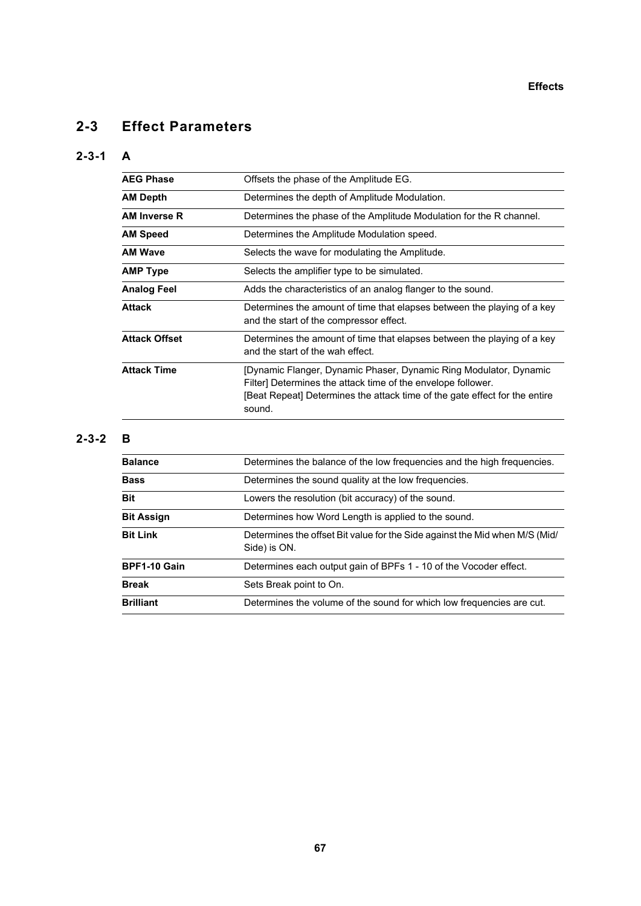# **2-3 Effect Parameters**

# **2-3-1 A**

| AEG Phase            | Offsets the phase of the Amplitude EG.                                                                                                                                                                                    |
|----------------------|---------------------------------------------------------------------------------------------------------------------------------------------------------------------------------------------------------------------------|
| AM Depth             | Determines the depth of Amplitude Modulation.                                                                                                                                                                             |
| AM Inverse R         | Determines the phase of the Amplitude Modulation for the R channel.                                                                                                                                                       |
| <b>AM Speed</b>      | Determines the Amplitude Modulation speed.                                                                                                                                                                                |
| AM Wave              | Selects the wave for modulating the Amplitude.                                                                                                                                                                            |
| <b>AMP Type</b>      | Selects the amplifier type to be simulated.                                                                                                                                                                               |
| Analog Feel          | Adds the characteristics of an analog flanger to the sound.                                                                                                                                                               |
| Attack               | Determines the amount of time that elapses between the playing of a key<br>and the start of the compressor effect.                                                                                                        |
| <b>Attack Offset</b> | Determines the amount of time that elapses between the playing of a key<br>and the start of the wah effect.                                                                                                               |
| <b>Attack Time</b>   | [Dynamic Flanger, Dynamic Phaser, Dynamic Ring Modulator, Dynamic<br>Filter] Determines the attack time of the envelope follower.<br>[Beat Repeat] Determines the attack time of the gate effect for the entire<br>sound. |

# **2-3-2 B**

| <b>Balance</b>    | Determines the balance of the low frequencies and the high frequencies.                     |
|-------------------|---------------------------------------------------------------------------------------------|
| <b>Bass</b>       | Determines the sound quality at the low frequencies.                                        |
| <b>Bit</b>        | Lowers the resolution (bit accuracy) of the sound.                                          |
| <b>Bit Assign</b> | Determines how Word Length is applied to the sound.                                         |
| <b>Bit Link</b>   | Determines the offset Bit value for the Side against the Mid when M/S (Mid/<br>Side) is ON. |
| BPF1-10 Gain      | Determines each output gain of BPFs 1 - 10 of the Vocoder effect.                           |
| <b>Break</b>      | Sets Break point to On.                                                                     |
| <b>Brilliant</b>  | Determines the volume of the sound for which low frequencies are cut.                       |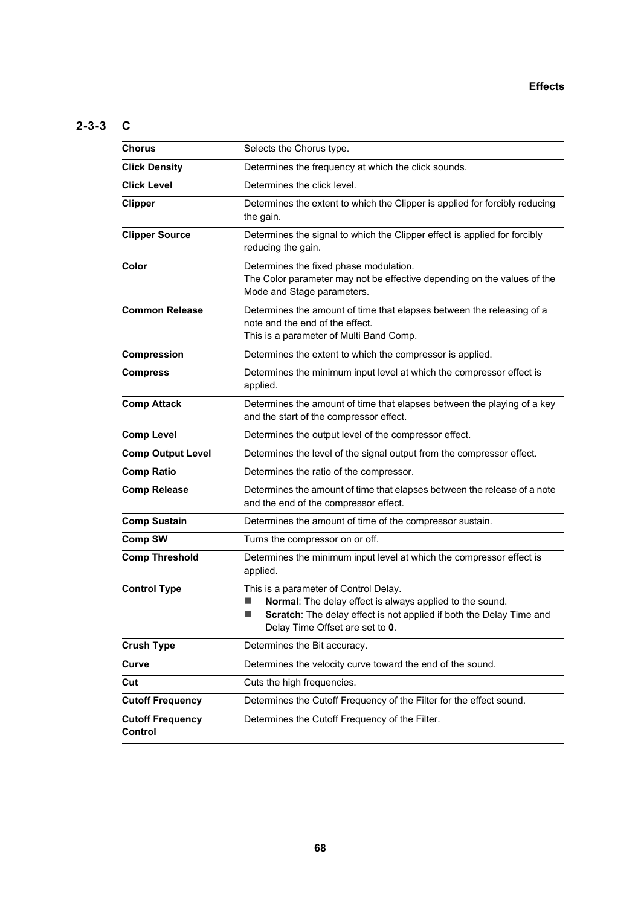# **2-3-3 C**

| <b>Chorus</b>                      | Selects the Chorus type.                                                                                                                                                                                    |
|------------------------------------|-------------------------------------------------------------------------------------------------------------------------------------------------------------------------------------------------------------|
| <b>Click Density</b>               | Determines the frequency at which the click sounds.                                                                                                                                                         |
| <b>Click Level</b>                 | Determines the click level.                                                                                                                                                                                 |
| <b>Clipper</b>                     | Determines the extent to which the Clipper is applied for forcibly reducing<br>the gain.                                                                                                                    |
| <b>Clipper Source</b>              | Determines the signal to which the Clipper effect is applied for forcibly<br>reducing the gain.                                                                                                             |
| Color                              | Determines the fixed phase modulation.<br>The Color parameter may not be effective depending on the values of the<br>Mode and Stage parameters.                                                             |
| <b>Common Release</b>              | Determines the amount of time that elapses between the releasing of a<br>note and the end of the effect.<br>This is a parameter of Multi Band Comp.                                                         |
| Compression                        | Determines the extent to which the compressor is applied.                                                                                                                                                   |
| <b>Compress</b>                    | Determines the minimum input level at which the compressor effect is<br>applied.                                                                                                                            |
| <b>Comp Attack</b>                 | Determines the amount of time that elapses between the playing of a key<br>and the start of the compressor effect.                                                                                          |
| <b>Comp Level</b>                  | Determines the output level of the compressor effect.                                                                                                                                                       |
| <b>Comp Output Level</b>           | Determines the level of the signal output from the compressor effect.                                                                                                                                       |
| <b>Comp Ratio</b>                  | Determines the ratio of the compressor.                                                                                                                                                                     |
| <b>Comp Release</b>                | Determines the amount of time that elapses between the release of a note<br>and the end of the compressor effect.                                                                                           |
| <b>Comp Sustain</b>                | Determines the amount of time of the compressor sustain.                                                                                                                                                    |
| <b>Comp SW</b>                     | Turns the compressor on or off.                                                                                                                                                                             |
| <b>Comp Threshold</b>              | Determines the minimum input level at which the compressor effect is<br>applied.                                                                                                                            |
| <b>Control Type</b>                | This is a parameter of Control Delay.<br>Normal: The delay effect is always applied to the sound.<br>Scratch: The delay effect is not applied if both the Delay Time and<br>Delay Time Offset are set to 0. |
| <b>Crush Type</b>                  | Determines the Bit accuracy.                                                                                                                                                                                |
| Curve                              | Determines the velocity curve toward the end of the sound.                                                                                                                                                  |
| Cut                                | Cuts the high frequencies.                                                                                                                                                                                  |
| <b>Cutoff Frequency</b>            | Determines the Cutoff Frequency of the Filter for the effect sound.                                                                                                                                         |
| <b>Cutoff Frequency</b><br>Control | Determines the Cutoff Frequency of the Filter.                                                                                                                                                              |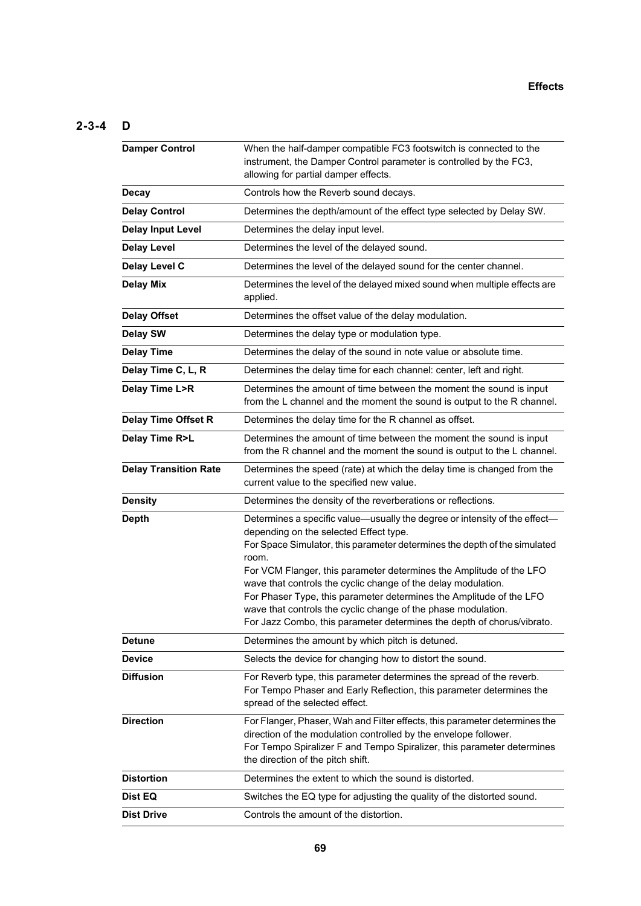## **2-3-4 D**

| <b>Damper Control</b>        | When the half-damper compatible FC3 footswitch is connected to the<br>instrument, the Damper Control parameter is controlled by the FC3,<br>allowing for partial damper effects.                                                                                                                                                                                                                                                                                                                                                                                     |
|------------------------------|----------------------------------------------------------------------------------------------------------------------------------------------------------------------------------------------------------------------------------------------------------------------------------------------------------------------------------------------------------------------------------------------------------------------------------------------------------------------------------------------------------------------------------------------------------------------|
| <b>Decay</b>                 | Controls how the Reverb sound decays.                                                                                                                                                                                                                                                                                                                                                                                                                                                                                                                                |
| <b>Delay Control</b>         | Determines the depth/amount of the effect type selected by Delay SW.                                                                                                                                                                                                                                                                                                                                                                                                                                                                                                 |
| <b>Delay Input Level</b>     | Determines the delay input level.                                                                                                                                                                                                                                                                                                                                                                                                                                                                                                                                    |
| <b>Delay Level</b>           | Determines the level of the delayed sound.                                                                                                                                                                                                                                                                                                                                                                                                                                                                                                                           |
| Delay Level C                | Determines the level of the delayed sound for the center channel.                                                                                                                                                                                                                                                                                                                                                                                                                                                                                                    |
| <b>Delay Mix</b>             | Determines the level of the delayed mixed sound when multiple effects are<br>applied.                                                                                                                                                                                                                                                                                                                                                                                                                                                                                |
| <b>Delay Offset</b>          | Determines the offset value of the delay modulation.                                                                                                                                                                                                                                                                                                                                                                                                                                                                                                                 |
| Delay SW                     | Determines the delay type or modulation type.                                                                                                                                                                                                                                                                                                                                                                                                                                                                                                                        |
| <b>Delay Time</b>            | Determines the delay of the sound in note value or absolute time.                                                                                                                                                                                                                                                                                                                                                                                                                                                                                                    |
| Delay Time C, L, R           | Determines the delay time for each channel: center, left and right.                                                                                                                                                                                                                                                                                                                                                                                                                                                                                                  |
| Delay Time L>R               | Determines the amount of time between the moment the sound is input<br>from the L channel and the moment the sound is output to the R channel.                                                                                                                                                                                                                                                                                                                                                                                                                       |
| <b>Delay Time Offset R</b>   | Determines the delay time for the R channel as offset.                                                                                                                                                                                                                                                                                                                                                                                                                                                                                                               |
| Delay Time R>L               | Determines the amount of time between the moment the sound is input<br>from the R channel and the moment the sound is output to the L channel.                                                                                                                                                                                                                                                                                                                                                                                                                       |
| <b>Delay Transition Rate</b> | Determines the speed (rate) at which the delay time is changed from the<br>current value to the specified new value.                                                                                                                                                                                                                                                                                                                                                                                                                                                 |
| <b>Density</b>               | Determines the density of the reverberations or reflections.                                                                                                                                                                                                                                                                                                                                                                                                                                                                                                         |
| <b>Depth</b>                 | Determines a specific value-usually the degree or intensity of the effect-<br>depending on the selected Effect type.<br>For Space Simulator, this parameter determines the depth of the simulated<br>room.<br>For VCM Flanger, this parameter determines the Amplitude of the LFO<br>wave that controls the cyclic change of the delay modulation.<br>For Phaser Type, this parameter determines the Amplitude of the LFO<br>wave that controls the cyclic change of the phase modulation.<br>For Jazz Combo, this parameter determines the depth of chorus/vibrato. |
| <b>Detune</b>                | Determines the amount by which pitch is detuned.                                                                                                                                                                                                                                                                                                                                                                                                                                                                                                                     |
| <b>Device</b>                | Selects the device for changing how to distort the sound.                                                                                                                                                                                                                                                                                                                                                                                                                                                                                                            |
| <b>Diffusion</b>             | For Reverb type, this parameter determines the spread of the reverb.<br>For Tempo Phaser and Early Reflection, this parameter determines the<br>spread of the selected effect.                                                                                                                                                                                                                                                                                                                                                                                       |
| <b>Direction</b>             | For Flanger, Phaser, Wah and Filter effects, this parameter determines the<br>direction of the modulation controlled by the envelope follower.<br>For Tempo Spiralizer F and Tempo Spiralizer, this parameter determines<br>the direction of the pitch shift.                                                                                                                                                                                                                                                                                                        |
| <b>Distortion</b>            | Determines the extent to which the sound is distorted.                                                                                                                                                                                                                                                                                                                                                                                                                                                                                                               |
| Dist EQ                      | Switches the EQ type for adjusting the quality of the distorted sound.                                                                                                                                                                                                                                                                                                                                                                                                                                                                                               |
| <b>Dist Drive</b>            | Controls the amount of the distortion.                                                                                                                                                                                                                                                                                                                                                                                                                                                                                                                               |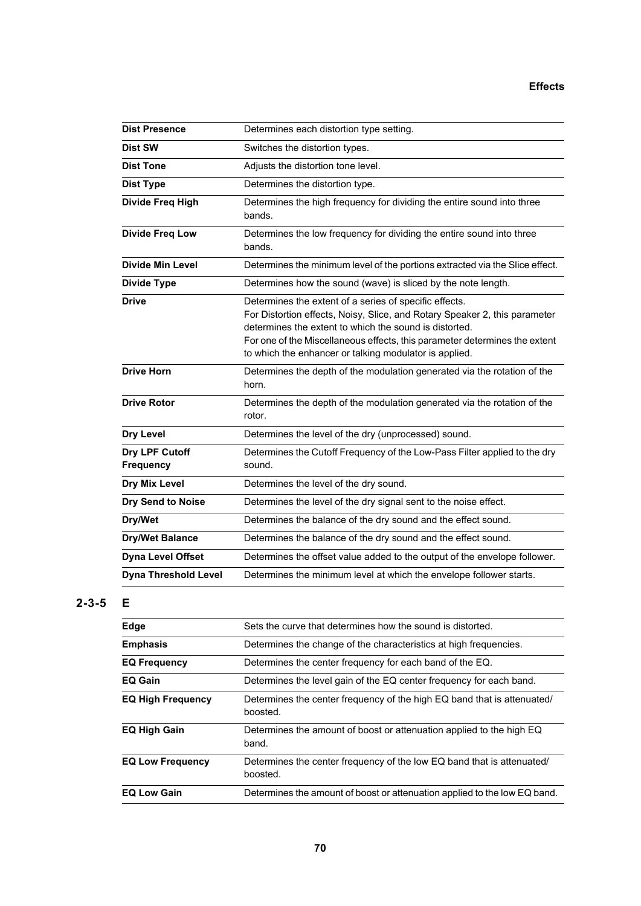| <b>Dist Presence</b>               | Determines each distortion type setting.                                                                                                                                                                                                                                                                                               |
|------------------------------------|----------------------------------------------------------------------------------------------------------------------------------------------------------------------------------------------------------------------------------------------------------------------------------------------------------------------------------------|
| <b>Dist SW</b>                     | Switches the distortion types.                                                                                                                                                                                                                                                                                                         |
| <b>Dist Tone</b>                   | Adjusts the distortion tone level.                                                                                                                                                                                                                                                                                                     |
| <b>Dist Type</b>                   | Determines the distortion type.                                                                                                                                                                                                                                                                                                        |
| Divide Freq High                   | Determines the high frequency for dividing the entire sound into three<br>bands.                                                                                                                                                                                                                                                       |
| <b>Divide Freq Low</b>             | Determines the low frequency for dividing the entire sound into three<br>bands.                                                                                                                                                                                                                                                        |
| <b>Divide Min Level</b>            | Determines the minimum level of the portions extracted via the Slice effect.                                                                                                                                                                                                                                                           |
| <b>Divide Type</b>                 | Determines how the sound (wave) is sliced by the note length.                                                                                                                                                                                                                                                                          |
| <b>Drive</b>                       | Determines the extent of a series of specific effects.<br>For Distortion effects, Noisy, Slice, and Rotary Speaker 2, this parameter<br>determines the extent to which the sound is distorted.<br>For one of the Miscellaneous effects, this parameter determines the extent<br>to which the enhancer or talking modulator is applied. |
| <b>Drive Horn</b>                  | Determines the depth of the modulation generated via the rotation of the<br>horn.                                                                                                                                                                                                                                                      |
| <b>Drive Rotor</b>                 | Determines the depth of the modulation generated via the rotation of the<br>rotor.                                                                                                                                                                                                                                                     |
| Dry Level                          | Determines the level of the dry (unprocessed) sound.                                                                                                                                                                                                                                                                                   |
| Dry LPF Cutoff<br><b>Frequency</b> | Determines the Cutoff Frequency of the Low-Pass Filter applied to the dry<br>sound.                                                                                                                                                                                                                                                    |
| Dry Mix Level                      | Determines the level of the dry sound.                                                                                                                                                                                                                                                                                                 |
| Dry Send to Noise                  | Determines the level of the dry signal sent to the noise effect.                                                                                                                                                                                                                                                                       |
| Dry/Wet                            | Determines the balance of the dry sound and the effect sound.                                                                                                                                                                                                                                                                          |
| <b>Dry/Wet Balance</b>             | Determines the balance of the dry sound and the effect sound.                                                                                                                                                                                                                                                                          |
| <b>Dyna Level Offset</b>           | Determines the offset value added to the output of the envelope follower.                                                                                                                                                                                                                                                              |
| <b>Dyna Threshold Level</b>        | Determines the minimum level at which the envelope follower starts.                                                                                                                                                                                                                                                                    |

# **2-3-5 E**

| Edge                     | Sets the curve that determines how the sound is distorted.                          |
|--------------------------|-------------------------------------------------------------------------------------|
| <b>Emphasis</b>          | Determines the change of the characteristics at high frequencies.                   |
| <b>EQ Frequency</b>      | Determines the center frequency for each band of the EQ.                            |
| <b>EQ Gain</b>           | Determines the level gain of the EQ center frequency for each band.                 |
| <b>EQ High Frequency</b> | Determines the center frequency of the high EQ band that is attenuated/<br>boosted. |
| <b>EQ High Gain</b>      | Determines the amount of boost or attenuation applied to the high EQ<br>band.       |
| <b>EQ Low Frequency</b>  | Determines the center frequency of the low EQ band that is attenuated/<br>boosted.  |
| <b>EQ Low Gain</b>       | Determines the amount of boost or attenuation applied to the low EQ band.           |
|                          |                                                                                     |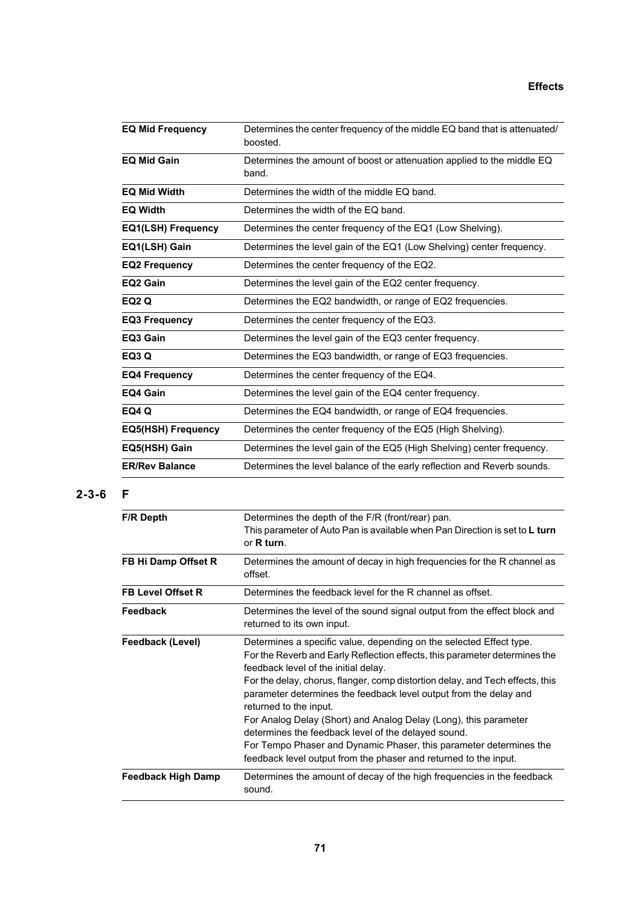| <b>EQ Mid Frequency</b>   | Determines the center frequency of the middle EQ band that is attenuated/<br>boosted. |
|---------------------------|---------------------------------------------------------------------------------------|
| <b>EQ Mid Gain</b>        | Determines the amount of boost or attenuation applied to the middle EQ<br>band.       |
| <b>EQ Mid Width</b>       | Determines the width of the middle EQ band.                                           |
| <b>EQ Width</b>           | Determines the width of the FO band.                                                  |
| EQ1(LSH) Frequency        | Determines the center frequency of the EQ1 (Low Shelving).                            |
| EQ1(LSH) Gain             | Determines the level gain of the EQ1 (Low Shelving) center frequency.                 |
| <b>EQ2 Frequency</b>      | Determines the center frequency of the EQ2.                                           |
| EQ2 Gain                  | Determines the level gain of the EQ2 center frequency.                                |
| <b>EQ2 Q</b>              | Determines the EQ2 bandwidth, or range of EQ2 frequencies.                            |
| <b>EQ3 Frequency</b>      | Determines the center frequency of the EQ3.                                           |
| EQ3 Gain                  | Determines the level gain of the EQ3 center frequency.                                |
| EQ3 Q                     | Determines the EQ3 bandwidth, or range of EQ3 frequencies.                            |
| <b>EQ4 Frequency</b>      | Determines the center frequency of the EQ4.                                           |
| EQ4 Gain                  | Determines the level gain of the EQ4 center frequency.                                |
| EQ4 Q                     | Determines the EQ4 bandwidth, or range of EQ4 frequencies.                            |
| <b>EQ5(HSH) Frequency</b> | Determines the center frequency of the EQ5 (High Shelving).                           |
| EQ5(HSH) Gain             | Determines the level gain of the EQ5 (High Shelving) center frequency.                |
| <b>ER/Rev Balance</b>     | Determines the level balance of the early reflection and Reverb sounds.               |

## **2-3-6 F**

| <b>F/R Depth</b>         | Determines the depth of the F/R (front/rear) pan.<br>This parameter of Auto Pan is available when Pan Direction is set to L turn<br>or $R$ turn.                                                                                                                                                                                                                                                                                                                                                                                                                                                                                               |
|--------------------------|------------------------------------------------------------------------------------------------------------------------------------------------------------------------------------------------------------------------------------------------------------------------------------------------------------------------------------------------------------------------------------------------------------------------------------------------------------------------------------------------------------------------------------------------------------------------------------------------------------------------------------------------|
| FB Hi Damp Offset R      | Determines the amount of decay in high frequencies for the R channel as<br>offset.                                                                                                                                                                                                                                                                                                                                                                                                                                                                                                                                                             |
| <b>FB Level Offset R</b> | Determines the feedback level for the R channel as offset.                                                                                                                                                                                                                                                                                                                                                                                                                                                                                                                                                                                     |
| Feedback                 | Determines the level of the sound signal output from the effect block and<br>returned to its own input.                                                                                                                                                                                                                                                                                                                                                                                                                                                                                                                                        |
| Feedback (Level)         | Determines a specific value, depending on the selected Effect type.<br>For the Reverb and Early Reflection effects, this parameter determines the<br>feedback level of the initial delay.<br>For the delay, chorus, flanger, comp distortion delay, and Tech effects, this<br>parameter determines the feedback level output from the delay and<br>returned to the input.<br>For Analog Delay (Short) and Analog Delay (Long), this parameter<br>determines the feedback level of the delayed sound.<br>For Tempo Phaser and Dynamic Phaser, this parameter determines the<br>feedback level output from the phaser and returned to the input. |
| Feedback High Damp       | Determines the amount of decay of the high frequencies in the feedback<br>sound.                                                                                                                                                                                                                                                                                                                                                                                                                                                                                                                                                               |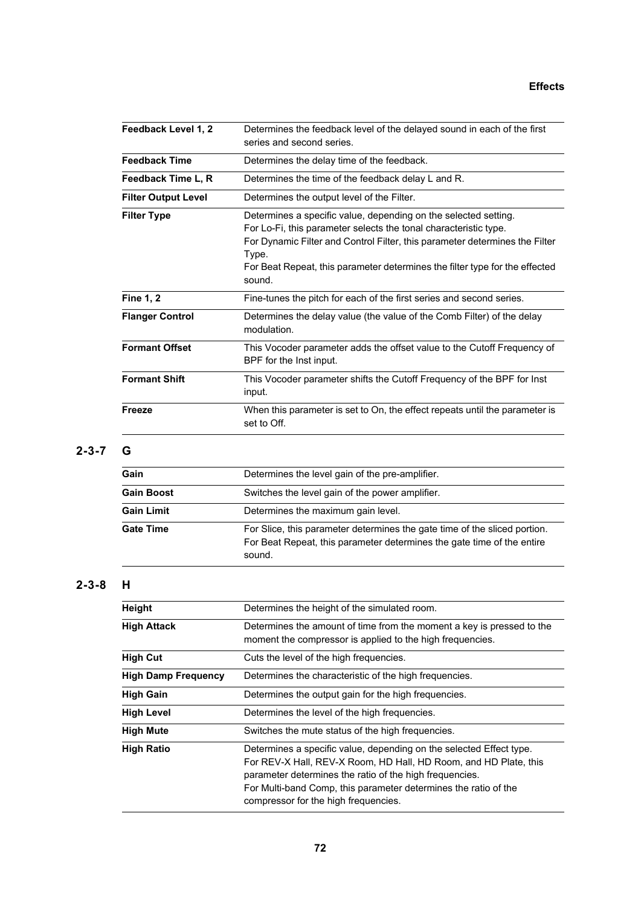| Feedback Level 1, 2        | Determines the feedback level of the delayed sound in each of the first<br>series and second series.                                                                                                                                                                                                                 |
|----------------------------|----------------------------------------------------------------------------------------------------------------------------------------------------------------------------------------------------------------------------------------------------------------------------------------------------------------------|
| <b>Feedback Time</b>       | Determines the delay time of the feedback.                                                                                                                                                                                                                                                                           |
| Feedback Time L, R         | Determines the time of the feedback delay L and R.                                                                                                                                                                                                                                                                   |
| <b>Filter Output Level</b> | Determines the output level of the Filter.                                                                                                                                                                                                                                                                           |
| <b>Filter Type</b>         | Determines a specific value, depending on the selected setting.<br>For Lo-Fi, this parameter selects the tonal characteristic type.<br>For Dynamic Filter and Control Filter, this parameter determines the Filter<br>Type.<br>For Beat Repeat, this parameter determines the filter type for the effected<br>sound. |
| <b>Fine 1, 2</b>           | Fine-tunes the pitch for each of the first series and second series.                                                                                                                                                                                                                                                 |
| <b>Flanger Control</b>     | Determines the delay value (the value of the Comb Filter) of the delay<br>modulation.                                                                                                                                                                                                                                |
| <b>Formant Offset</b>      | This Vocoder parameter adds the offset value to the Cutoff Frequency of<br>BPF for the Inst input.                                                                                                                                                                                                                   |
| <b>Formant Shift</b>       | This Vocoder parameter shifts the Cutoff Frequency of the BPF for Inst<br>input.                                                                                                                                                                                                                                     |
| Freeze                     | When this parameter is set to On, the effect repeats until the parameter is<br>set to Off.                                                                                                                                                                                                                           |

# **2-3-7 G**

| Gain              | Determines the level gain of the pre-amplifier.                                                                                                               |
|-------------------|---------------------------------------------------------------------------------------------------------------------------------------------------------------|
| <b>Gain Boost</b> | Switches the level gain of the power amplifier.                                                                                                               |
| <b>Gain Limit</b> | Determines the maximum gain level.                                                                                                                            |
| <b>Gate Time</b>  | For Slice, this parameter determines the gate time of the sliced portion.<br>For Beat Repeat, this parameter determines the gate time of the entire<br>sound. |

# **2-3-8 H**

| Determines the height of the simulated room.                                                                                                                                                                                                                                                                  |
|---------------------------------------------------------------------------------------------------------------------------------------------------------------------------------------------------------------------------------------------------------------------------------------------------------------|
| Determines the amount of time from the moment a key is pressed to the<br>moment the compressor is applied to the high frequencies.                                                                                                                                                                            |
| Cuts the level of the high frequencies.                                                                                                                                                                                                                                                                       |
| Determines the characteristic of the high frequencies.                                                                                                                                                                                                                                                        |
| Determines the output gain for the high frequencies.                                                                                                                                                                                                                                                          |
| Determines the level of the high frequencies.                                                                                                                                                                                                                                                                 |
| Switches the mute status of the high frequencies.                                                                                                                                                                                                                                                             |
| Determines a specific value, depending on the selected Effect type.<br>For REV-X Hall, REV-X Room, HD Hall, HD Room, and HD Plate, this<br>parameter determines the ratio of the high frequencies.<br>For Multi-band Comp, this parameter determines the ratio of the<br>compressor for the high frequencies. |
|                                                                                                                                                                                                                                                                                                               |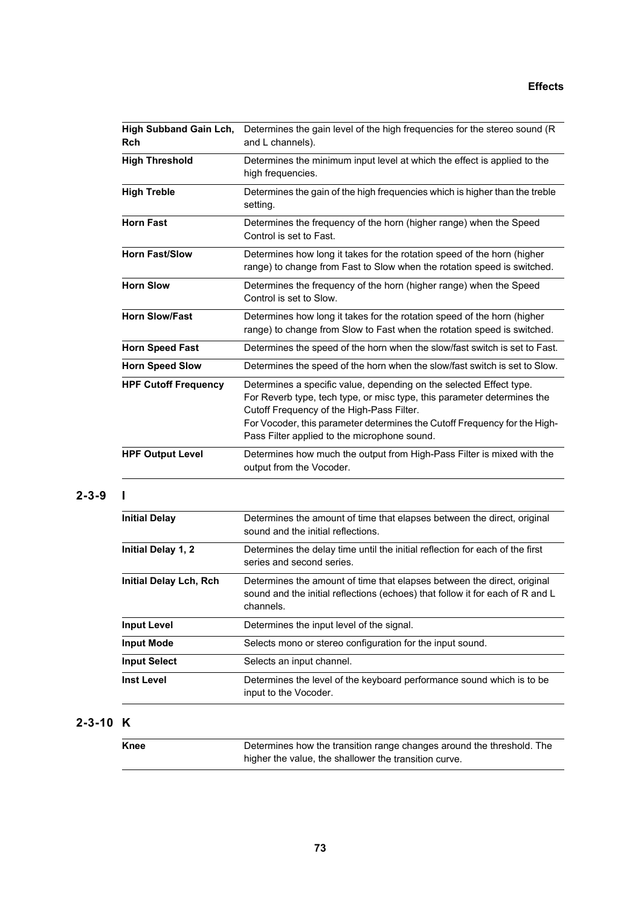| <b>High Subband Gain Lch,</b><br><b>Rch</b> | Determines the gain level of the high frequencies for the stereo sound (R<br>and L channels).                                                                                                                                                                                                                            |
|---------------------------------------------|--------------------------------------------------------------------------------------------------------------------------------------------------------------------------------------------------------------------------------------------------------------------------------------------------------------------------|
| <b>High Threshold</b>                       | Determines the minimum input level at which the effect is applied to the<br>high frequencies.                                                                                                                                                                                                                            |
| <b>High Treble</b>                          | Determines the gain of the high frequencies which is higher than the treble<br>setting.                                                                                                                                                                                                                                  |
| <b>Horn Fast</b>                            | Determines the frequency of the horn (higher range) when the Speed<br>Control is set to Fast.                                                                                                                                                                                                                            |
| <b>Horn Fast/Slow</b>                       | Determines how long it takes for the rotation speed of the horn (higher<br>range) to change from Fast to Slow when the rotation speed is switched.                                                                                                                                                                       |
| <b>Horn Slow</b>                            | Determines the frequency of the horn (higher range) when the Speed<br>Control is set to Slow.                                                                                                                                                                                                                            |
| <b>Horn Slow/Fast</b>                       | Determines how long it takes for the rotation speed of the horn (higher<br>range) to change from Slow to Fast when the rotation speed is switched.                                                                                                                                                                       |
| <b>Horn Speed Fast</b>                      | Determines the speed of the horn when the slow/fast switch is set to Fast.                                                                                                                                                                                                                                               |
| <b>Horn Speed Slow</b>                      | Determines the speed of the horn when the slow/fast switch is set to Slow.                                                                                                                                                                                                                                               |
| <b>HPF Cutoff Frequency</b>                 | Determines a specific value, depending on the selected Effect type.<br>For Reverb type, tech type, or misc type, this parameter determines the<br>Cutoff Frequency of the High-Pass Filter.<br>For Vocoder, this parameter determines the Cutoff Frequency for the High-<br>Pass Filter applied to the microphone sound. |
| <b>HPF Output Level</b>                     | Determines how much the output from High-Pass Filter is mixed with the<br>output from the Vocoder.                                                                                                                                                                                                                       |

## **2-3-9 I**

| <b>Initial Delay</b>   | Determines the amount of time that elapses between the direct, original<br>sound and the initial reflections.                                                         |
|------------------------|-----------------------------------------------------------------------------------------------------------------------------------------------------------------------|
| Initial Delay 1, 2     | Determines the delay time until the initial reflection for each of the first<br>series and second series.                                                             |
| Initial Delay Lch, Rch | Determines the amount of time that elapses between the direct, original<br>sound and the initial reflections (echoes) that follow it for each of R and L<br>channels. |
| <b>Input Level</b>     | Determines the input level of the signal.                                                                                                                             |
| <b>Input Mode</b>      | Selects mono or stereo configuration for the input sound.                                                                                                             |
| <b>Input Select</b>    | Selects an input channel.                                                                                                                                             |
| <b>Inst Level</b>      | Determines the level of the keyboard performance sound which is to be<br>input to the Vocoder.                                                                        |

# **2-3-10 K**

| Knee | Determines how the transition range changes around the threshold. The |
|------|-----------------------------------------------------------------------|
|      | higher the value, the shallower the transition curve.                 |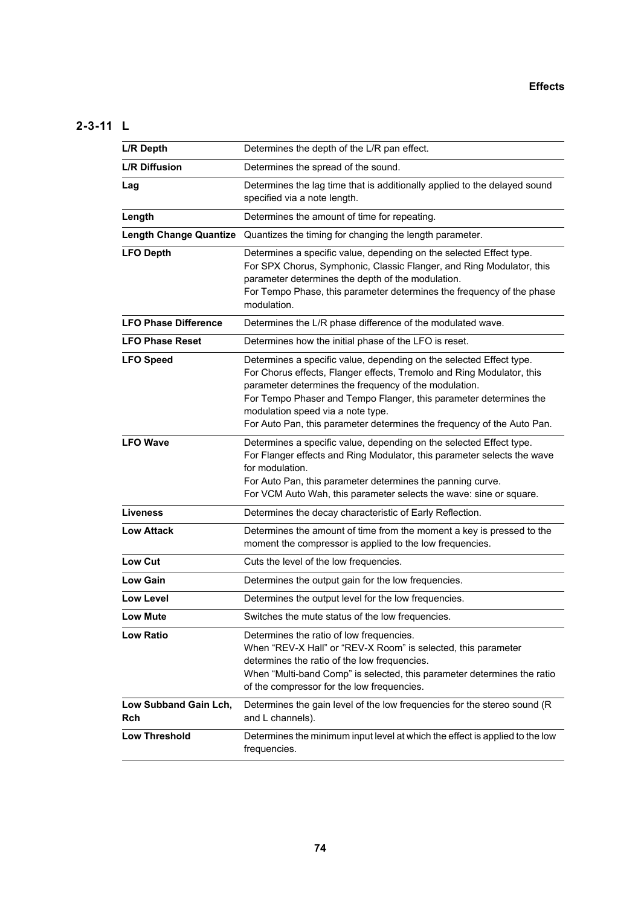# **2-3-11 L**

| L/R Depth                     | Determines the depth of the L/R pan effect.                                                                                                                                                                                                                                                                                                                                               |
|-------------------------------|-------------------------------------------------------------------------------------------------------------------------------------------------------------------------------------------------------------------------------------------------------------------------------------------------------------------------------------------------------------------------------------------|
| <b>L/R Diffusion</b>          | Determines the spread of the sound.                                                                                                                                                                                                                                                                                                                                                       |
| Lag                           | Determines the lag time that is additionally applied to the delayed sound<br>specified via a note length.                                                                                                                                                                                                                                                                                 |
| Length                        | Determines the amount of time for repeating.                                                                                                                                                                                                                                                                                                                                              |
| <b>Length Change Quantize</b> | Quantizes the timing for changing the length parameter.                                                                                                                                                                                                                                                                                                                                   |
| <b>LFO Depth</b>              | Determines a specific value, depending on the selected Effect type.<br>For SPX Chorus, Symphonic, Classic Flanger, and Ring Modulator, this<br>parameter determines the depth of the modulation.<br>For Tempo Phase, this parameter determines the frequency of the phase<br>modulation.                                                                                                  |
| <b>LFO Phase Difference</b>   | Determines the L/R phase difference of the modulated wave.                                                                                                                                                                                                                                                                                                                                |
| <b>LFO Phase Reset</b>        | Determines how the initial phase of the LFO is reset.                                                                                                                                                                                                                                                                                                                                     |
| <b>LFO Speed</b>              | Determines a specific value, depending on the selected Effect type.<br>For Chorus effects, Flanger effects, Tremolo and Ring Modulator, this<br>parameter determines the frequency of the modulation.<br>For Tempo Phaser and Tempo Flanger, this parameter determines the<br>modulation speed via a note type.<br>For Auto Pan, this parameter determines the frequency of the Auto Pan. |
| <b>LFO Wave</b>               | Determines a specific value, depending on the selected Effect type.<br>For Flanger effects and Ring Modulator, this parameter selects the wave<br>for modulation.<br>For Auto Pan, this parameter determines the panning curve.<br>For VCM Auto Wah, this parameter selects the wave: sine or square.                                                                                     |
| <b>Liveness</b>               | Determines the decay characteristic of Early Reflection.                                                                                                                                                                                                                                                                                                                                  |
| <b>Low Attack</b>             | Determines the amount of time from the moment a key is pressed to the<br>moment the compressor is applied to the low frequencies.                                                                                                                                                                                                                                                         |
| <b>Low Cut</b>                | Cuts the level of the low frequencies.                                                                                                                                                                                                                                                                                                                                                    |
| <b>Low Gain</b>               | Determines the output gain for the low frequencies.                                                                                                                                                                                                                                                                                                                                       |
| <b>Low Level</b>              | Determines the output level for the low frequencies.                                                                                                                                                                                                                                                                                                                                      |
| <b>Low Mute</b>               | Switches the mute status of the low frequencies.                                                                                                                                                                                                                                                                                                                                          |
| <b>Low Ratio</b>              | Determines the ratio of low frequencies.<br>When "REV-X Hall" or "REV-X Room" is selected, this parameter<br>determines the ratio of the low frequencies.<br>When "Multi-band Comp" is selected, this parameter determines the ratio<br>of the compressor for the low frequencies.                                                                                                        |
| Low Subband Gain Lch,<br>Rch  | Determines the gain level of the low frequencies for the stereo sound (R<br>and L channels).                                                                                                                                                                                                                                                                                              |
| <b>Low Threshold</b>          | Determines the minimum input level at which the effect is applied to the low<br>frequencies.                                                                                                                                                                                                                                                                                              |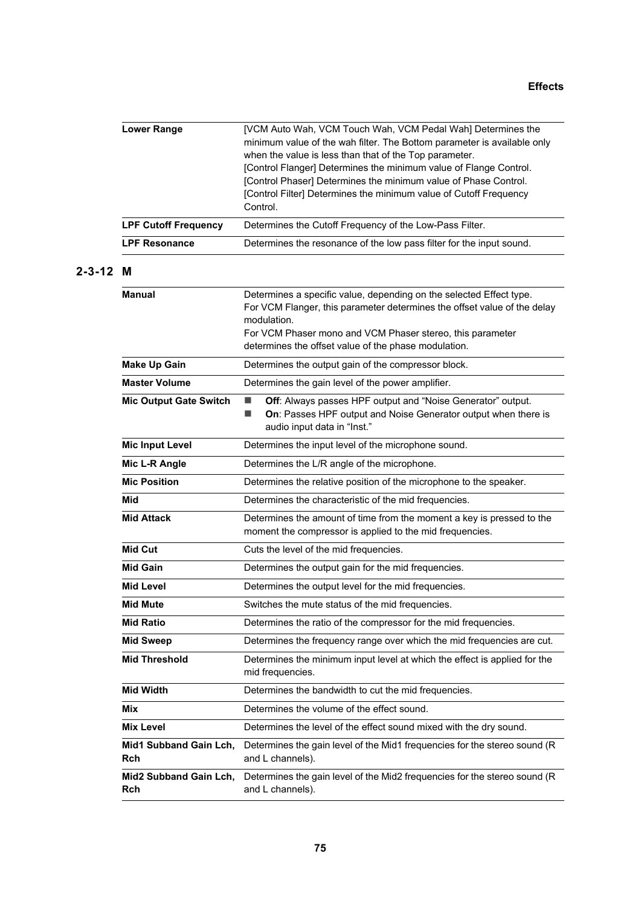| Lower Range                 | [VCM Auto Wah, VCM Touch Wah, VCM Pedal Wah] Determines the                                                                       |
|-----------------------------|-----------------------------------------------------------------------------------------------------------------------------------|
|                             | minimum value of the wah filter. The Bottom parameter is available only<br>when the value is less than that of the Top parameter. |
|                             | [Control Flanger] Determines the minimum value of Flange Control.                                                                 |
|                             | [Control Phaser] Determines the minimum value of Phase Control.                                                                   |
|                             | [Control Filter] Determines the minimum value of Cutoff Frequency                                                                 |
|                             | Control.                                                                                                                          |
| <b>LPF Cutoff Frequency</b> | Determines the Cutoff Frequency of the Low-Pass Filter.                                                                           |
| <b>LPF Resonance</b>        | Determines the resonance of the low pass filter for the input sound.                                                              |

# **2-3-12 M**

| <b>Manual</b>                 | Determines a specific value, depending on the selected Effect type.<br>For VCM Flanger, this parameter determines the offset value of the delay<br>modulation.<br>For VCM Phaser mono and VCM Phaser stereo, this parameter<br>determines the offset value of the phase modulation. |
|-------------------------------|-------------------------------------------------------------------------------------------------------------------------------------------------------------------------------------------------------------------------------------------------------------------------------------|
| <b>Make Up Gain</b>           | Determines the output gain of the compressor block.                                                                                                                                                                                                                                 |
| <b>Master Volume</b>          | Determines the gain level of the power amplifier.                                                                                                                                                                                                                                   |
| <b>Mic Output Gate Switch</b> | Off: Always passes HPF output and "Noise Generator" output.<br>$\blacksquare$<br>On: Passes HPF output and Noise Generator output when there is<br>m.<br>audio input data in "Inst."                                                                                                |
| <b>Mic Input Level</b>        | Determines the input level of the microphone sound.                                                                                                                                                                                                                                 |
| Mic L-R Angle                 | Determines the L/R angle of the microphone.                                                                                                                                                                                                                                         |
| <b>Mic Position</b>           | Determines the relative position of the microphone to the speaker.                                                                                                                                                                                                                  |
| Mid                           | Determines the characteristic of the mid frequencies.                                                                                                                                                                                                                               |
| <b>Mid Attack</b>             | Determines the amount of time from the moment a key is pressed to the<br>moment the compressor is applied to the mid frequencies.                                                                                                                                                   |
| Mid Cut                       | Cuts the level of the mid frequencies.                                                                                                                                                                                                                                              |
| <b>Mid Gain</b>               | Determines the output gain for the mid frequencies.                                                                                                                                                                                                                                 |
| <b>Mid Level</b>              | Determines the output level for the mid frequencies.                                                                                                                                                                                                                                |
| <b>Mid Mute</b>               | Switches the mute status of the mid frequencies.                                                                                                                                                                                                                                    |
| <b>Mid Ratio</b>              | Determines the ratio of the compressor for the mid frequencies.                                                                                                                                                                                                                     |
| <b>Mid Sweep</b>              | Determines the frequency range over which the mid frequencies are cut.                                                                                                                                                                                                              |
| <b>Mid Threshold</b>          | Determines the minimum input level at which the effect is applied for the<br>mid frequencies.                                                                                                                                                                                       |
| <b>Mid Width</b>              | Determines the bandwidth to cut the mid frequencies.                                                                                                                                                                                                                                |
| Mix                           | Determines the volume of the effect sound.                                                                                                                                                                                                                                          |
| <b>Mix Level</b>              | Determines the level of the effect sound mixed with the dry sound.                                                                                                                                                                                                                  |
| Mid1 Subband Gain Lch,<br>Rch | Determines the gain level of the Mid1 frequencies for the stereo sound (R<br>and L channels).                                                                                                                                                                                       |
| Mid2 Subband Gain Lch,<br>Rch | Determines the gain level of the Mid2 frequencies for the stereo sound (R<br>and L channels).                                                                                                                                                                                       |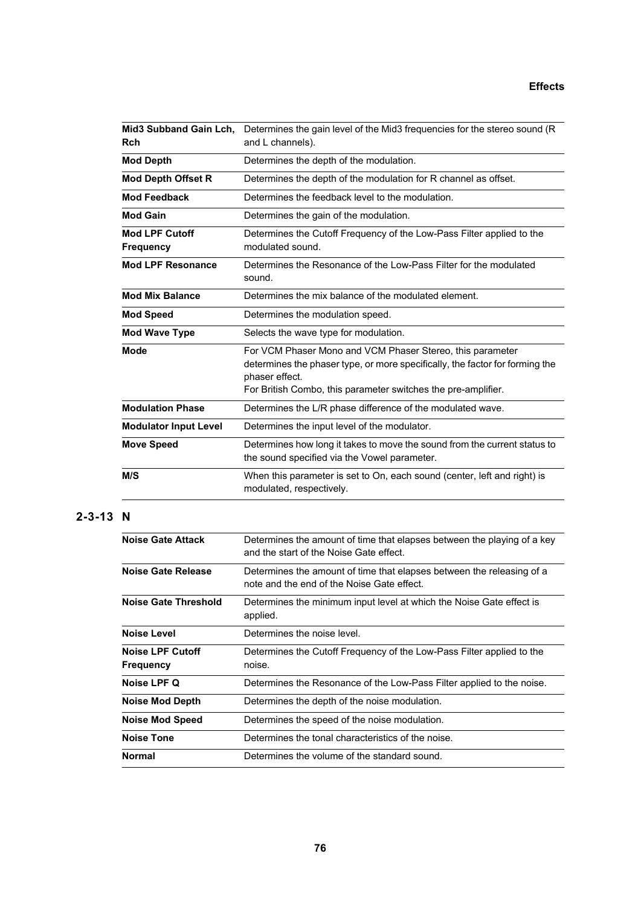| <b>Mid3 Subband Gain Lch,</b><br><b>Rch</b> | Determines the gain level of the Mid3 frequencies for the stereo sound (R)<br>and L channels).                                                                                                                               |
|---------------------------------------------|------------------------------------------------------------------------------------------------------------------------------------------------------------------------------------------------------------------------------|
| <b>Mod Depth</b>                            | Determines the depth of the modulation.                                                                                                                                                                                      |
| <b>Mod Depth Offset R</b>                   | Determines the depth of the modulation for R channel as offset.                                                                                                                                                              |
| <b>Mod Feedback</b>                         | Determines the feedback level to the modulation.                                                                                                                                                                             |
| <b>Mod Gain</b>                             | Determines the gain of the modulation.                                                                                                                                                                                       |
| <b>Mod LPF Cutoff</b><br><b>Frequency</b>   | Determines the Cutoff Frequency of the Low-Pass Filter applied to the<br>modulated sound.                                                                                                                                    |
| <b>Mod LPF Resonance</b>                    | Determines the Resonance of the Low-Pass Filter for the modulated<br>sound.                                                                                                                                                  |
| <b>Mod Mix Balance</b>                      | Determines the mix balance of the modulated element.                                                                                                                                                                         |
| <b>Mod Speed</b>                            | Determines the modulation speed.                                                                                                                                                                                             |
| <b>Mod Wave Type</b>                        | Selects the wave type for modulation.                                                                                                                                                                                        |
| <b>Mode</b>                                 | For VCM Phaser Mono and VCM Phaser Stereo, this parameter<br>determines the phaser type, or more specifically, the factor for forming the<br>phaser effect.<br>For British Combo, this parameter switches the pre-amplifier. |
| <b>Modulation Phase</b>                     | Determines the L/R phase difference of the modulated wave.                                                                                                                                                                   |
| <b>Modulator Input Level</b>                | Determines the input level of the modulator.                                                                                                                                                                                 |
| <b>Move Speed</b>                           | Determines how long it takes to move the sound from the current status to<br>the sound specified via the Vowel parameter.                                                                                                    |
| M/S                                         | When this parameter is set to On, each sound (center, left and right) is<br>modulated, respectively.                                                                                                                         |

# **2-3-13 N**

| <b>Noise Gate Attack</b>             | Determines the amount of time that elapses between the playing of a key<br>and the start of the Noise Gate effect.  |
|--------------------------------------|---------------------------------------------------------------------------------------------------------------------|
| Noise Gate Release                   | Determines the amount of time that elapses between the releasing of a<br>note and the end of the Noise Gate effect. |
| <b>Noise Gate Threshold</b>          | Determines the minimum input level at which the Noise Gate effect is<br>applied.                                    |
| Noise Level                          | Determines the noise level.                                                                                         |
| Noise LPF Cutoff<br><b>Frequency</b> | Determines the Cutoff Frequency of the Low-Pass Filter applied to the<br>noise.                                     |
| Noise LPF Q                          | Determines the Resonance of the Low-Pass Filter applied to the noise.                                               |
| <b>Noise Mod Depth</b>               | Determines the depth of the noise modulation.                                                                       |
| <b>Noise Mod Speed</b>               | Determines the speed of the noise modulation.                                                                       |
| <b>Noise Tone</b>                    | Determines the tonal characteristics of the noise.                                                                  |
| <b>Normal</b>                        | Determines the volume of the standard sound.                                                                        |
|                                      |                                                                                                                     |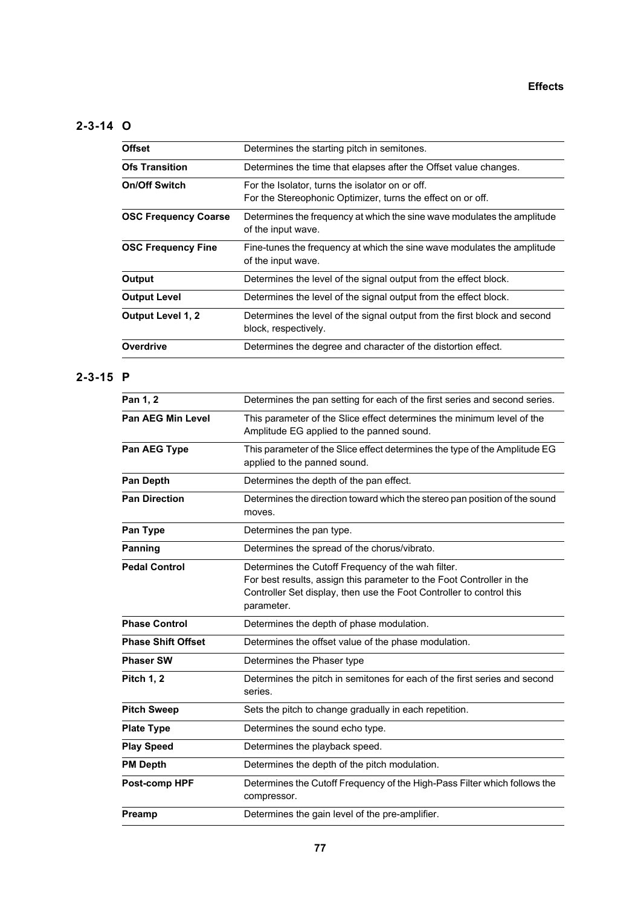#### **Effects**

## **2-3-14 O**

| Determines the starting pitch in semitones.                                                                    |
|----------------------------------------------------------------------------------------------------------------|
| Determines the time that elapses after the Offset value changes.                                               |
| For the Isolator, turns the isolator on or off.<br>For the Stereophonic Optimizer, turns the effect on or off. |
| Determines the frequency at which the sine wave modulates the amplitude<br>of the input wave.                  |
| Fine-tunes the frequency at which the sine wave modulates the amplitude<br>of the input wave.                  |
| Determines the level of the signal output from the effect block.                                               |
| Determines the level of the signal output from the effect block.                                               |
| Determines the level of the signal output from the first block and second<br>block, respectively.              |
| Determines the degree and character of the distortion effect.                                                  |
|                                                                                                                |

## **2-3-15 P**

| Pan 1, 2                  | Determines the pan setting for each of the first series and second series.                                                                                                                                        |
|---------------------------|-------------------------------------------------------------------------------------------------------------------------------------------------------------------------------------------------------------------|
| <b>Pan AEG Min Level</b>  | This parameter of the Slice effect determines the minimum level of the<br>Amplitude EG applied to the panned sound.                                                                                               |
| Pan AEG Type              | This parameter of the Slice effect determines the type of the Amplitude EG<br>applied to the panned sound.                                                                                                        |
| <b>Pan Depth</b>          | Determines the depth of the pan effect.                                                                                                                                                                           |
| <b>Pan Direction</b>      | Determines the direction toward which the stereo pan position of the sound<br>moves.                                                                                                                              |
| Pan Type                  | Determines the pan type.                                                                                                                                                                                          |
| Panning                   | Determines the spread of the chorus/vibrato.                                                                                                                                                                      |
| <b>Pedal Control</b>      | Determines the Cutoff Frequency of the wah filter.<br>For best results, assign this parameter to the Foot Controller in the<br>Controller Set display, then use the Foot Controller to control this<br>parameter. |
| <b>Phase Control</b>      | Determines the depth of phase modulation.                                                                                                                                                                         |
| <b>Phase Shift Offset</b> | Determines the offset value of the phase modulation.                                                                                                                                                              |
| <b>Phaser SW</b>          | Determines the Phaser type                                                                                                                                                                                        |
| <b>Pitch 1, 2</b>         | Determines the pitch in semitones for each of the first series and second<br>series.                                                                                                                              |
| <b>Pitch Sweep</b>        | Sets the pitch to change gradually in each repetition.                                                                                                                                                            |
| <b>Plate Type</b>         | Determines the sound echo type.                                                                                                                                                                                   |
| <b>Play Speed</b>         | Determines the playback speed.                                                                                                                                                                                    |
| <b>PM Depth</b>           | Determines the depth of the pitch modulation.                                                                                                                                                                     |
| Post-comp HPF             | Determines the Cutoff Frequency of the High-Pass Filter which follows the<br>compressor.                                                                                                                          |
| Preamp                    | Determines the gain level of the pre-amplifier.                                                                                                                                                                   |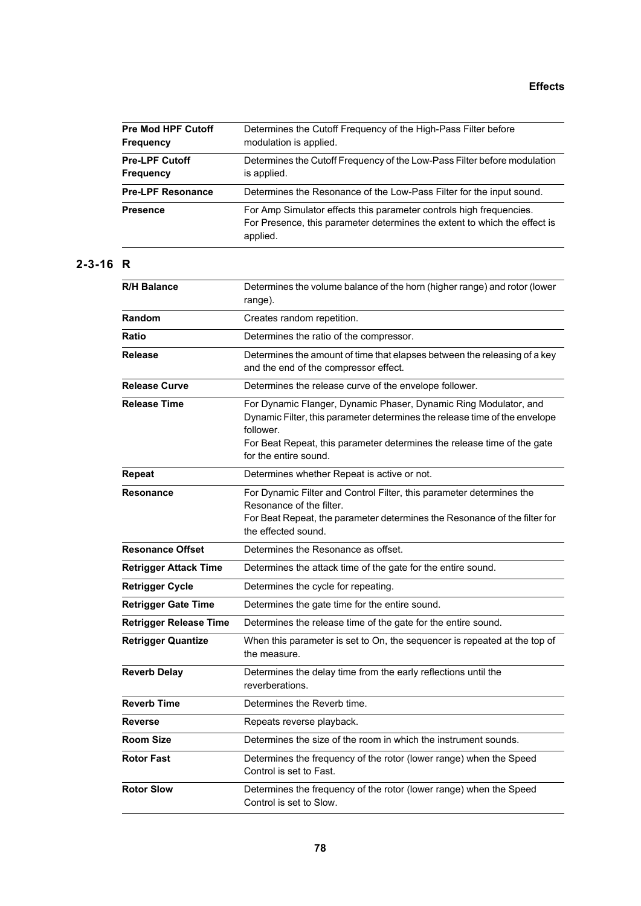| <b>Pre Mod HPF Cutoff</b> | Determines the Cutoff Frequency of the High-Pass Filter before                        |
|---------------------------|---------------------------------------------------------------------------------------|
| <b>Frequency</b>          | modulation is applied.                                                                |
| <b>Pre-LPF Cutoff</b>     | Determines the Cutoff Frequency of the Low-Pass Filter before modulation              |
| <b>Frequency</b>          | is applied.                                                                           |
| <b>Pre-LPF Resonance</b>  | Determines the Resonance of the Low-Pass Filter for the input sound.                  |
| <b>Presence</b>           | For Amp Simulator effects this parameter controls high frequencies.                   |
|                           | For Presence, this parameter determines the extent to which the effect is<br>applied. |

# **2-3-16 R**

| <b>R/H Balance</b>            | Determines the volume balance of the horn (higher range) and rotor (lower<br>range).                                                                                                                                                                            |
|-------------------------------|-----------------------------------------------------------------------------------------------------------------------------------------------------------------------------------------------------------------------------------------------------------------|
| Random                        | Creates random repetition.                                                                                                                                                                                                                                      |
| Ratio                         | Determines the ratio of the compressor.                                                                                                                                                                                                                         |
| <b>Release</b>                | Determines the amount of time that elapses between the releasing of a key<br>and the end of the compressor effect.                                                                                                                                              |
| <b>Release Curve</b>          | Determines the release curve of the envelope follower.                                                                                                                                                                                                          |
| <b>Release Time</b>           | For Dynamic Flanger, Dynamic Phaser, Dynamic Ring Modulator, and<br>Dynamic Filter, this parameter determines the release time of the envelope<br>follower.<br>For Beat Repeat, this parameter determines the release time of the gate<br>for the entire sound. |
| <b>Repeat</b>                 | Determines whether Repeat is active or not.                                                                                                                                                                                                                     |
| <b>Resonance</b>              | For Dynamic Filter and Control Filter, this parameter determines the<br>Resonance of the filter.<br>For Beat Repeat, the parameter determines the Resonance of the filter for<br>the effected sound.                                                            |
| <b>Resonance Offset</b>       | Determines the Resonance as offset.                                                                                                                                                                                                                             |
| <b>Retrigger Attack Time</b>  | Determines the attack time of the gate for the entire sound.                                                                                                                                                                                                    |
| <b>Retrigger Cycle</b>        | Determines the cycle for repeating.                                                                                                                                                                                                                             |
| <b>Retrigger Gate Time</b>    | Determines the gate time for the entire sound.                                                                                                                                                                                                                  |
| <b>Retrigger Release Time</b> | Determines the release time of the gate for the entire sound.                                                                                                                                                                                                   |
| <b>Retrigger Quantize</b>     | When this parameter is set to On, the sequencer is repeated at the top of<br>the measure.                                                                                                                                                                       |
| <b>Reverb Delay</b>           | Determines the delay time from the early reflections until the<br>reverberations.                                                                                                                                                                               |
| <b>Reverb Time</b>            | Determines the Reverb time.                                                                                                                                                                                                                                     |
| <b>Reverse</b>                | Repeats reverse playback.                                                                                                                                                                                                                                       |
| <b>Room Size</b>              | Determines the size of the room in which the instrument sounds.                                                                                                                                                                                                 |
| <b>Rotor Fast</b>             | Determines the frequency of the rotor (lower range) when the Speed<br>Control is set to Fast.                                                                                                                                                                   |
| <b>Rotor Slow</b>             | Determines the frequency of the rotor (lower range) when the Speed<br>Control is set to Slow.                                                                                                                                                                   |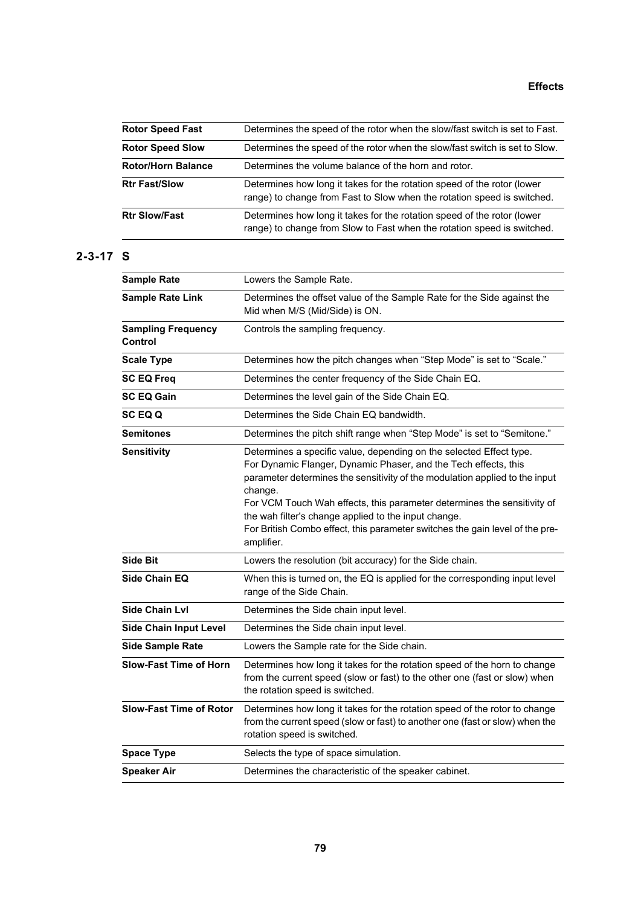| <b>Rotor Speed Fast</b>   | Determines the speed of the rotor when the slow/fast switch is set to Fast.                                                                        |  |  |  |
|---------------------------|----------------------------------------------------------------------------------------------------------------------------------------------------|--|--|--|
| <b>Rotor Speed Slow</b>   | Determines the speed of the rotor when the slow/fast switch is set to Slow.                                                                        |  |  |  |
| <b>Rotor/Horn Balance</b> | Determines the volume balance of the horn and rotor.                                                                                               |  |  |  |
| <b>Rtr Fast/Slow</b>      | Determines how long it takes for the rotation speed of the rotor (lower<br>range) to change from Fast to Slow when the rotation speed is switched. |  |  |  |
| <b>Rtr Slow/Fast</b>      | Determines how long it takes for the rotation speed of the rotor (lower<br>range) to change from Slow to Fast when the rotation speed is switched. |  |  |  |

# **2-3-17 S**

| <b>Sample Rate</b>                   | Lowers the Sample Rate.                                                                                                                                                                                                                                                                                                                                                                                                                                           |  |  |  |
|--------------------------------------|-------------------------------------------------------------------------------------------------------------------------------------------------------------------------------------------------------------------------------------------------------------------------------------------------------------------------------------------------------------------------------------------------------------------------------------------------------------------|--|--|--|
| <b>Sample Rate Link</b>              | Determines the offset value of the Sample Rate for the Side against the<br>Mid when M/S (Mid/Side) is ON.                                                                                                                                                                                                                                                                                                                                                         |  |  |  |
| <b>Sampling Frequency</b><br>Control | Controls the sampling frequency.                                                                                                                                                                                                                                                                                                                                                                                                                                  |  |  |  |
| <b>Scale Type</b>                    | Determines how the pitch changes when "Step Mode" is set to "Scale."                                                                                                                                                                                                                                                                                                                                                                                              |  |  |  |
| <b>SC EQ Freq</b>                    | Determines the center frequency of the Side Chain EQ.                                                                                                                                                                                                                                                                                                                                                                                                             |  |  |  |
| <b>SC EQ Gain</b>                    | Determines the level gain of the Side Chain EQ.                                                                                                                                                                                                                                                                                                                                                                                                                   |  |  |  |
| SC EQ Q                              | Determines the Side Chain EQ bandwidth.                                                                                                                                                                                                                                                                                                                                                                                                                           |  |  |  |
| <b>Semitones</b>                     | Determines the pitch shift range when "Step Mode" is set to "Semitone."                                                                                                                                                                                                                                                                                                                                                                                           |  |  |  |
| <b>Sensitivity</b>                   | Determines a specific value, depending on the selected Effect type.<br>For Dynamic Flanger, Dynamic Phaser, and the Tech effects, this<br>parameter determines the sensitivity of the modulation applied to the input<br>change.<br>For VCM Touch Wah effects, this parameter determines the sensitivity of<br>the wah filter's change applied to the input change.<br>For British Combo effect, this parameter switches the gain level of the pre-<br>amplifier. |  |  |  |
| <b>Side Bit</b>                      | Lowers the resolution (bit accuracy) for the Side chain.                                                                                                                                                                                                                                                                                                                                                                                                          |  |  |  |
| Side Chain EQ                        | When this is turned on, the EQ is applied for the corresponding input level<br>range of the Side Chain.                                                                                                                                                                                                                                                                                                                                                           |  |  |  |
| <b>Side Chain Lyl</b>                | Determines the Side chain input level.                                                                                                                                                                                                                                                                                                                                                                                                                            |  |  |  |
| <b>Side Chain Input Level</b>        | Determines the Side chain input level.                                                                                                                                                                                                                                                                                                                                                                                                                            |  |  |  |
| <b>Side Sample Rate</b>              | Lowers the Sample rate for the Side chain.                                                                                                                                                                                                                                                                                                                                                                                                                        |  |  |  |
| <b>Slow-Fast Time of Horn</b>        | Determines how long it takes for the rotation speed of the horn to change<br>from the current speed (slow or fast) to the other one (fast or slow) when<br>the rotation speed is switched.                                                                                                                                                                                                                                                                        |  |  |  |
| <b>Slow-Fast Time of Rotor</b>       | Determines how long it takes for the rotation speed of the rotor to change<br>from the current speed (slow or fast) to another one (fast or slow) when the<br>rotation speed is switched.                                                                                                                                                                                                                                                                         |  |  |  |
| <b>Space Type</b>                    | Selects the type of space simulation.                                                                                                                                                                                                                                                                                                                                                                                                                             |  |  |  |
| <b>Speaker Air</b>                   | Determines the characteristic of the speaker cabinet.                                                                                                                                                                                                                                                                                                                                                                                                             |  |  |  |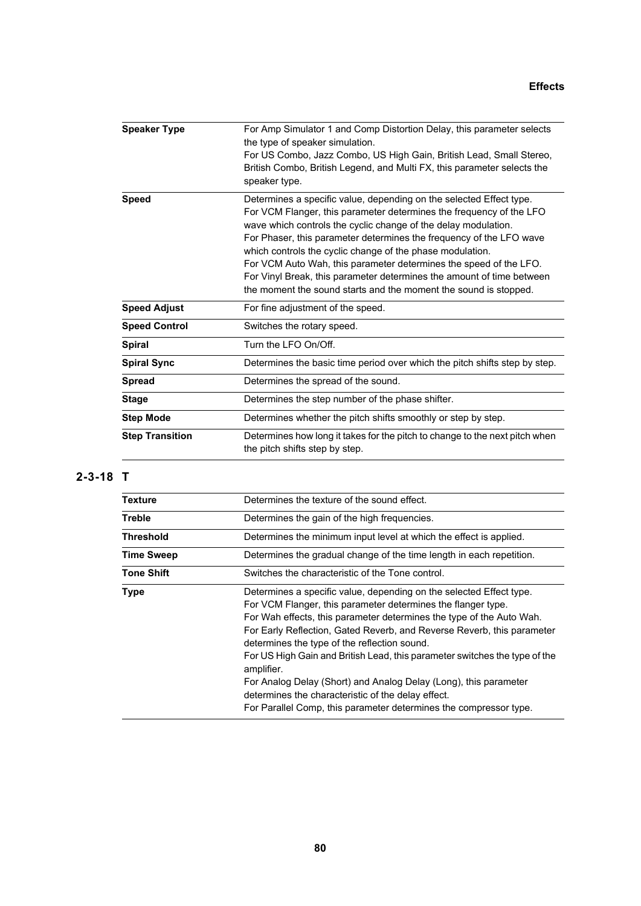| <b>Speaker Type</b>    | For Amp Simulator 1 and Comp Distortion Delay, this parameter selects<br>the type of speaker simulation.<br>For US Combo, Jazz Combo, US High Gain, British Lead, Small Stereo,<br>British Combo, British Legend, and Multi FX, this parameter selects the<br>speaker type.                                                                                                                                                                                                                                                                                        |  |  |  |  |
|------------------------|--------------------------------------------------------------------------------------------------------------------------------------------------------------------------------------------------------------------------------------------------------------------------------------------------------------------------------------------------------------------------------------------------------------------------------------------------------------------------------------------------------------------------------------------------------------------|--|--|--|--|
| <b>Speed</b>           | Determines a specific value, depending on the selected Effect type.<br>For VCM Flanger, this parameter determines the frequency of the LFO<br>wave which controls the cyclic change of the delay modulation.<br>For Phaser, this parameter determines the frequency of the LFO wave<br>which controls the cyclic change of the phase modulation.<br>For VCM Auto Wah, this parameter determines the speed of the LFO.<br>For Vinyl Break, this parameter determines the amount of time between<br>the moment the sound starts and the moment the sound is stopped. |  |  |  |  |
| <b>Speed Adjust</b>    | For fine adjustment of the speed.                                                                                                                                                                                                                                                                                                                                                                                                                                                                                                                                  |  |  |  |  |
| <b>Speed Control</b>   | Switches the rotary speed.                                                                                                                                                                                                                                                                                                                                                                                                                                                                                                                                         |  |  |  |  |
| <b>Spiral</b>          | Turn the I FO On/Off.                                                                                                                                                                                                                                                                                                                                                                                                                                                                                                                                              |  |  |  |  |
| <b>Spiral Sync</b>     | Determines the basic time period over which the pitch shifts step by step.                                                                                                                                                                                                                                                                                                                                                                                                                                                                                         |  |  |  |  |
| <b>Spread</b>          | Determines the spread of the sound.                                                                                                                                                                                                                                                                                                                                                                                                                                                                                                                                |  |  |  |  |
| <b>Stage</b>           | Determines the step number of the phase shifter.                                                                                                                                                                                                                                                                                                                                                                                                                                                                                                                   |  |  |  |  |
| <b>Step Mode</b>       | Determines whether the pitch shifts smoothly or step by step.                                                                                                                                                                                                                                                                                                                                                                                                                                                                                                      |  |  |  |  |
| <b>Step Transition</b> | Determines how long it takes for the pitch to change to the next pitch when<br>the pitch shifts step by step.                                                                                                                                                                                                                                                                                                                                                                                                                                                      |  |  |  |  |

## **2-3-18 T**

| <b>Texture</b>    | Determines the texture of the sound effect.                                                                                                                                                                                                                                                                                                                                                                                                                                                                                                                                                                                      |  |  |
|-------------------|----------------------------------------------------------------------------------------------------------------------------------------------------------------------------------------------------------------------------------------------------------------------------------------------------------------------------------------------------------------------------------------------------------------------------------------------------------------------------------------------------------------------------------------------------------------------------------------------------------------------------------|--|--|
| <b>Treble</b>     | Determines the gain of the high frequencies.                                                                                                                                                                                                                                                                                                                                                                                                                                                                                                                                                                                     |  |  |
| <b>Threshold</b>  | Determines the minimum input level at which the effect is applied.                                                                                                                                                                                                                                                                                                                                                                                                                                                                                                                                                               |  |  |
| <b>Time Sweep</b> | Determines the gradual change of the time length in each repetition.                                                                                                                                                                                                                                                                                                                                                                                                                                                                                                                                                             |  |  |
| <b>Tone Shift</b> | Switches the characteristic of the Tone control.                                                                                                                                                                                                                                                                                                                                                                                                                                                                                                                                                                                 |  |  |
| Type              | Determines a specific value, depending on the selected Effect type.<br>For VCM Flanger, this parameter determines the flanger type.<br>For Wah effects, this parameter determines the type of the Auto Wah.<br>For Early Reflection, Gated Reverb, and Reverse Reverb, this parameter<br>determines the type of the reflection sound.<br>For US High Gain and British Lead, this parameter switches the type of the<br>amplifier.<br>For Analog Delay (Short) and Analog Delay (Long), this parameter<br>determines the characteristic of the delay effect.<br>For Parallel Comp, this parameter determines the compressor type. |  |  |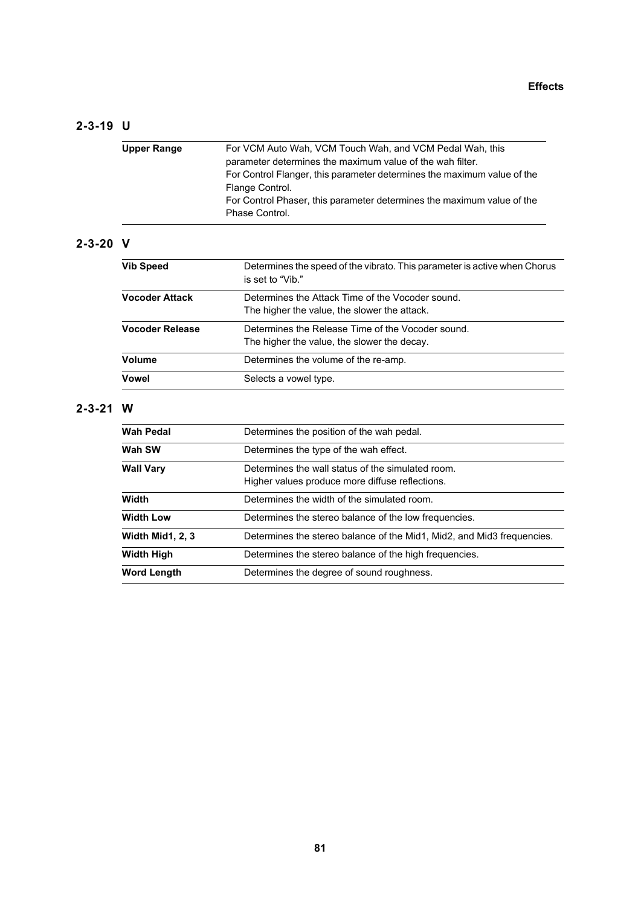#### **Effects**

## **2-3-19 U**

| Upper Range | For VCM Auto Wah, VCM Touch Wah, and VCM Pedal Wah, this                |
|-------------|-------------------------------------------------------------------------|
|             | parameter determines the maximum value of the wah filter.               |
|             | For Control Flanger, this parameter determines the maximum value of the |
|             | Flange Control.                                                         |
|             | For Control Phaser, this parameter determines the maximum value of the  |
|             | Phase Control.                                                          |
|             |                                                                         |

# **2-3-20 V**

| <b>Vib Speed</b> | Determines the speed of the vibrato. This parameter is active when Chorus<br>is set to "Vib."    |  |  |
|------------------|--------------------------------------------------------------------------------------------------|--|--|
| Vocoder Attack   | Determines the Attack Time of the Vocoder sound.<br>The higher the value, the slower the attack. |  |  |
| Vocoder Release  | Determines the Release Time of the Vocoder sound.<br>The higher the value, the slower the decay. |  |  |
| Volume           | Determines the volume of the re-amp.                                                             |  |  |
| Vowel            | Selects a vowel type.                                                                            |  |  |

# **2-3-21 W**

| Wah Pedal               | Determines the position of the wah pedal.                              |  |  |
|-------------------------|------------------------------------------------------------------------|--|--|
| Wah SW                  | Determines the type of the wah effect.                                 |  |  |
| <b>Wall Vary</b>        | Determines the wall status of the simulated room.                      |  |  |
|                         | Higher values produce more diffuse reflections.                        |  |  |
| Width                   | Determines the width of the simulated room.                            |  |  |
| <b>Width Low</b>        | Determines the stereo balance of the low frequencies.                  |  |  |
| <b>Width Mid1, 2, 3</b> | Determines the stereo balance of the Mid1, Mid2, and Mid3 frequencies. |  |  |
| <b>Width High</b>       | Determines the stereo balance of the high frequencies.                 |  |  |
| <b>Word Length</b>      | Determines the degree of sound roughness.                              |  |  |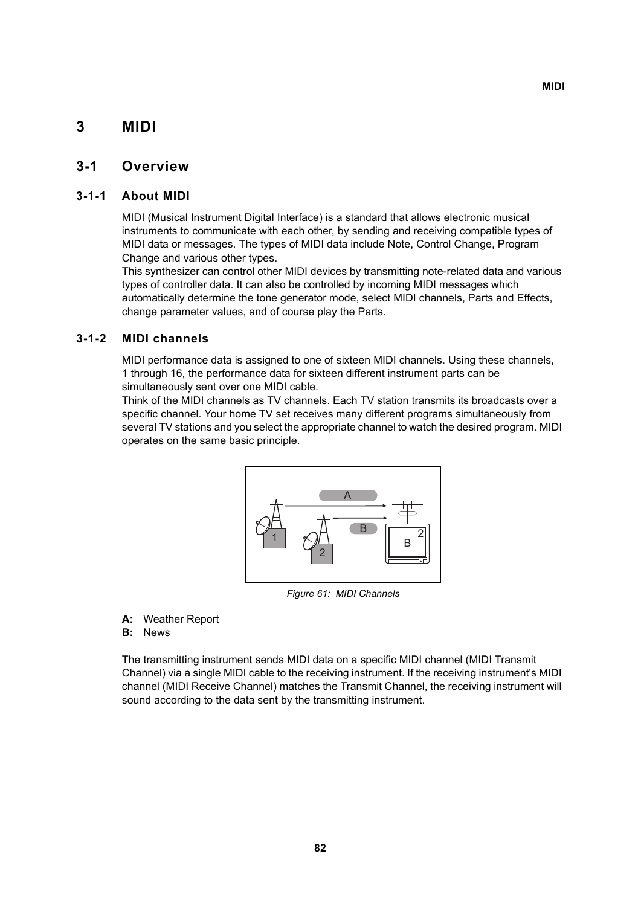# **3 MIDI**

## **3-1 Overview**

## **3-1-1 About MIDI**

MIDI (Musical Instrument Digital Interface) is a standard that allows electronic musical instruments to communicate with each other, by sending and receiving compatible types of MIDI data or messages. The types of MIDI data include Note, Control Change, Program Change and various other types.

This synthesizer can control other MIDI devices by transmitting note-related data and various types of controller data. It can also be controlled by incoming MIDI messages which automatically determine the tone generator mode, select MIDI channels, Parts and Effects, change parameter values, and of course play the Parts.

## **3-1-2 MIDI channels**

MIDI performance data is assigned to one of sixteen MIDI channels. Using these channels, 1 through 16, the performance data for sixteen different instrument parts can be simultaneously sent over one MIDI cable.

Think of the MIDI channels as TV channels. Each TV station transmits its broadcasts over a specific channel. Your home TV set receives many different programs simultaneously from several TV stations and you select the appropriate channel to watch the desired program. MIDI operates on the same basic principle.



*Figure 61: MIDI Channels*

**A:** Weather Report

#### **B:** News

The transmitting instrument sends MIDI data on a specific MIDI channel (MIDI Transmit Channel) via a single MIDI cable to the receiving instrument. If the receiving instrument's MIDI channel (MIDI Receive Channel) matches the Transmit Channel, the receiving instrument will sound according to the data sent by the transmitting instrument.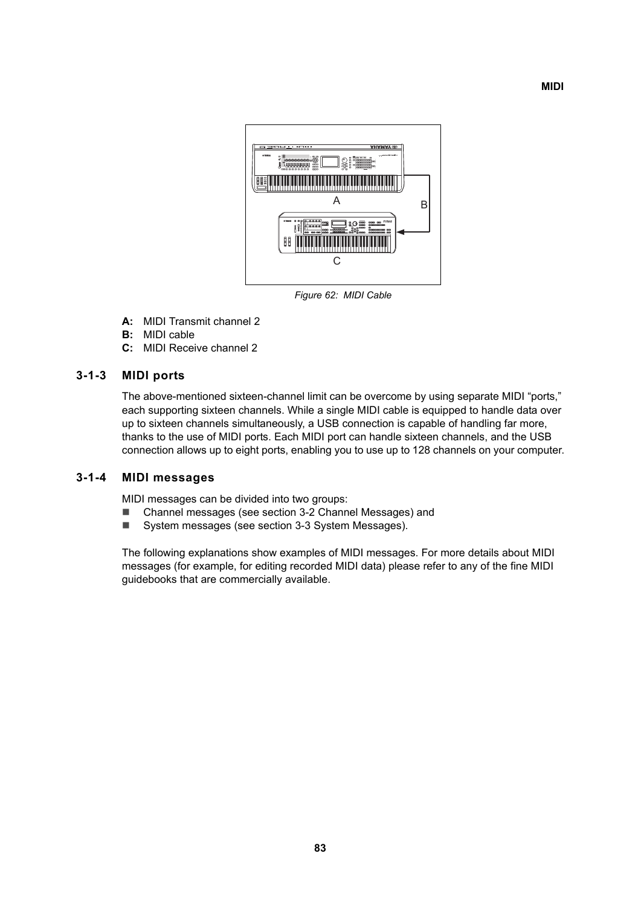

*Figure 62: MIDI Cable*

- **A:** MIDI Transmit channel 2
- **B:** MIDI cable
- **C:** MIDI Receive channel 2

#### **3-1-3 MIDI ports**

The above-mentioned sixteen-channel limit can be overcome by using separate MIDI "ports," each supporting sixteen channels. While a single MIDI cable is equipped to handle data over up to sixteen channels simultaneously, a USB connection is capable of handling far more, thanks to the use of MIDI ports. Each MIDI port can handle sixteen channels, and the USB connection allows up to eight ports, enabling you to use up to 128 channels on your computer.

## **3-1-4 MIDI messages**

MIDI messages can be divided into two groups:

- Channel messages (see section [3-2 Channel Messages](#page-83-0)) and
- System messages (see section [3-3 System Messages](#page-88-0)).

The following explanations show examples of MIDI messages. For more details about MIDI messages (for example, for editing recorded MIDI data) please refer to any of the fine MIDI guidebooks that are commercially available.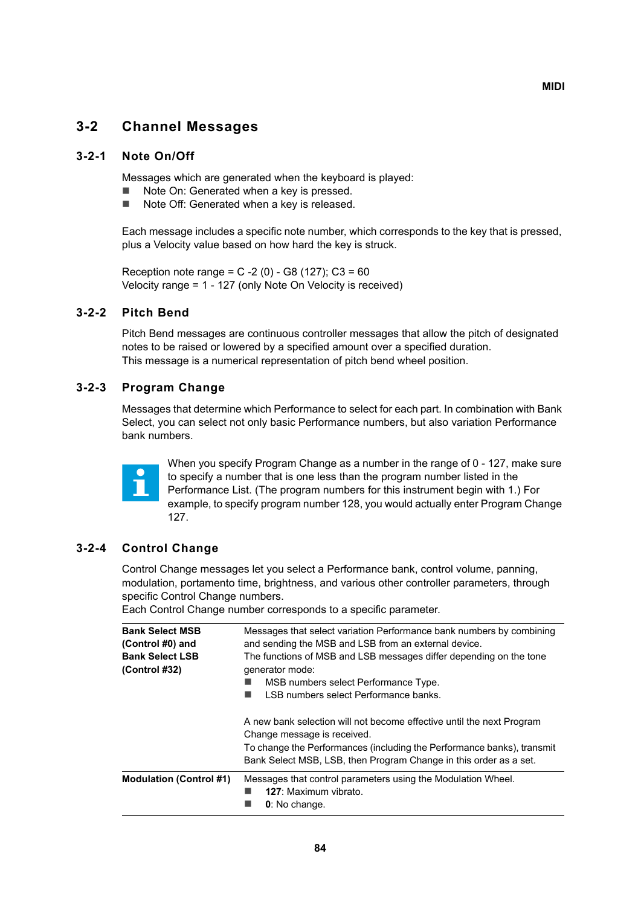# <span id="page-83-0"></span>**3-2 Channel Messages**

## **3-2-1 Note On/Off**

Messages which are generated when the keyboard is played:

- Note On: Generated when a key is pressed.
- Note Off: Generated when a key is released.

Each message includes a specific note number, which corresponds to the key that is pressed, plus a Velocity value based on how hard the key is struck.

Reception note range =  $C - 2 (0) - G8 (127)$ ;  $C3 = 60$ Velocity range = 1 - 127 (only Note On Velocity is received)

#### **3-2-2 Pitch Bend**

Pitch Bend messages are continuous controller messages that allow the pitch of designated notes to be raised or lowered by a specified amount over a specified duration. This message is a numerical representation of pitch bend wheel position.

### **3-2-3 Program Change**

Messages that determine which Performance to select for each part. In combination with Bank Select, you can select not only basic Performance numbers, but also variation Performance bank numbers.



When you specify Program Change as a number in the range of 0 - 127, make sure to specify a number that is one less than the program number listed in the Performance List. (The program numbers for this instrument begin with 1.) For example, to specify program number 128, you would actually enter Program Change 127.

#### **3-2-4 Control Change**

Control Change messages let you select a Performance bank, control volume, panning, modulation, portamento time, brightness, and various other controller parameters, through specific Control Change numbers.

Each Control Change number corresponds to a specific parameter.

| <b>Bank Select MSB</b>                  | Messages that select variation Performance bank numbers by combining                                                                        |  |  |  |  |
|-----------------------------------------|---------------------------------------------------------------------------------------------------------------------------------------------|--|--|--|--|
| (Control #0) and                        | and sending the MSB and LSB from an external device.                                                                                        |  |  |  |  |
| <b>Bank Select LSB</b><br>(Control #32) | The functions of MSB and LSB messages differ depending on the tone<br>generator mode:                                                       |  |  |  |  |
|                                         | MSB numbers select Performance Type.                                                                                                        |  |  |  |  |
|                                         | I SB numbers select Performance banks.                                                                                                      |  |  |  |  |
|                                         | A new bank selection will not become effective until the next Program<br>Change message is received.                                        |  |  |  |  |
|                                         | To change the Performances (including the Performance banks), transmit<br>Bank Select MSB, LSB, then Program Change in this order as a set. |  |  |  |  |
| <b>Modulation (Control #1)</b>          | Messages that control parameters using the Modulation Wheel.<br>127: Maximum vibrato.<br>0: No change.                                      |  |  |  |  |
|                                         |                                                                                                                                             |  |  |  |  |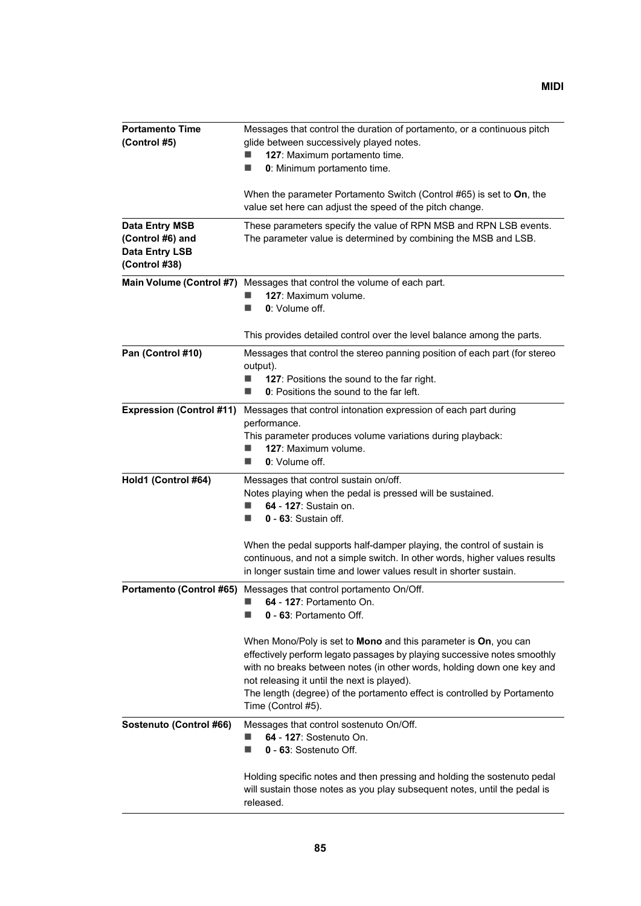| <b>Portamento Time</b><br>(Control #5)                                | Messages that control the duration of portamento, or a continuous pitch<br>glide between successively played notes.<br>127: Maximum portamento time.<br>$\blacksquare$<br>0: Minimum portamento time.                                                                                                                                                                  |  |  |  |  |
|-----------------------------------------------------------------------|------------------------------------------------------------------------------------------------------------------------------------------------------------------------------------------------------------------------------------------------------------------------------------------------------------------------------------------------------------------------|--|--|--|--|
|                                                                       | When the parameter Portamento Switch (Control #65) is set to On, the<br>value set here can adjust the speed of the pitch change.                                                                                                                                                                                                                                       |  |  |  |  |
| Data Entry MSB<br>(Control #6) and<br>Data Entry LSB<br>(Control #38) | These parameters specify the value of RPN MSB and RPN LSB events.<br>The parameter value is determined by combining the MSB and LSB.                                                                                                                                                                                                                                   |  |  |  |  |
| Main Volume (Control #7)                                              | Messages that control the volume of each part.<br>127: Maximum volume.<br>0: Volume off.                                                                                                                                                                                                                                                                               |  |  |  |  |
|                                                                       | This provides detailed control over the level balance among the parts.                                                                                                                                                                                                                                                                                                 |  |  |  |  |
| Pan (Control #10)                                                     | Messages that control the stereo panning position of each part (for stereo<br>output).<br>127: Positions the sound to the far right.<br>0: Positions the sound to the far left.                                                                                                                                                                                        |  |  |  |  |
| <b>Expression (Control #11)</b>                                       | Messages that control intonation expression of each part during<br>performance.<br>This parameter produces volume variations during playback:<br>127: Maximum volume.<br>0: Volume off.                                                                                                                                                                                |  |  |  |  |
| Hold1 (Control #64)                                                   | Messages that control sustain on/off.<br>Notes playing when the pedal is pressed will be sustained.<br>64 - 127: Sustain on.<br>0 - 63: Sustain off.                                                                                                                                                                                                                   |  |  |  |  |
|                                                                       | When the pedal supports half-damper playing, the control of sustain is<br>continuous, and not a simple switch. In other words, higher values results<br>in longer sustain time and lower values result in shorter sustain.                                                                                                                                             |  |  |  |  |
|                                                                       | Portamento (Control #65) Messages that control portamento On/Off.<br>64 - 127: Portamento On.<br>0 - 63: Portamento Off.                                                                                                                                                                                                                                               |  |  |  |  |
|                                                                       | When Mono/Poly is set to Mono and this parameter is On, you can<br>effectively perform legato passages by playing successive notes smoothly<br>with no breaks between notes (in other words, holding down one key and<br>not releasing it until the next is played).<br>The length (degree) of the portamento effect is controlled by Portamento<br>Time (Control #5). |  |  |  |  |
| Sostenuto (Control #66)                                               | Messages that control sostenuto On/Off.<br>64 - 127: Sostenuto On.<br>▄<br>0 - 63: Sostenuto Off.<br>■                                                                                                                                                                                                                                                                 |  |  |  |  |
|                                                                       | Holding specific notes and then pressing and holding the sostenuto pedal<br>will sustain those notes as you play subsequent notes, until the pedal is<br>released.                                                                                                                                                                                                     |  |  |  |  |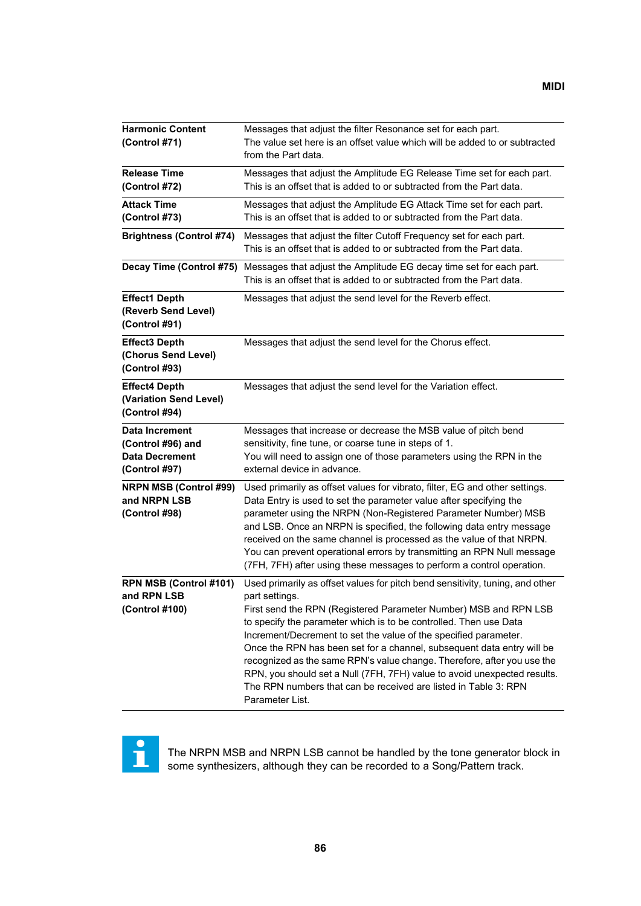| <b>Harmonic Content</b><br>(Control #71)                                      | Messages that adjust the filter Resonance set for each part.<br>The value set here is an offset value which will be added to or subtracted<br>from the Part data.                                                                                                                                                                                                                                                                                                                                                                                                                                                                   |  |  |  |
|-------------------------------------------------------------------------------|-------------------------------------------------------------------------------------------------------------------------------------------------------------------------------------------------------------------------------------------------------------------------------------------------------------------------------------------------------------------------------------------------------------------------------------------------------------------------------------------------------------------------------------------------------------------------------------------------------------------------------------|--|--|--|
| <b>Release Time</b><br>(Control #72)                                          | Messages that adjust the Amplitude EG Release Time set for each part.<br>This is an offset that is added to or subtracted from the Part data.                                                                                                                                                                                                                                                                                                                                                                                                                                                                                       |  |  |  |
| <b>Attack Time</b><br>(Control #73)                                           | Messages that adjust the Amplitude EG Attack Time set for each part.<br>This is an offset that is added to or subtracted from the Part data.                                                                                                                                                                                                                                                                                                                                                                                                                                                                                        |  |  |  |
| <b>Brightness (Control #74)</b>                                               | Messages that adjust the filter Cutoff Frequency set for each part.<br>This is an offset that is added to or subtracted from the Part data.                                                                                                                                                                                                                                                                                                                                                                                                                                                                                         |  |  |  |
| Decay Time (Control #75)                                                      | Messages that adjust the Amplitude EG decay time set for each part.<br>This is an offset that is added to or subtracted from the Part data.                                                                                                                                                                                                                                                                                                                                                                                                                                                                                         |  |  |  |
| <b>Effect1 Depth</b><br>(Reverb Send Level)<br>(Control #91)                  | Messages that adjust the send level for the Reverb effect.                                                                                                                                                                                                                                                                                                                                                                                                                                                                                                                                                                          |  |  |  |
| <b>Effect3 Depth</b><br>(Chorus Send Level)<br>(Control #93)                  | Messages that adjust the send level for the Chorus effect.                                                                                                                                                                                                                                                                                                                                                                                                                                                                                                                                                                          |  |  |  |
| <b>Effect4 Depth</b><br>(Variation Send Level)<br>(Control #94)               | Messages that adjust the send level for the Variation effect.                                                                                                                                                                                                                                                                                                                                                                                                                                                                                                                                                                       |  |  |  |
| Data Increment<br>(Control #96) and<br><b>Data Decrement</b><br>(Control #97) | Messages that increase or decrease the MSB value of pitch bend<br>sensitivity, fine tune, or coarse tune in steps of 1.<br>You will need to assign one of those parameters using the RPN in the<br>external device in advance.                                                                                                                                                                                                                                                                                                                                                                                                      |  |  |  |
| <b>NRPN MSB (Control #99)</b><br>and NRPN LSB<br>(Control #98)                | Used primarily as offset values for vibrato, filter, EG and other settings.<br>Data Entry is used to set the parameter value after specifying the<br>parameter using the NRPN (Non-Registered Parameter Number) MSB<br>and LSB. Once an NRPN is specified, the following data entry message<br>received on the same channel is processed as the value of that NRPN.<br>You can prevent operational errors by transmitting an RPN Null message<br>(7FH, 7FH) after using these messages to perform a control operation.                                                                                                              |  |  |  |
| RPN MSB (Control #101)<br>and RPN LSB<br>(Control #100)                       | Used primarily as offset values for pitch bend sensitivity, tuning, and other<br>part settings.<br>First send the RPN (Registered Parameter Number) MSB and RPN LSB<br>to specify the parameter which is to be controlled. Then use Data<br>Increment/Decrement to set the value of the specified parameter.<br>Once the RPN has been set for a channel, subsequent data entry will be<br>recognized as the same RPN's value change. Therefore, after you use the<br>RPN, you should set a Null (7FH, 7FH) value to avoid unexpected results.<br>The RPN numbers that can be received are listed in Table 3: RPN<br>Parameter List. |  |  |  |



The NRPN MSB and NRPN LSB cannot be handled by the tone generator block in some synthesizers, although they can be recorded to a Song/Pattern track.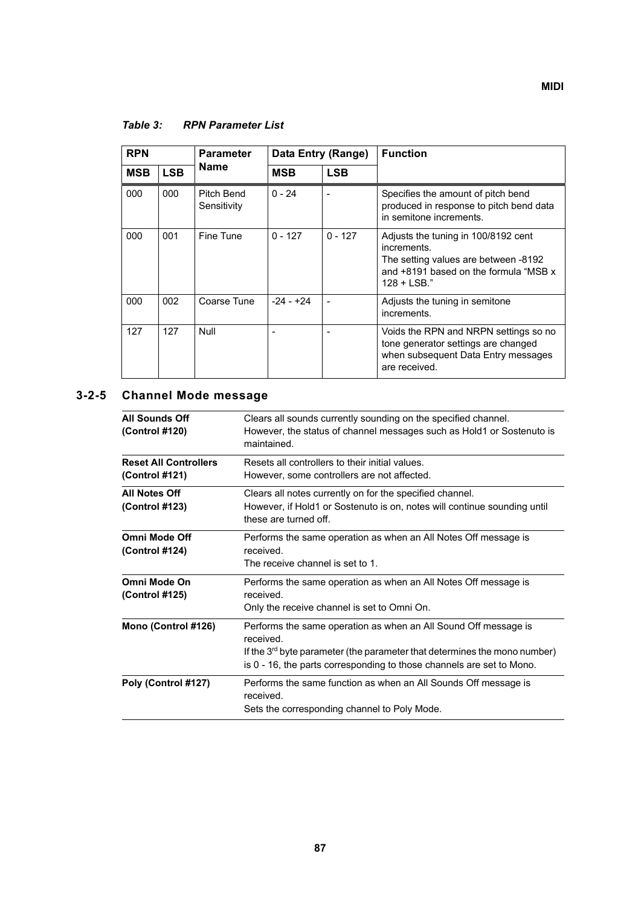| <b>RPN</b> |            | <b>Parameter</b>          | Data Entry (Range) |            | <b>Function</b>                                                                                                                                      |
|------------|------------|---------------------------|--------------------|------------|------------------------------------------------------------------------------------------------------------------------------------------------------|
| <b>MSB</b> | <b>LSB</b> | Name                      | <b>MSB</b>         | <b>LSB</b> |                                                                                                                                                      |
| 000        | 000        | Pitch Bend<br>Sensitivity | $0 - 24$           |            | Specifies the amount of pitch bend<br>produced in response to pitch bend data<br>in semitone increments.                                             |
| 000        | 001        | Fine Tune                 | $0 - 127$          | $0 - 127$  | Adjusts the tuning in 100/8192 cent<br>increments.<br>The setting values are between -8192<br>and +8191 based on the formula "MSB x<br>$128 + LSB."$ |
| 000        | 002        | Coarse Tune               | $-24 - +24$        |            | Adjusts the tuning in semitone<br>increments.                                                                                                        |
| 127        | 127        | Null                      |                    |            | Voids the RPN and NRPN settings so no<br>tone generator settings are changed<br>when subsequent Data Entry messages<br>are received.                 |

<span id="page-86-0"></span>*Table 3: RPN Parameter List*

# **3-2-5 Channel Mode message**

| <b>All Sounds Off</b><br>(Control #120)        | Clears all sounds currently sounding on the specified channel.<br>However, the status of channel messages such as Hold1 or Sostenuto is<br>maintained.                                                                               |  |  |  |  |
|------------------------------------------------|--------------------------------------------------------------------------------------------------------------------------------------------------------------------------------------------------------------------------------------|--|--|--|--|
| <b>Reset All Controllers</b><br>(Control #121) | Resets all controllers to their initial values.<br>However, some controllers are not affected.                                                                                                                                       |  |  |  |  |
| <b>All Notes Off</b><br>(Control #123)         | Clears all notes currently on for the specified channel.<br>However, if Hold1 or Sostenuto is on, notes will continue sounding until<br>these are turned off.                                                                        |  |  |  |  |
| Omni Mode Off<br>(Control #124)                | Performs the same operation as when an All Notes Off message is<br>received.<br>The receive channel is set to 1.                                                                                                                     |  |  |  |  |
| Omni Mode On<br>(Control #125)                 | Performs the same operation as when an All Notes Off message is<br>received.<br>Only the receive channel is set to Omni On.                                                                                                          |  |  |  |  |
| Mono (Control #126)                            | Performs the same operation as when an All Sound Off message is<br>received.<br>If the $3rd$ byte parameter (the parameter that determines the mono number)<br>is 0 - 16, the parts corresponding to those channels are set to Mono. |  |  |  |  |
| Poly (Control #127)                            | Performs the same function as when an All Sounds Off message is<br>received.<br>Sets the corresponding channel to Poly Mode.                                                                                                         |  |  |  |  |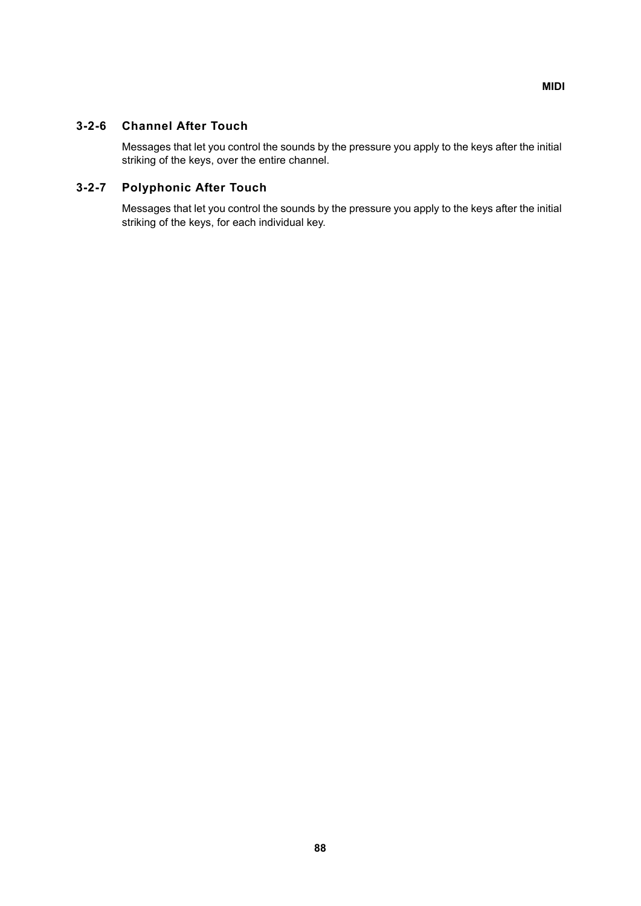## **3-2-6 Channel After Touch**

Messages that let you control the sounds by the pressure you apply to the keys after the initial striking of the keys, over the entire channel.

#### **3-2-7 Polyphonic After Touch**

Messages that let you control the sounds by the pressure you apply to the keys after the initial striking of the keys, for each individual key.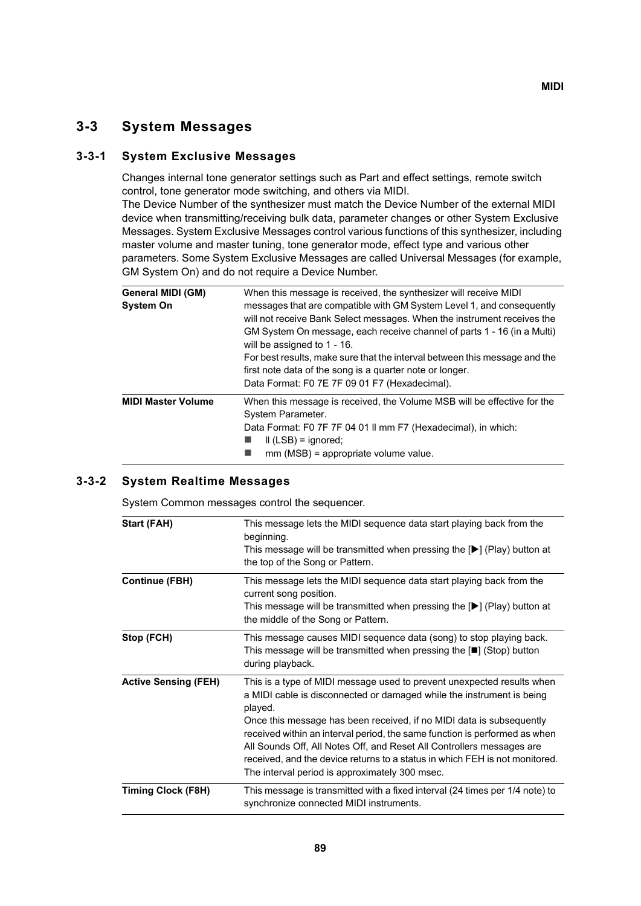#### **MIDI**

# <span id="page-88-0"></span>**3-3 System Messages**

#### **3-3-1 System Exclusive Messages**

Changes internal tone generator settings such as Part and effect settings, remote switch control, tone generator mode switching, and others via MIDI.

The Device Number of the synthesizer must match the Device Number of the external MIDI device when transmitting/receiving bulk data, parameter changes or other System Exclusive Messages. System Exclusive Messages control various functions of this synthesizer, including master volume and master tuning, tone generator mode, effect type and various other parameters. Some System Exclusive Messages are called Universal Messages (for example, GM System On) and do not require a Device Number.

| General MIDI (GM)<br><b>System On</b> | When this message is received, the synthesizer will receive MIDI<br>messages that are compatible with GM System Level 1, and consequently<br>will not receive Bank Select messages. When the instrument receives the<br>GM System On message, each receive channel of parts 1 - 16 (in a Multi)<br>will be assigned to 1 - 16.<br>For best results, make sure that the interval between this message and the<br>first note data of the song is a quarter note or longer.<br>Data Format: F0 7E 7F 09 01 F7 (Hexadecimal). |
|---------------------------------------|---------------------------------------------------------------------------------------------------------------------------------------------------------------------------------------------------------------------------------------------------------------------------------------------------------------------------------------------------------------------------------------------------------------------------------------------------------------------------------------------------------------------------|
| <b>MIDI Master Volume</b>             | When this message is received, the Volume MSB will be effective for the<br>System Parameter.<br>Data Format: F0 7F 7F 04 01 II mm F7 (Hexadecimal), in which:<br>$II(LSB) = ignored;$<br>mm (MSB) = appropriate volume value.                                                                                                                                                                                                                                                                                             |

#### **3-3-2 System Realtime Messages**

System Common messages control the sequencer.

| Start (FAH)                 | This message lets the MIDI sequence data start playing back from the<br>beginning.<br>This message will be transmitted when pressing the $[\blacktriangleright]$ (Play) button at<br>the top of the Song or Pattern.                                                                                                                                                                                                                                                                                                       |
|-----------------------------|----------------------------------------------------------------------------------------------------------------------------------------------------------------------------------------------------------------------------------------------------------------------------------------------------------------------------------------------------------------------------------------------------------------------------------------------------------------------------------------------------------------------------|
| <b>Continue (FBH)</b>       | This message lets the MIDI sequence data start playing back from the<br>current song position.<br>This message will be transmitted when pressing the $[\blacktriangleright]$ (Play) button at<br>the middle of the Song or Pattern.                                                                                                                                                                                                                                                                                        |
| Stop (FCH)                  | This message causes MIDI sequence data (song) to stop playing back.<br>This message will be transmitted when pressing the $[\blacksquare]$ (Stop) button<br>during playback.                                                                                                                                                                                                                                                                                                                                               |
| <b>Active Sensing (FEH)</b> | This is a type of MIDI message used to prevent unexpected results when<br>a MIDI cable is disconnected or damaged while the instrument is being<br>played.<br>Once this message has been received, if no MIDI data is subsequently<br>received within an interval period, the same function is performed as when<br>All Sounds Off, All Notes Off, and Reset All Controllers messages are<br>received, and the device returns to a status in which FEH is not monitored.<br>The interval period is approximately 300 msec. |
| Timing Clock (F8H)          | This message is transmitted with a fixed interval (24 times per 1/4 note) to<br>synchronize connected MIDI instruments.                                                                                                                                                                                                                                                                                                                                                                                                    |